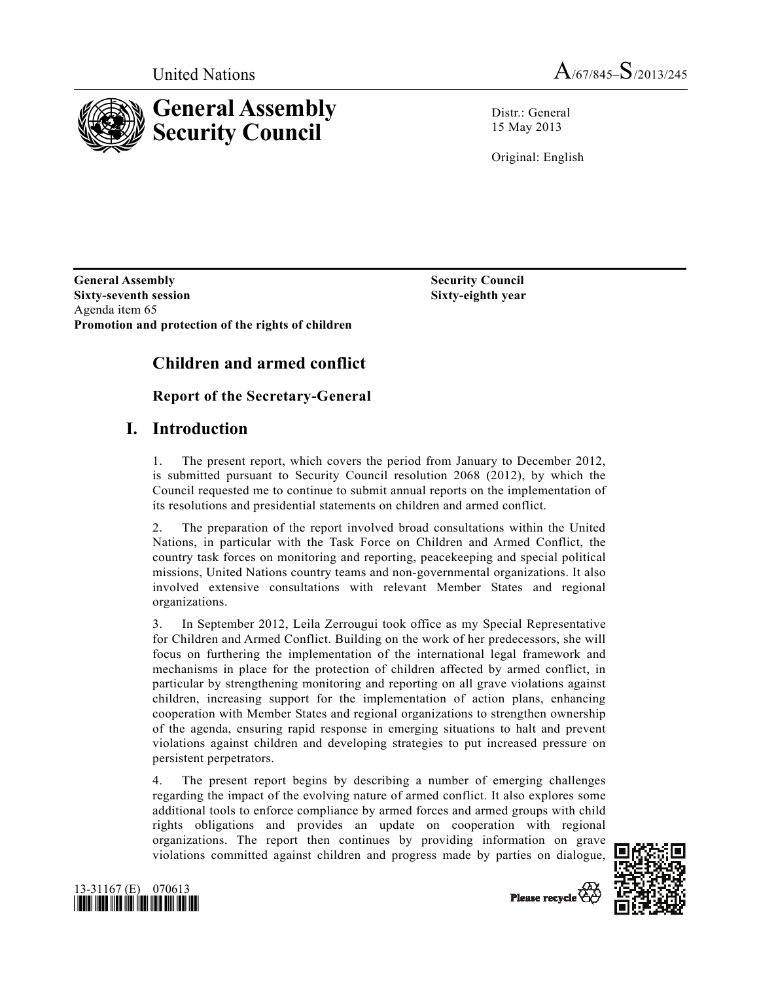



Distr · General 15 May 2013

Original: English

 **Sixty-eighth year** 

**General Assembly Security Council and Security Council Sixty-seventh session**  Agenda item 65 **Promotion and protection of the rights of children** 

# **Children and armed conflict**

## **Report of the Secretary-General**

## **I. Introduction**

1. The present report, which covers the period from January to December 2012, is submitted pursuant to Security Council resolution 2068 (2012), by which the Council requested me to continue to submit annual reports on the implementation of its resolutions and presidential statements on children and armed conflict.

2. The preparation of the report involved broad consultations within the United Nations, in particular with the Task Force on Children and Armed Conflict, the country task forces on monitoring and reporting, peacekeeping and special political missions, United Nations country teams and non-governmental organizations. It also involved extensive consultations with relevant Member States and regional organizations.

3. In September 2012, Leila Zerrougui took office as my Special Representative for Children and Armed Conflict. Building on the work of her predecessors, she will focus on furthering the implementation of the international legal framework and mechanisms in place for the protection of children affected by armed conflict, in particular by strengthening monitoring and reporting on all grave violations against children, increasing support for the implementation of action plans, enhancing cooperation with Member States and regional organizations to strengthen ownership of the agenda, ensuring rapid response in emerging situations to halt and prevent violations against children and developing strategies to put increased pressure on persistent perpetrators.

4. The present report begins by describing a number of emerging challenges regarding the impact of the evolving nature of armed conflict. It also explores some additional tools to enforce compliance by armed forces and armed groups with child rights obligations and provides an update on cooperation with regional organizations. The report then continues by providing information on grave violations committed against children and progress made by parties on dialogue,





Please recycle Co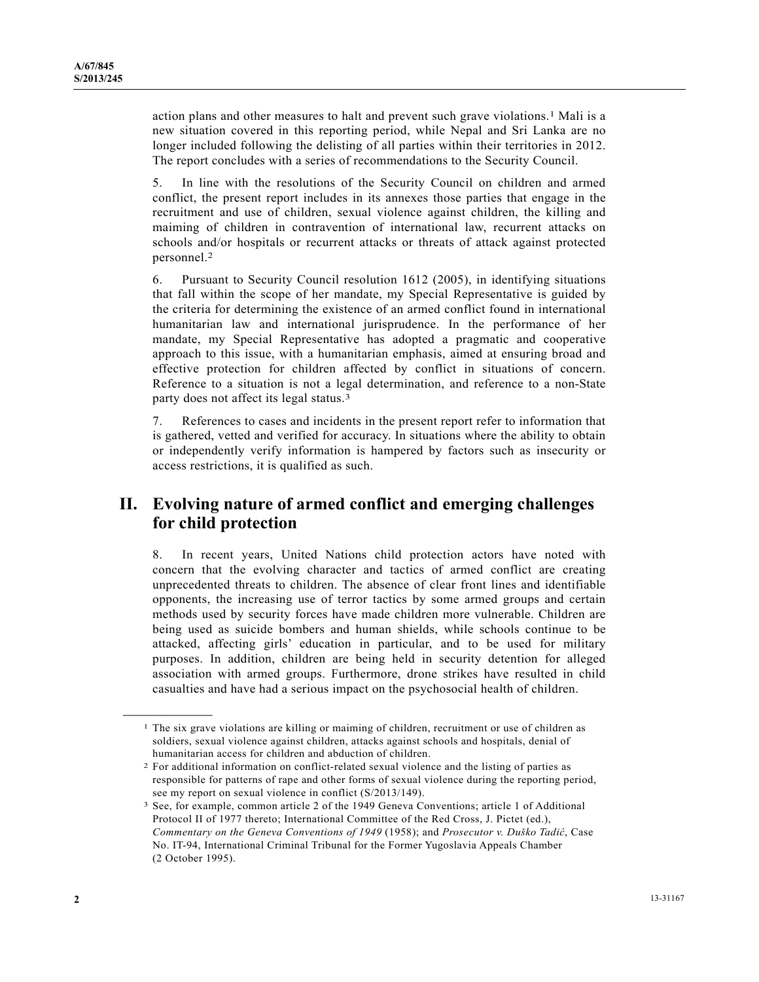action plans and other measures to halt and prevent such grave violations.1 Mali is a new situation covered in this reporting period, while Nepal and Sri Lanka are no longer included following the delisting of all parties within their territories in 2012. The report concludes with a series of recommendations to the Security Council.

5. In line with the resolutions of the Security Council on children and armed conflict, the present report includes in its annexes those parties that engage in the recruitment and use of children, sexual violence against children, the killing and maiming of children in contravention of international law, recurrent attacks on schools and/or hospitals or recurrent attacks or threats of attack against protected personnel.2

6. Pursuant to Security Council resolution 1612 (2005), in identifying situations that fall within the scope of her mandate, my Special Representative is guided by the criteria for determining the existence of an armed conflict found in international humanitarian law and international jurisprudence. In the performance of her mandate, my Special Representative has adopted a pragmatic and cooperative approach to this issue, with a humanitarian emphasis, aimed at ensuring broad and effective protection for children affected by conflict in situations of concern. Reference to a situation is not a legal determination, and reference to a non-State party does not affect its legal status.3

7. References to cases and incidents in the present report refer to information that is gathered, vetted and verified for accuracy. In situations where the ability to obtain or independently verify information is hampered by factors such as insecurity or access restrictions, it is qualified as such.

## **II. Evolving nature of armed conflict and emerging challenges for child protection**

8. In recent years, United Nations child protection actors have noted with concern that the evolving character and tactics of armed conflict are creating unprecedented threats to children. The absence of clear front lines and identifiable opponents, the increasing use of terror tactics by some armed groups and certain methods used by security forces have made children more vulnerable. Children are being used as suicide bombers and human shields, while schools continue to be attacked, affecting girls' education in particular, and to be used for military purposes. In addition, children are being held in security detention for alleged association with armed groups. Furthermore, drone strikes have resulted in child casualties and have had a serious impact on the psychosocial health of children.

**\_\_\_\_\_\_\_\_\_\_\_\_\_\_\_\_\_\_** 

<sup>1</sup> The six grave violations are killing or maiming of children, recruitment or use of children as soldiers, sexual violence against children, attacks against schools and hospitals, denial of humanitarian access for children and abduction of children. 2 For additional information on conflict-related sexual violence and the listing of parties as

responsible for patterns of rape and other forms of sexual violence during the reporting period, see my report on sexual violence in conflict (S/2013/149).<br><sup>3</sup> See, for example, common article 2 of the 1949 Geneva Conventions; article 1 of Additional

Protocol II of 1977 thereto; International Committee of the Red Cross, J. Pictet (ed.), *Commentary on the Geneva Conventions of 1949* (1958); and *Prosecutor v. Duško Tadić*, Case No. IT-94, International Criminal Tribunal for the Former Yugoslavia Appeals Chamber (2 October 1995).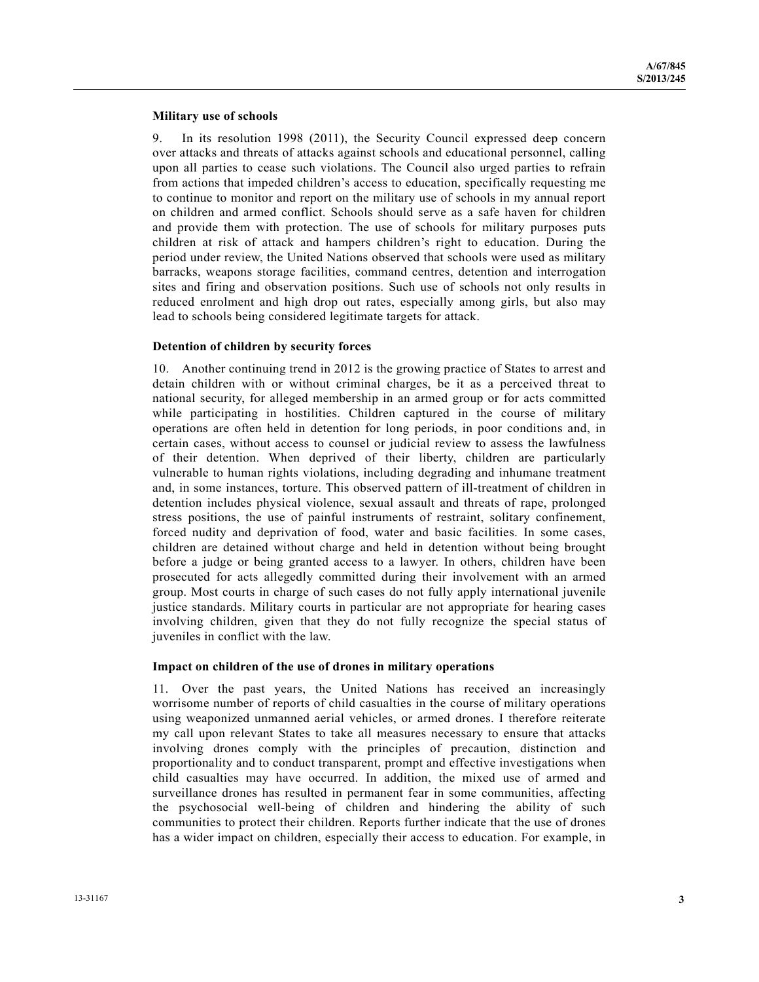#### **Military use of schools**

9. In its resolution 1998 (2011), the Security Council expressed deep concern over attacks and threats of attacks against schools and educational personnel, calling upon all parties to cease such violations. The Council also urged parties to refrain from actions that impeded children's access to education, specifically requesting me to continue to monitor and report on the military use of schools in my annual report on children and armed conflict. Schools should serve as a safe haven for children and provide them with protection. The use of schools for military purposes puts children at risk of attack and hampers children's right to education. During the period under review, the United Nations observed that schools were used as military barracks, weapons storage facilities, command centres, detention and interrogation sites and firing and observation positions. Such use of schools not only results in reduced enrolment and high drop out rates, especially among girls, but also may lead to schools being considered legitimate targets for attack.

#### **Detention of children by security forces**

10. Another continuing trend in 2012 is the growing practice of States to arrest and detain children with or without criminal charges, be it as a perceived threat to national security, for alleged membership in an armed group or for acts committed while participating in hostilities. Children captured in the course of military operations are often held in detention for long periods, in poor conditions and, in certain cases, without access to counsel or judicial review to assess the lawfulness of their detention. When deprived of their liberty, children are particularly vulnerable to human rights violations, including degrading and inhumane treatment and, in some instances, torture. This observed pattern of ill-treatment of children in detention includes physical violence, sexual assault and threats of rape, prolonged stress positions, the use of painful instruments of restraint, solitary confinement, forced nudity and deprivation of food, water and basic facilities. In some cases, children are detained without charge and held in detention without being brought before a judge or being granted access to a lawyer. In others, children have been prosecuted for acts allegedly committed during their involvement with an armed group. Most courts in charge of such cases do not fully apply international juvenile justice standards. Military courts in particular are not appropriate for hearing cases involving children, given that they do not fully recognize the special status of juveniles in conflict with the law.

#### **Impact on children of the use of drones in military operations**

11. Over the past years, the United Nations has received an increasingly worrisome number of reports of child casualties in the course of military operations using weaponized unmanned aerial vehicles, or armed drones. I therefore reiterate my call upon relevant States to take all measures necessary to ensure that attacks involving drones comply with the principles of precaution, distinction and proportionality and to conduct transparent, prompt and effective investigations when child casualties may have occurred. In addition, the mixed use of armed and surveillance drones has resulted in permanent fear in some communities, affecting the psychosocial well-being of children and hindering the ability of such communities to protect their children. Reports further indicate that the use of drones has a wider impact on children, especially their access to education. For example, in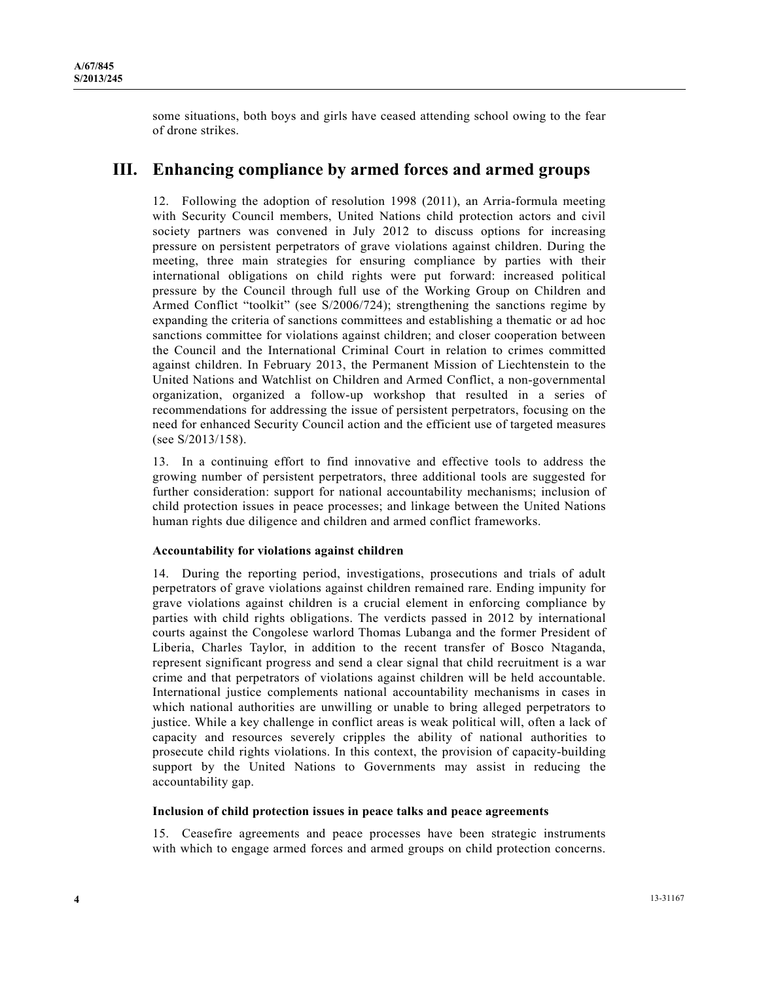some situations, both boys and girls have ceased attending school owing to the fear of drone strikes.

## **III. Enhancing compliance by armed forces and armed groups**

12. Following the adoption of resolution 1998 (2011), an Arria-formula meeting with Security Council members, United Nations child protection actors and civil society partners was convened in July 2012 to discuss options for increasing pressure on persistent perpetrators of grave violations against children. During the meeting, three main strategies for ensuring compliance by parties with their international obligations on child rights were put forward: increased political pressure by the Council through full use of the Working Group on Children and Armed Conflict "toolkit" (see S/2006/724); strengthening the sanctions regime by expanding the criteria of sanctions committees and establishing a thematic or ad hoc sanctions committee for violations against children; and closer cooperation between the Council and the International Criminal Court in relation to crimes committed against children. In February 2013, the Permanent Mission of Liechtenstein to the United Nations and Watchlist on Children and Armed Conflict, a non-governmental organization, organized a follow-up workshop that resulted in a series of recommendations for addressing the issue of persistent perpetrators, focusing on the need for enhanced Security Council action and the efficient use of targeted measures (see S/2013/158).

13. In a continuing effort to find innovative and effective tools to address the growing number of persistent perpetrators, three additional tools are suggested for further consideration: support for national accountability mechanisms; inclusion of child protection issues in peace processes; and linkage between the United Nations human rights due diligence and children and armed conflict frameworks.

## **Accountability for violations against children**

14. During the reporting period, investigations, prosecutions and trials of adult perpetrators of grave violations against children remained rare. Ending impunity for grave violations against children is a crucial element in enforcing compliance by parties with child rights obligations. The verdicts passed in 2012 by international courts against the Congolese warlord Thomas Lubanga and the former President of Liberia, Charles Taylor, in addition to the recent transfer of Bosco Ntaganda, represent significant progress and send a clear signal that child recruitment is a war crime and that perpetrators of violations against children will be held accountable. International justice complements national accountability mechanisms in cases in which national authorities are unwilling or unable to bring alleged perpetrators to justice. While a key challenge in conflict areas is weak political will, often a lack of capacity and resources severely cripples the ability of national authorities to prosecute child rights violations. In this context, the provision of capacity-building support by the United Nations to Governments may assist in reducing the accountability gap.

#### **Inclusion of child protection issues in peace talks and peace agreements**

15. Ceasefire agreements and peace processes have been strategic instruments with which to engage armed forces and armed groups on child protection concerns.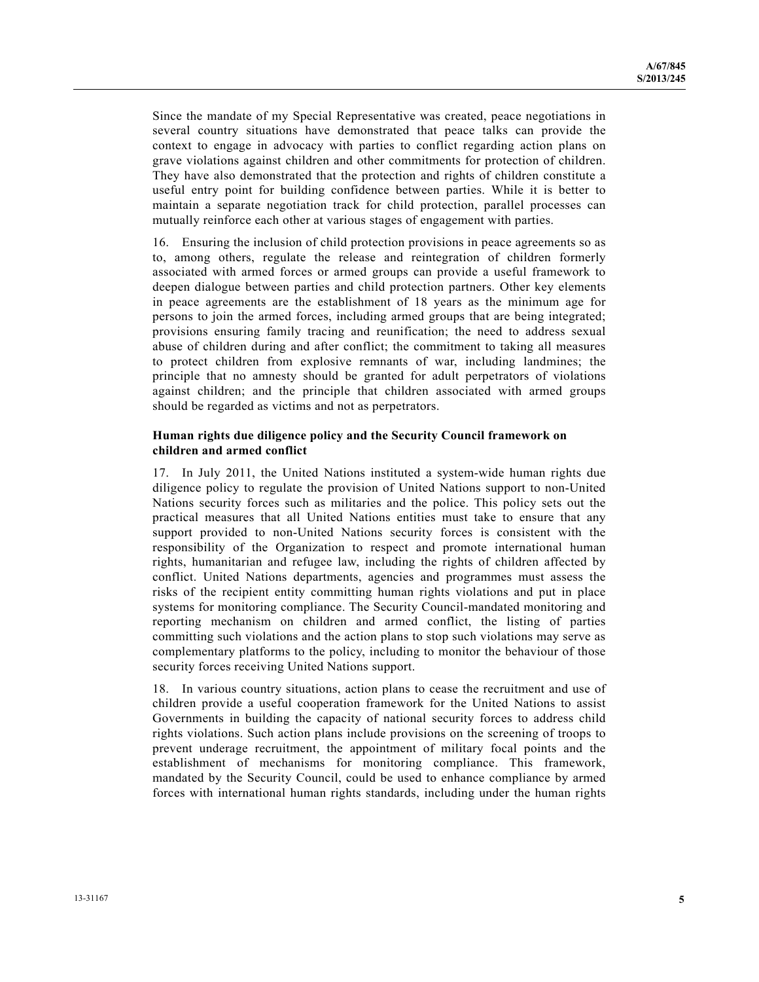Since the mandate of my Special Representative was created, peace negotiations in several country situations have demonstrated that peace talks can provide the context to engage in advocacy with parties to conflict regarding action plans on grave violations against children and other commitments for protection of children. They have also demonstrated that the protection and rights of children constitute a useful entry point for building confidence between parties. While it is better to maintain a separate negotiation track for child protection, parallel processes can mutually reinforce each other at various stages of engagement with parties.

16. Ensuring the inclusion of child protection provisions in peace agreements so as to, among others, regulate the release and reintegration of children formerly associated with armed forces or armed groups can provide a useful framework to deepen dialogue between parties and child protection partners. Other key elements in peace agreements are the establishment of 18 years as the minimum age for persons to join the armed forces, including armed groups that are being integrated; provisions ensuring family tracing and reunification; the need to address sexual abuse of children during and after conflict; the commitment to taking all measures to protect children from explosive remnants of war, including landmines; the principle that no amnesty should be granted for adult perpetrators of violations against children; and the principle that children associated with armed groups should be regarded as victims and not as perpetrators.

## **Human rights due diligence policy and the Security Council framework on children and armed conflict**

17. In July 2011, the United Nations instituted a system-wide human rights due diligence policy to regulate the provision of United Nations support to non-United Nations security forces such as militaries and the police. This policy sets out the practical measures that all United Nations entities must take to ensure that any support provided to non-United Nations security forces is consistent with the responsibility of the Organization to respect and promote international human rights, humanitarian and refugee law, including the rights of children affected by conflict. United Nations departments, agencies and programmes must assess the risks of the recipient entity committing human rights violations and put in place systems for monitoring compliance. The Security Council-mandated monitoring and reporting mechanism on children and armed conflict, the listing of parties committing such violations and the action plans to stop such violations may serve as complementary platforms to the policy, including to monitor the behaviour of those security forces receiving United Nations support.

18. In various country situations, action plans to cease the recruitment and use of children provide a useful cooperation framework for the United Nations to assist Governments in building the capacity of national security forces to address child rights violations. Such action plans include provisions on the screening of troops to prevent underage recruitment, the appointment of military focal points and the establishment of mechanisms for monitoring compliance. This framework, mandated by the Security Council, could be used to enhance compliance by armed forces with international human rights standards, including under the human rights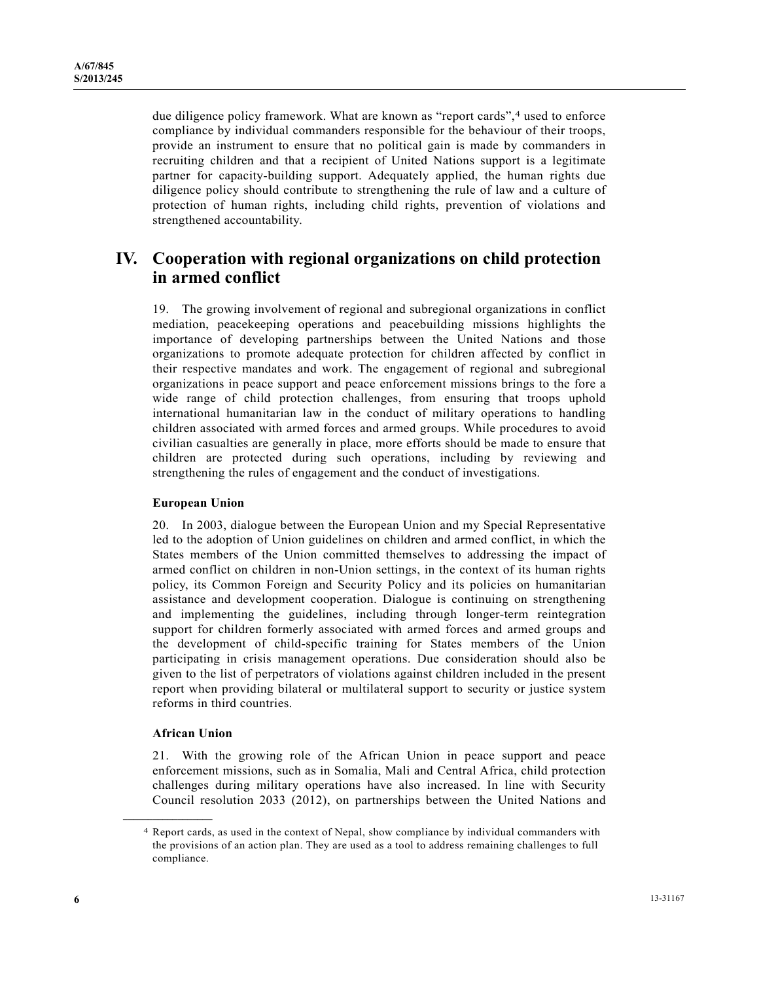due diligence policy framework. What are known as "report cards",<sup>4</sup> used to enforce compliance by individual commanders responsible for the behaviour of their troops, provide an instrument to ensure that no political gain is made by commanders in recruiting children and that a recipient of United Nations support is a legitimate partner for capacity-building support. Adequately applied, the human rights due diligence policy should contribute to strengthening the rule of law and a culture of protection of human rights, including child rights, prevention of violations and strengthened accountability.

## **IV. Cooperation with regional organizations on child protection in armed conflict**

19. The growing involvement of regional and subregional organizations in conflict mediation, peacekeeping operations and peacebuilding missions highlights the importance of developing partnerships between the United Nations and those organizations to promote adequate protection for children affected by conflict in their respective mandates and work. The engagement of regional and subregional organizations in peace support and peace enforcement missions brings to the fore a wide range of child protection challenges, from ensuring that troops uphold international humanitarian law in the conduct of military operations to handling children associated with armed forces and armed groups. While procedures to avoid civilian casualties are generally in place, more efforts should be made to ensure that children are protected during such operations, including by reviewing and strengthening the rules of engagement and the conduct of investigations.

#### **European Union**

20. In 2003, dialogue between the European Union and my Special Representative led to the adoption of Union guidelines on children and armed conflict, in which the States members of the Union committed themselves to addressing the impact of armed conflict on children in non-Union settings, in the context of its human rights policy, its Common Foreign and Security Policy and its policies on humanitarian assistance and development cooperation. Dialogue is continuing on strengthening and implementing the guidelines, including through longer-term reintegration support for children formerly associated with armed forces and armed groups and the development of child-specific training for States members of the Union participating in crisis management operations. Due consideration should also be given to the list of perpetrators of violations against children included in the present report when providing bilateral or multilateral support to security or justice system reforms in third countries.

#### **African Union**

**\_\_\_\_\_\_\_\_\_\_\_\_\_\_\_\_\_\_** 

21. With the growing role of the African Union in peace support and peace enforcement missions, such as in Somalia, Mali and Central Africa, child protection challenges during military operations have also increased. In line with Security Council resolution 2033 (2012), on partnerships between the United Nations and

<sup>4</sup> Report cards, as used in the context of Nepal, show compliance by individual commanders with the provisions of an action plan. They are used as a tool to address remaining challenges to full compliance.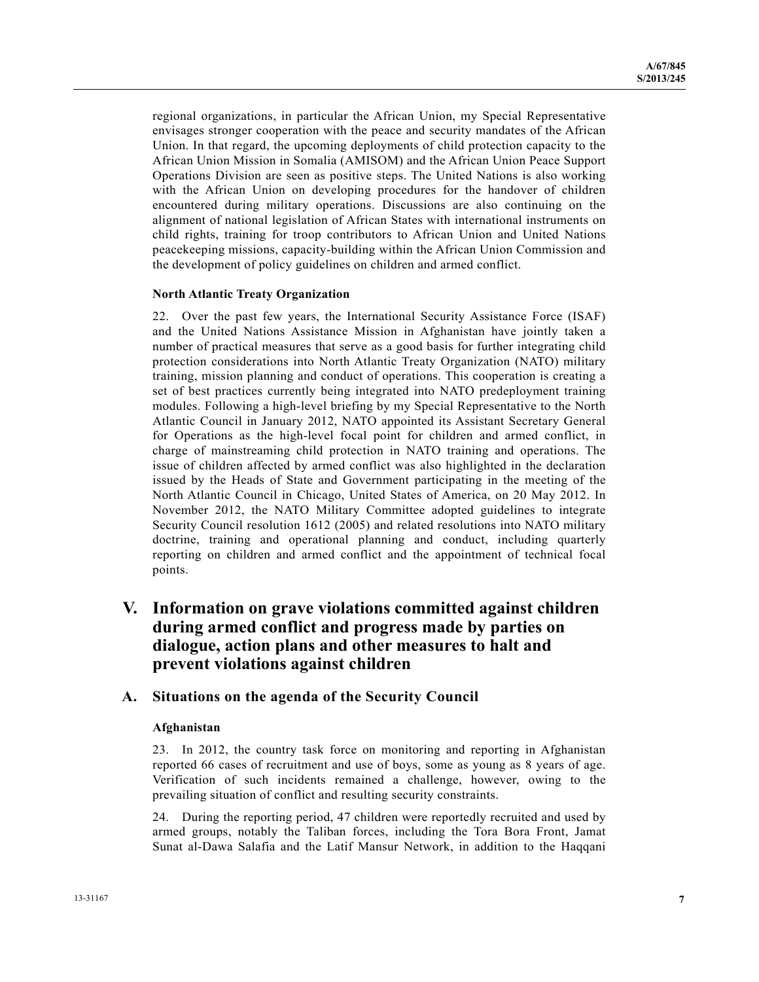regional organizations, in particular the African Union, my Special Representative envisages stronger cooperation with the peace and security mandates of the African Union. In that regard, the upcoming deployments of child protection capacity to the African Union Mission in Somalia (AMISOM) and the African Union Peace Support Operations Division are seen as positive steps. The United Nations is also working with the African Union on developing procedures for the handover of children encountered during military operations. Discussions are also continuing on the alignment of national legislation of African States with international instruments on child rights, training for troop contributors to African Union and United Nations peacekeeping missions, capacity-building within the African Union Commission and the development of policy guidelines on children and armed conflict.

### **North Atlantic Treaty Organization**

22. Over the past few years, the International Security Assistance Force (ISAF) and the United Nations Assistance Mission in Afghanistan have jointly taken a number of practical measures that serve as a good basis for further integrating child protection considerations into North Atlantic Treaty Organization (NATO) military training, mission planning and conduct of operations. This cooperation is creating a set of best practices currently being integrated into NATO predeployment training modules. Following a high-level briefing by my Special Representative to the North Atlantic Council in January 2012, NATO appointed its Assistant Secretary General for Operations as the high-level focal point for children and armed conflict, in charge of mainstreaming child protection in NATO training and operations. The issue of children affected by armed conflict was also highlighted in the declaration issued by the Heads of State and Government participating in the meeting of the North Atlantic Council in Chicago, United States of America, on 20 May 2012. In November 2012, the NATO Military Committee adopted guidelines to integrate Security Council resolution 1612 (2005) and related resolutions into NATO military doctrine, training and operational planning and conduct, including quarterly reporting on children and armed conflict and the appointment of technical focal points.

## **V. Information on grave violations committed against children during armed conflict and progress made by parties on dialogue, action plans and other measures to halt and prevent violations against children**

## **A. Situations on the agenda of the Security Council**

#### **Afghanistan**

23. In 2012, the country task force on monitoring and reporting in Afghanistan reported 66 cases of recruitment and use of boys, some as young as 8 years of age. Verification of such incidents remained a challenge, however, owing to the prevailing situation of conflict and resulting security constraints.

24. During the reporting period, 47 children were reportedly recruited and used by armed groups, notably the Taliban forces, including the Tora Bora Front, Jamat Sunat al-Dawa Salafia and the Latif Mansur Network, in addition to the Haqqani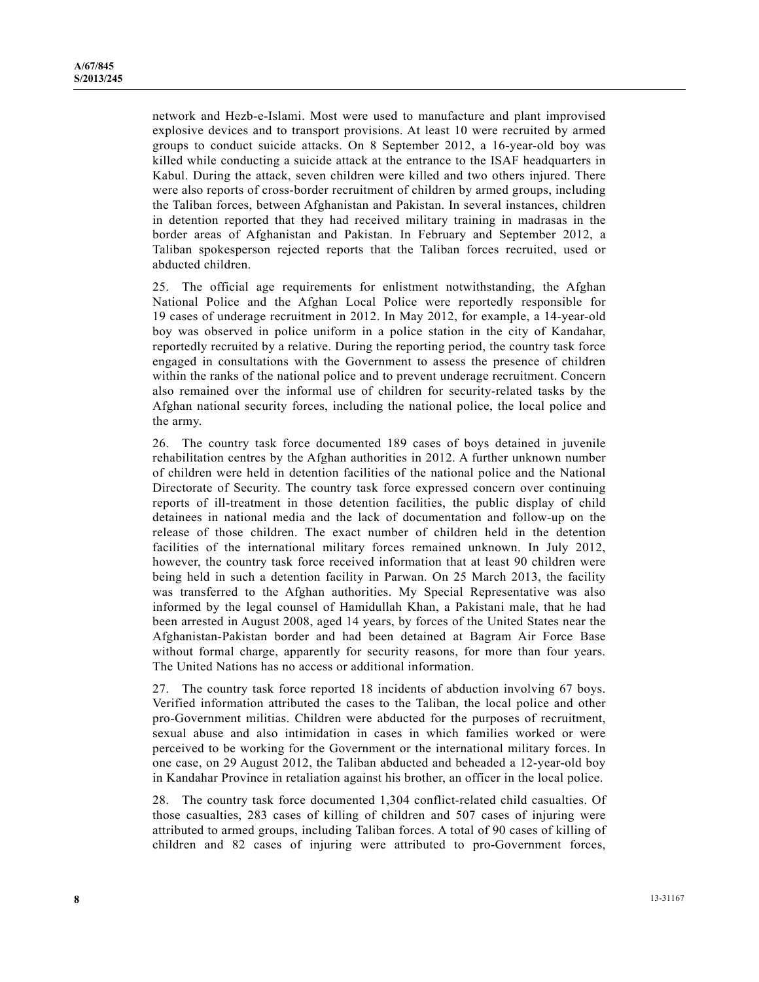network and Hezb-e-Islami. Most were used to manufacture and plant improvised explosive devices and to transport provisions. At least 10 were recruited by armed groups to conduct suicide attacks. On 8 September 2012, a 16-year-old boy was killed while conducting a suicide attack at the entrance to the ISAF headquarters in Kabul. During the attack, seven children were killed and two others injured. There were also reports of cross-border recruitment of children by armed groups, including the Taliban forces, between Afghanistan and Pakistan. In several instances, children in detention reported that they had received military training in madrasas in the border areas of Afghanistan and Pakistan. In February and September 2012, a Taliban spokesperson rejected reports that the Taliban forces recruited, used or abducted children.

25. The official age requirements for enlistment notwithstanding, the Afghan National Police and the Afghan Local Police were reportedly responsible for 19 cases of underage recruitment in 2012. In May 2012, for example, a 14-year-old boy was observed in police uniform in a police station in the city of Kandahar, reportedly recruited by a relative. During the reporting period, the country task force engaged in consultations with the Government to assess the presence of children within the ranks of the national police and to prevent underage recruitment. Concern also remained over the informal use of children for security-related tasks by the Afghan national security forces, including the national police, the local police and the army.

26. The country task force documented 189 cases of boys detained in juvenile rehabilitation centres by the Afghan authorities in 2012. A further unknown number of children were held in detention facilities of the national police and the National Directorate of Security. The country task force expressed concern over continuing reports of ill-treatment in those detention facilities, the public display of child detainees in national media and the lack of documentation and follow-up on the release of those children. The exact number of children held in the detention facilities of the international military forces remained unknown. In July 2012, however, the country task force received information that at least 90 children were being held in such a detention facility in Parwan. On 25 March 2013, the facility was transferred to the Afghan authorities. My Special Representative was also informed by the legal counsel of Hamidullah Khan, a Pakistani male, that he had been arrested in August 2008, aged 14 years, by forces of the United States near the Afghanistan-Pakistan border and had been detained at Bagram Air Force Base without formal charge, apparently for security reasons, for more than four years. The United Nations has no access or additional information.

27. The country task force reported 18 incidents of abduction involving 67 boys. Verified information attributed the cases to the Taliban, the local police and other pro-Government militias. Children were abducted for the purposes of recruitment, sexual abuse and also intimidation in cases in which families worked or were perceived to be working for the Government or the international military forces. In one case, on 29 August 2012, the Taliban abducted and beheaded a 12-year-old boy in Kandahar Province in retaliation against his brother, an officer in the local police.

28. The country task force documented 1,304 conflict-related child casualties. Of those casualties, 283 cases of killing of children and 507 cases of injuring were attributed to armed groups, including Taliban forces. A total of 90 cases of killing of children and 82 cases of injuring were attributed to pro-Government forces,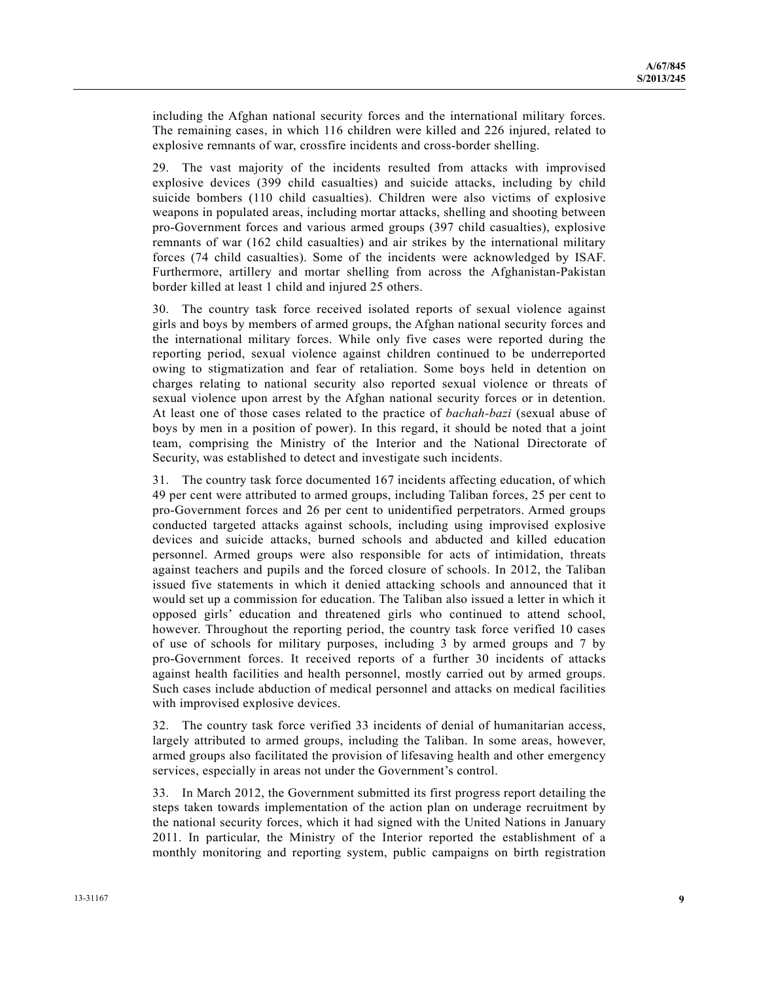including the Afghan national security forces and the international military forces. The remaining cases, in which 116 children were killed and 226 injured, related to explosive remnants of war, crossfire incidents and cross-border shelling.

29. The vast majority of the incidents resulted from attacks with improvised explosive devices (399 child casualties) and suicide attacks, including by child suicide bombers (110 child casualties). Children were also victims of explosive weapons in populated areas, including mortar attacks, shelling and shooting between pro-Government forces and various armed groups (397 child casualties), explosive remnants of war (162 child casualties) and air strikes by the international military forces (74 child casualties). Some of the incidents were acknowledged by ISAF. Furthermore, artillery and mortar shelling from across the Afghanistan-Pakistan border killed at least 1 child and injured 25 others.

30. The country task force received isolated reports of sexual violence against girls and boys by members of armed groups, the Afghan national security forces and the international military forces. While only five cases were reported during the reporting period, sexual violence against children continued to be underreported owing to stigmatization and fear of retaliation. Some boys held in detention on charges relating to national security also reported sexual violence or threats of sexual violence upon arrest by the Afghan national security forces or in detention. At least one of those cases related to the practice of *bachah-bazi* (sexual abuse of boys by men in a position of power). In this regard, it should be noted that a joint team, comprising the Ministry of the Interior and the National Directorate of Security, was established to detect and investigate such incidents.

31. The country task force documented 167 incidents affecting education, of which 49 per cent were attributed to armed groups, including Taliban forces, 25 per cent to pro-Government forces and 26 per cent to unidentified perpetrators. Armed groups conducted targeted attacks against schools, including using improvised explosive devices and suicide attacks, burned schools and abducted and killed education personnel. Armed groups were also responsible for acts of intimidation, threats against teachers and pupils and the forced closure of schools. In 2012, the Taliban issued five statements in which it denied attacking schools and announced that it would set up a commission for education. The Taliban also issued a letter in which it opposed girls' education and threatened girls who continued to attend school, however. Throughout the reporting period, the country task force verified 10 cases of use of schools for military purposes, including 3 by armed groups and 7 by pro-Government forces. It received reports of a further 30 incidents of attacks against health facilities and health personnel, mostly carried out by armed groups. Such cases include abduction of medical personnel and attacks on medical facilities with improvised explosive devices.

32. The country task force verified 33 incidents of denial of humanitarian access, largely attributed to armed groups, including the Taliban. In some areas, however, armed groups also facilitated the provision of lifesaving health and other emergency services, especially in areas not under the Government's control.

33. In March 2012, the Government submitted its first progress report detailing the steps taken towards implementation of the action plan on underage recruitment by the national security forces, which it had signed with the United Nations in January 2011. In particular, the Ministry of the Interior reported the establishment of a monthly monitoring and reporting system, public campaigns on birth registration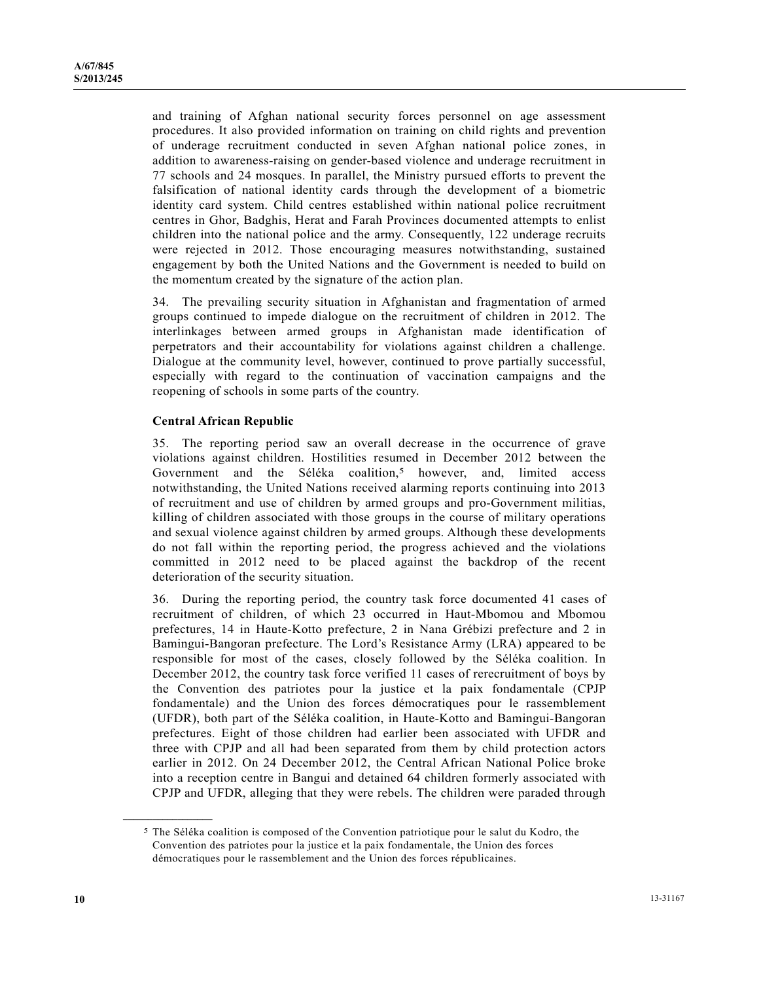and training of Afghan national security forces personnel on age assessment procedures. It also provided information on training on child rights and prevention of underage recruitment conducted in seven Afghan national police zones, in addition to awareness-raising on gender-based violence and underage recruitment in 77 schools and 24 mosques. In parallel, the Ministry pursued efforts to prevent the falsification of national identity cards through the development of a biometric identity card system. Child centres established within national police recruitment centres in Ghor, Badghis, Herat and Farah Provinces documented attempts to enlist children into the national police and the army. Consequently, 122 underage recruits were rejected in 2012. Those encouraging measures notwithstanding, sustained engagement by both the United Nations and the Government is needed to build on the momentum created by the signature of the action plan.

34. The prevailing security situation in Afghanistan and fragmentation of armed groups continued to impede dialogue on the recruitment of children in 2012. The interlinkages between armed groups in Afghanistan made identification of perpetrators and their accountability for violations against children a challenge. Dialogue at the community level, however, continued to prove partially successful, especially with regard to the continuation of vaccination campaigns and the reopening of schools in some parts of the country.

### **Central African Republic**

35. The reporting period saw an overall decrease in the occurrence of grave violations against children. Hostilities resumed in December 2012 between the Government and the Séléka coalition,<sup>5</sup> however, and, limited access notwithstanding, the United Nations received alarming reports continuing into 2013 of recruitment and use of children by armed groups and pro-Government militias, killing of children associated with those groups in the course of military operations and sexual violence against children by armed groups. Although these developments do not fall within the reporting period, the progress achieved and the violations committed in 2012 need to be placed against the backdrop of the recent deterioration of the security situation.

36. During the reporting period, the country task force documented 41 cases of recruitment of children, of which 23 occurred in Haut-Mbomou and Mbomou prefectures, 14 in Haute-Kotto prefecture, 2 in Nana Grébizi prefecture and 2 in Bamingui-Bangoran prefecture. The Lord's Resistance Army (LRA) appeared to be responsible for most of the cases, closely followed by the Séléka coalition. In December 2012, the country task force verified 11 cases of rerecruitment of boys by the Convention des patriotes pour la justice et la paix fondamentale (CPJP fondamentale) and the Union des forces démocratiques pour le rassemblement (UFDR), both part of the Séléka coalition, in Haute-Kotto and Bamingui-Bangoran prefectures. Eight of those children had earlier been associated with UFDR and three with CPJP and all had been separated from them by child protection actors earlier in 2012. On 24 December 2012, the Central African National Police broke into a reception centre in Bangui and detained 64 children formerly associated with CPJP and UFDR, alleging that they were rebels. The children were paraded through

**\_\_\_\_\_\_\_\_\_\_\_\_\_\_\_\_\_\_** 

<sup>5</sup> The Séléka coalition is composed of the Convention patriotique pour le salut du Kodro, the Convention des patriotes pour la justice et la paix fondamentale, the Union des forces démocratiques pour le rassemblement and the Union des forces républicaines.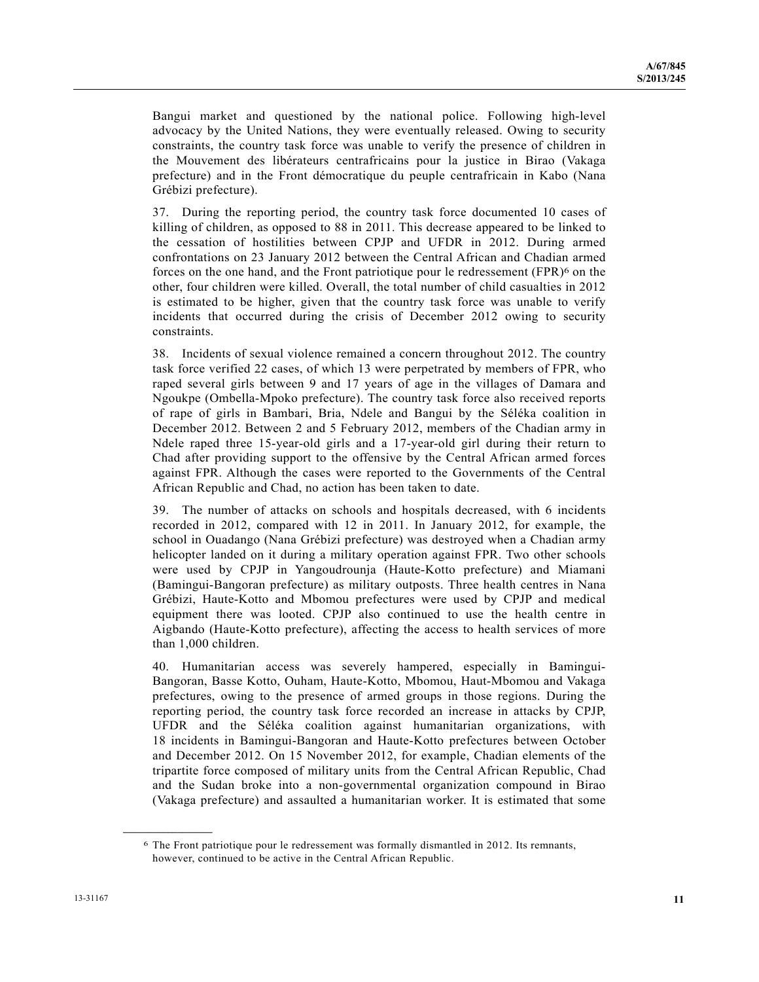Bangui market and questioned by the national police. Following high-level advocacy by the United Nations, they were eventually released. Owing to security constraints, the country task force was unable to verify the presence of children in the Mouvement des libérateurs centrafricains pour la justice in Birao (Vakaga prefecture) and in the Front démocratique du peuple centrafricain in Kabo (Nana Grébizi prefecture).

37. During the reporting period, the country task force documented 10 cases of killing of children, as opposed to 88 in 2011. This decrease appeared to be linked to the cessation of hostilities between CPJP and UFDR in 2012. During armed confrontations on 23 January 2012 between the Central African and Chadian armed forces on the one hand, and the Front patriotique pour le redressement (FPR)<sup>6</sup> on the other, four children were killed. Overall, the total number of child casualties in 2012 is estimated to be higher, given that the country task force was unable to verify incidents that occurred during the crisis of December 2012 owing to security constraints.

38. Incidents of sexual violence remained a concern throughout 2012. The country task force verified 22 cases, of which 13 were perpetrated by members of FPR, who raped several girls between 9 and 17 years of age in the villages of Damara and Ngoukpe (Ombella-Mpoko prefecture). The country task force also received reports of rape of girls in Bambari, Bria, Ndele and Bangui by the Séléka coalition in December 2012. Between 2 and 5 February 2012, members of the Chadian army in Ndele raped three 15-year-old girls and a 17-year-old girl during their return to Chad after providing support to the offensive by the Central African armed forces against FPR. Although the cases were reported to the Governments of the Central African Republic and Chad, no action has been taken to date.

39. The number of attacks on schools and hospitals decreased, with 6 incidents recorded in 2012, compared with 12 in 2011. In January 2012, for example, the school in Ouadango (Nana Grébizi prefecture) was destroyed when a Chadian army helicopter landed on it during a military operation against FPR. Two other schools were used by CPJP in Yangoudrounja (Haute-Kotto prefecture) and Miamani (Bamingui-Bangoran prefecture) as military outposts. Three health centres in Nana Grébizi, Haute-Kotto and Mbomou prefectures were used by CPJP and medical equipment there was looted. CPJP also continued to use the health centre in Aigbando (Haute-Kotto prefecture), affecting the access to health services of more than 1,000 children.

40. Humanitarian access was severely hampered, especially in Bamingui-Bangoran, Basse Kotto, Ouham, Haute-Kotto, Mbomou, Haut-Mbomou and Vakaga prefectures, owing to the presence of armed groups in those regions. During the reporting period, the country task force recorded an increase in attacks by CPJP, UFDR and the Séléka coalition against humanitarian organizations, with 18 incidents in Bamingui-Bangoran and Haute-Kotto prefectures between October and December 2012. On 15 November 2012, for example, Chadian elements of the tripartite force composed of military units from the Central African Republic, Chad and the Sudan broke into a non-governmental organization compound in Birao (Vakaga prefecture) and assaulted a humanitarian worker. It is estimated that some

**\_\_\_\_\_\_\_\_\_\_\_\_\_\_\_\_\_\_** 

<sup>6</sup> The Front patriotique pour le redressement was formally dismantled in 2012. Its remnants, however, continued to be active in the Central African Republic.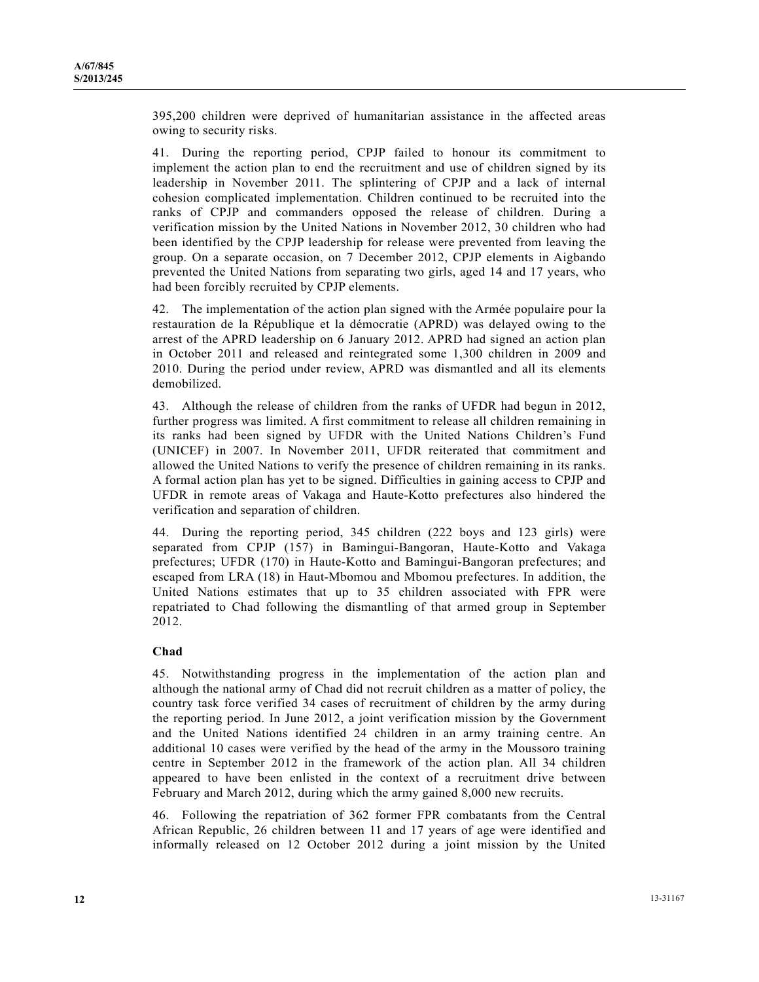395,200 children were deprived of humanitarian assistance in the affected areas owing to security risks.

41. During the reporting period, CPJP failed to honour its commitment to implement the action plan to end the recruitment and use of children signed by its leadership in November 2011. The splintering of CPJP and a lack of internal cohesion complicated implementation. Children continued to be recruited into the ranks of CPJP and commanders opposed the release of children. During a verification mission by the United Nations in November 2012, 30 children who had been identified by the CPJP leadership for release were prevented from leaving the group. On a separate occasion, on 7 December 2012, CPJP elements in Aigbando prevented the United Nations from separating two girls, aged 14 and 17 years, who had been forcibly recruited by CPJP elements.

42. The implementation of the action plan signed with the Armée populaire pour la restauration de la République et la démocratie (APRD) was delayed owing to the arrest of the APRD leadership on 6 January 2012. APRD had signed an action plan in October 2011 and released and reintegrated some 1,300 children in 2009 and 2010. During the period under review, APRD was dismantled and all its elements demobilized.

43. Although the release of children from the ranks of UFDR had begun in 2012, further progress was limited. A first commitment to release all children remaining in its ranks had been signed by UFDR with the United Nations Children's Fund (UNICEF) in 2007. In November 2011, UFDR reiterated that commitment and allowed the United Nations to verify the presence of children remaining in its ranks. A formal action plan has yet to be signed. Difficulties in gaining access to CPJP and UFDR in remote areas of Vakaga and Haute-Kotto prefectures also hindered the verification and separation of children.

44. During the reporting period, 345 children (222 boys and 123 girls) were separated from CPJP (157) in Bamingui-Bangoran, Haute-Kotto and Vakaga prefectures; UFDR (170) in Haute-Kotto and Bamingui-Bangoran prefectures; and escaped from LRA (18) in Haut-Mbomou and Mbomou prefectures. In addition, the United Nations estimates that up to 35 children associated with FPR were repatriated to Chad following the dismantling of that armed group in September 2012.

## **Chad**

45. Notwithstanding progress in the implementation of the action plan and although the national army of Chad did not recruit children as a matter of policy, the country task force verified 34 cases of recruitment of children by the army during the reporting period. In June 2012, a joint verification mission by the Government and the United Nations identified 24 children in an army training centre. An additional 10 cases were verified by the head of the army in the Moussoro training centre in September 2012 in the framework of the action plan. All 34 children appeared to have been enlisted in the context of a recruitment drive between February and March 2012, during which the army gained 8,000 new recruits.

46. Following the repatriation of 362 former FPR combatants from the Central African Republic, 26 children between 11 and 17 years of age were identified and informally released on 12 October 2012 during a joint mission by the United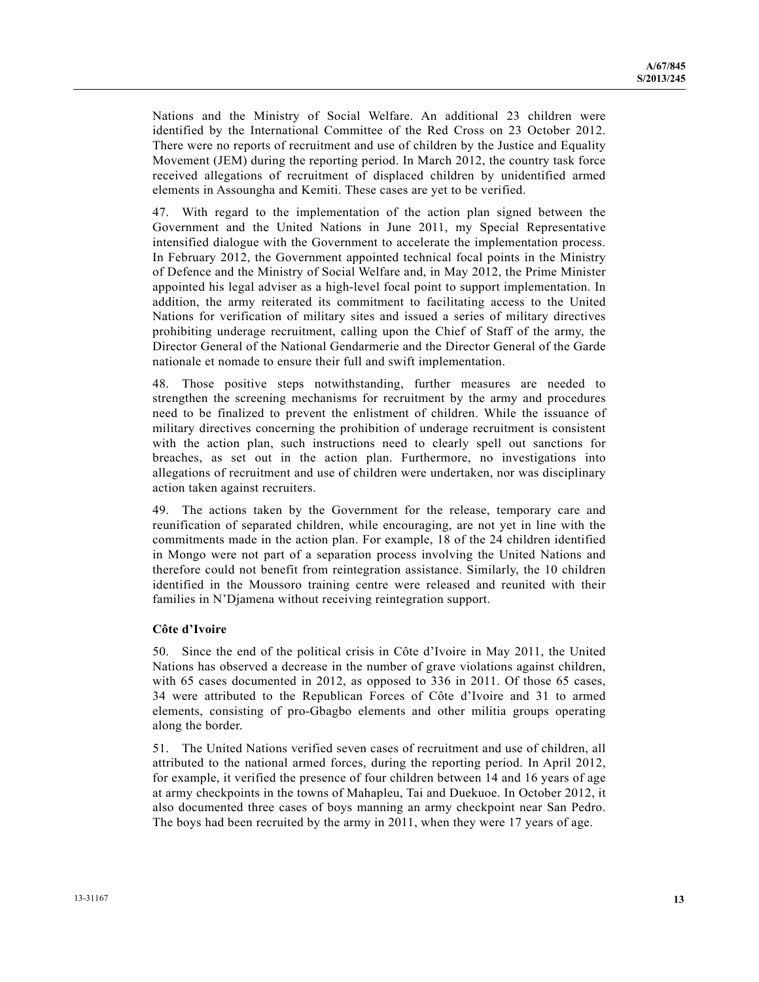Nations and the Ministry of Social Welfare. An additional 23 children were identified by the International Committee of the Red Cross on 23 October 2012. There were no reports of recruitment and use of children by the Justice and Equality Movement (JEM) during the reporting period. In March 2012, the country task force received allegations of recruitment of displaced children by unidentified armed elements in Assoungha and Kemiti. These cases are yet to be verified.

47. With regard to the implementation of the action plan signed between the Government and the United Nations in June 2011, my Special Representative intensified dialogue with the Government to accelerate the implementation process. In February 2012, the Government appointed technical focal points in the Ministry of Defence and the Ministry of Social Welfare and, in May 2012, the Prime Minister appointed his legal adviser as a high-level focal point to support implementation. In addition, the army reiterated its commitment to facilitating access to the United Nations for verification of military sites and issued a series of military directives prohibiting underage recruitment, calling upon the Chief of Staff of the army, the Director General of the National Gendarmerie and the Director General of the Garde nationale et nomade to ensure their full and swift implementation.

48. Those positive steps notwithstanding, further measures are needed to strengthen the screening mechanisms for recruitment by the army and procedures need to be finalized to prevent the enlistment of children. While the issuance of military directives concerning the prohibition of underage recruitment is consistent with the action plan, such instructions need to clearly spell out sanctions for breaches, as set out in the action plan. Furthermore, no investigations into allegations of recruitment and use of children were undertaken, nor was disciplinary action taken against recruiters.

49. The actions taken by the Government for the release, temporary care and reunification of separated children, while encouraging, are not yet in line with the commitments made in the action plan. For example, 18 of the 24 children identified in Mongo were not part of a separation process involving the United Nations and therefore could not benefit from reintegration assistance. Similarly, the 10 children identified in the Moussoro training centre were released and reunited with their families in N'Djamena without receiving reintegration support.

#### **Côte d'Ivoire**

50. Since the end of the political crisis in Côte d'Ivoire in May 2011, the United Nations has observed a decrease in the number of grave violations against children, with 65 cases documented in 2012, as opposed to 336 in 2011. Of those 65 cases, 34 were attributed to the Republican Forces of Côte d'Ivoire and 31 to armed elements, consisting of pro-Gbagbo elements and other militia groups operating along the border.

51. The United Nations verified seven cases of recruitment and use of children, all attributed to the national armed forces, during the reporting period. In April 2012, for example, it verified the presence of four children between 14 and 16 years of age at army checkpoints in the towns of Mahapleu, Tai and Duekuoe. In October 2012, it also documented three cases of boys manning an army checkpoint near San Pedro. The boys had been recruited by the army in 2011, when they were 17 years of age.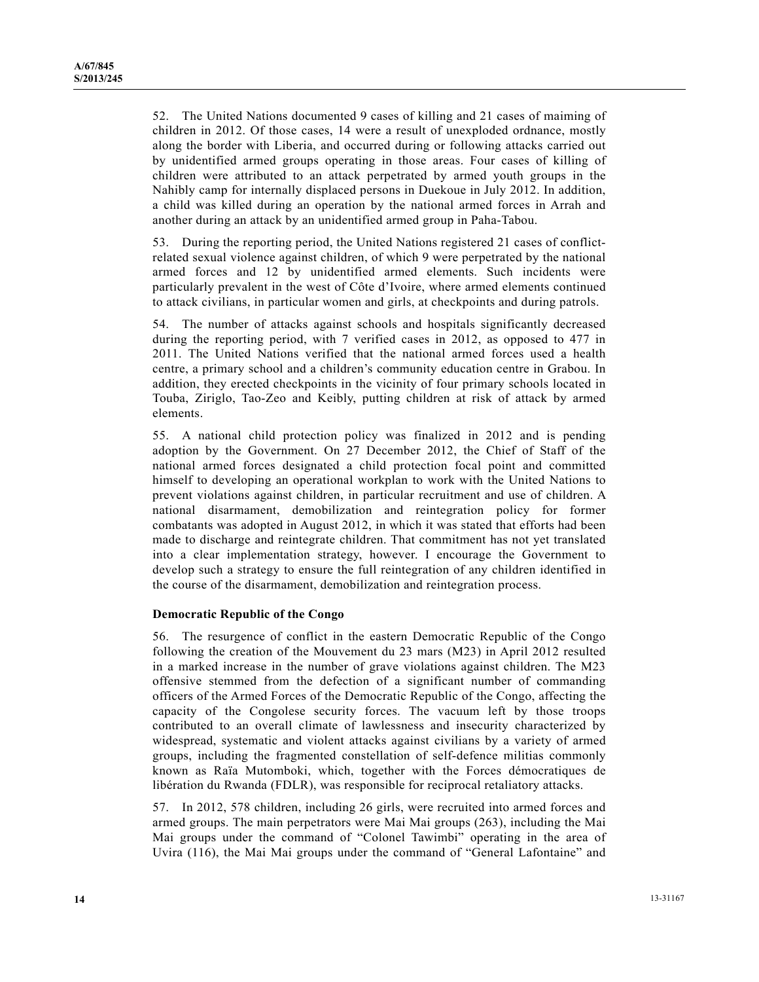52. The United Nations documented 9 cases of killing and 21 cases of maiming of children in 2012. Of those cases, 14 were a result of unexploded ordnance, mostly along the border with Liberia, and occurred during or following attacks carried out by unidentified armed groups operating in those areas. Four cases of killing of children were attributed to an attack perpetrated by armed youth groups in the Nahibly camp for internally displaced persons in Duekoue in July 2012. In addition, a child was killed during an operation by the national armed forces in Arrah and another during an attack by an unidentified armed group in Paha-Tabou.

53. During the reporting period, the United Nations registered 21 cases of conflictrelated sexual violence against children, of which 9 were perpetrated by the national armed forces and 12 by unidentified armed elements. Such incidents were particularly prevalent in the west of Côte d'Ivoire, where armed elements continued to attack civilians, in particular women and girls, at checkpoints and during patrols.

54. The number of attacks against schools and hospitals significantly decreased during the reporting period, with 7 verified cases in 2012, as opposed to 477 in 2011. The United Nations verified that the national armed forces used a health centre, a primary school and a children's community education centre in Grabou. In addition, they erected checkpoints in the vicinity of four primary schools located in Touba, Ziriglo, Tao-Zeo and Keibly, putting children at risk of attack by armed elements.

55. A national child protection policy was finalized in 2012 and is pending adoption by the Government. On 27 December 2012, the Chief of Staff of the national armed forces designated a child protection focal point and committed himself to developing an operational workplan to work with the United Nations to prevent violations against children, in particular recruitment and use of children. A national disarmament, demobilization and reintegration policy for former combatants was adopted in August 2012, in which it was stated that efforts had been made to discharge and reintegrate children. That commitment has not yet translated into a clear implementation strategy, however. I encourage the Government to develop such a strategy to ensure the full reintegration of any children identified in the course of the disarmament, demobilization and reintegration process.

## **Democratic Republic of the Congo**

56. The resurgence of conflict in the eastern Democratic Republic of the Congo following the creation of the Mouvement du 23 mars (M23) in April 2012 resulted in a marked increase in the number of grave violations against children. The M23 offensive stemmed from the defection of a significant number of commanding officers of the Armed Forces of the Democratic Republic of the Congo, affecting the capacity of the Congolese security forces. The vacuum left by those troops contributed to an overall climate of lawlessness and insecurity characterized by widespread, systematic and violent attacks against civilians by a variety of armed groups, including the fragmented constellation of self-defence militias commonly known as Raïa Mutomboki, which, together with the Forces démocratiques de libération du Rwanda (FDLR), was responsible for reciprocal retaliatory attacks.

57. In 2012, 578 children, including 26 girls, were recruited into armed forces and armed groups. The main perpetrators were Mai Mai groups (263), including the Mai Mai groups under the command of "Colonel Tawimbi" operating in the area of Uvira (116), the Mai Mai groups under the command of "General Lafontaine" and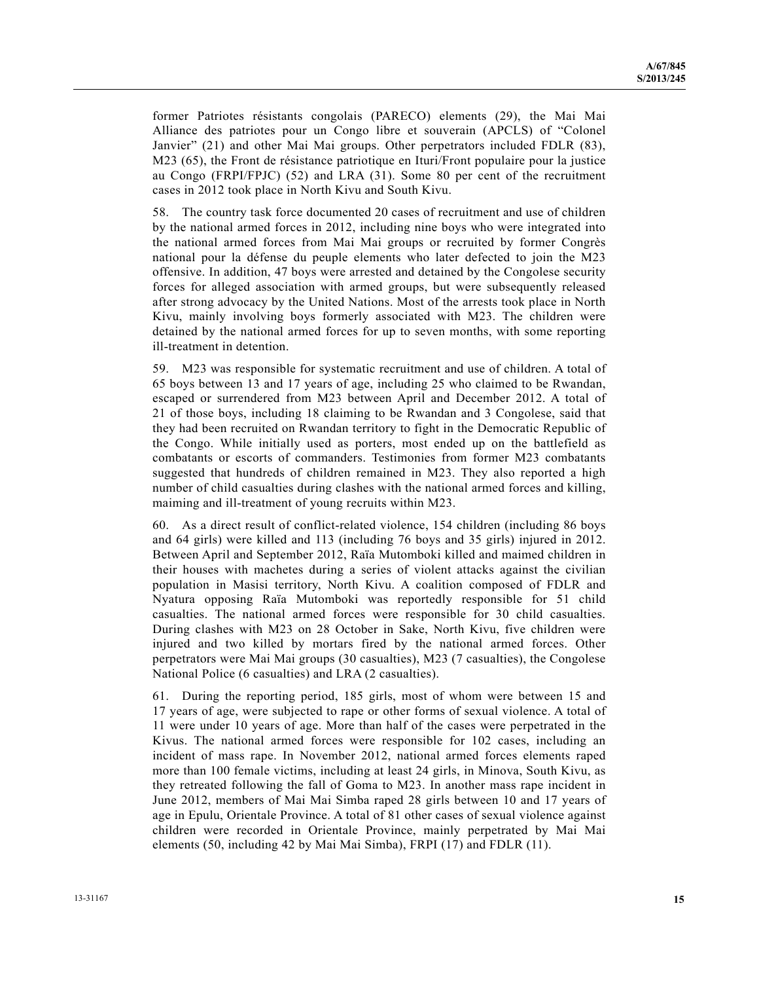former Patriotes résistants congolais (PARECO) elements (29), the Mai Mai Alliance des patriotes pour un Congo libre et souverain (APCLS) of "Colonel Janvier" (21) and other Mai Mai groups. Other perpetrators included FDLR (83), M23 (65), the Front de résistance patriotique en Ituri/Front populaire pour la justice au Congo (FRPI/FPJC) (52) and LRA (31). Some 80 per cent of the recruitment cases in 2012 took place in North Kivu and South Kivu.

58. The country task force documented 20 cases of recruitment and use of children by the national armed forces in 2012, including nine boys who were integrated into the national armed forces from Mai Mai groups or recruited by former Congrès national pour la défense du peuple elements who later defected to join the M23 offensive. In addition, 47 boys were arrested and detained by the Congolese security forces for alleged association with armed groups, but were subsequently released after strong advocacy by the United Nations. Most of the arrests took place in North Kivu, mainly involving boys formerly associated with M23. The children were detained by the national armed forces for up to seven months, with some reporting ill-treatment in detention.

59. M23 was responsible for systematic recruitment and use of children. A total of 65 boys between 13 and 17 years of age, including 25 who claimed to be Rwandan, escaped or surrendered from M23 between April and December 2012. A total of 21 of those boys, including 18 claiming to be Rwandan and 3 Congolese, said that they had been recruited on Rwandan territory to fight in the Democratic Republic of the Congo. While initially used as porters, most ended up on the battlefield as combatants or escorts of commanders. Testimonies from former M23 combatants suggested that hundreds of children remained in M23. They also reported a high number of child casualties during clashes with the national armed forces and killing, maiming and ill-treatment of young recruits within M23.

60. As a direct result of conflict-related violence, 154 children (including 86 boys and 64 girls) were killed and 113 (including 76 boys and 35 girls) injured in 2012. Between April and September 2012, Raïa Mutomboki killed and maimed children in their houses with machetes during a series of violent attacks against the civilian population in Masisi territory, North Kivu. A coalition composed of FDLR and Nyatura opposing Raïa Mutomboki was reportedly responsible for 51 child casualties. The national armed forces were responsible for 30 child casualties. During clashes with M23 on 28 October in Sake, North Kivu, five children were injured and two killed by mortars fired by the national armed forces. Other perpetrators were Mai Mai groups (30 casualties), M23 (7 casualties), the Congolese National Police (6 casualties) and LRA (2 casualties).

61. During the reporting period, 185 girls, most of whom were between 15 and 17 years of age, were subjected to rape or other forms of sexual violence. A total of 11 were under 10 years of age. More than half of the cases were perpetrated in the Kivus. The national armed forces were responsible for 102 cases, including an incident of mass rape. In November 2012, national armed forces elements raped more than 100 female victims, including at least 24 girls, in Minova, South Kivu, as they retreated following the fall of Goma to M23. In another mass rape incident in June 2012, members of Mai Mai Simba raped 28 girls between 10 and 17 years of age in Epulu, Orientale Province. A total of 81 other cases of sexual violence against children were recorded in Orientale Province, mainly perpetrated by Mai Mai elements (50, including 42 by Mai Mai Simba), FRPI (17) and FDLR (11).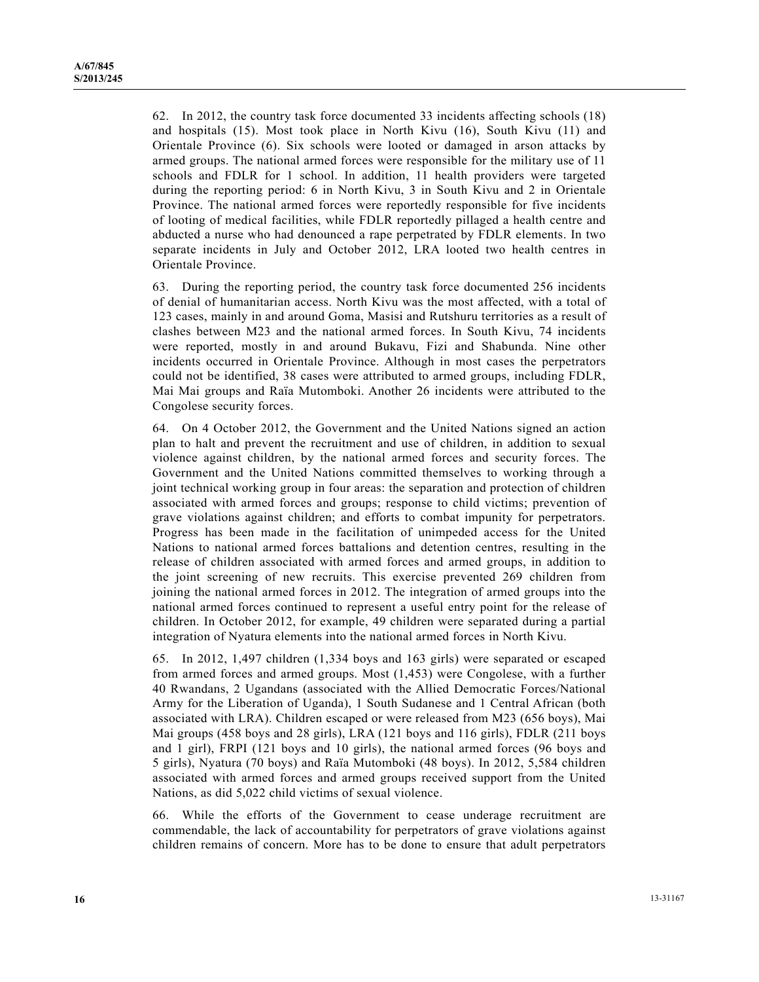62. In 2012, the country task force documented 33 incidents affecting schools (18) and hospitals (15). Most took place in North Kivu (16), South Kivu (11) and Orientale Province (6). Six schools were looted or damaged in arson attacks by armed groups. The national armed forces were responsible for the military use of 11 schools and FDLR for 1 school. In addition, 11 health providers were targeted during the reporting period: 6 in North Kivu, 3 in South Kivu and 2 in Orientale Province. The national armed forces were reportedly responsible for five incidents of looting of medical facilities, while FDLR reportedly pillaged a health centre and abducted a nurse who had denounced a rape perpetrated by FDLR elements. In two separate incidents in July and October 2012, LRA looted two health centres in Orientale Province.

63. During the reporting period, the country task force documented 256 incidents of denial of humanitarian access. North Kivu was the most affected, with a total of 123 cases, mainly in and around Goma, Masisi and Rutshuru territories as a result of clashes between M23 and the national armed forces. In South Kivu, 74 incidents were reported, mostly in and around Bukavu, Fizi and Shabunda. Nine other incidents occurred in Orientale Province. Although in most cases the perpetrators could not be identified, 38 cases were attributed to armed groups, including FDLR, Mai Mai groups and Raïa Mutomboki. Another 26 incidents were attributed to the Congolese security forces.

64. On 4 October 2012, the Government and the United Nations signed an action plan to halt and prevent the recruitment and use of children, in addition to sexual violence against children, by the national armed forces and security forces. The Government and the United Nations committed themselves to working through a joint technical working group in four areas: the separation and protection of children associated with armed forces and groups; response to child victims; prevention of grave violations against children; and efforts to combat impunity for perpetrators. Progress has been made in the facilitation of unimpeded access for the United Nations to national armed forces battalions and detention centres, resulting in the release of children associated with armed forces and armed groups, in addition to the joint screening of new recruits. This exercise prevented 269 children from joining the national armed forces in 2012. The integration of armed groups into the national armed forces continued to represent a useful entry point for the release of children. In October 2012, for example, 49 children were separated during a partial integration of Nyatura elements into the national armed forces in North Kivu.

65. In 2012, 1,497 children (1,334 boys and 163 girls) were separated or escaped from armed forces and armed groups. Most (1,453) were Congolese, with a further 40 Rwandans, 2 Ugandans (associated with the Allied Democratic Forces/National Army for the Liberation of Uganda), 1 South Sudanese and 1 Central African (both associated with LRA). Children escaped or were released from M23 (656 boys), Mai Mai groups (458 boys and 28 girls), LRA (121 boys and 116 girls), FDLR (211 boys and 1 girl), FRPI (121 boys and 10 girls), the national armed forces (96 boys and 5 girls), Nyatura (70 boys) and Raïa Mutomboki (48 boys). In 2012, 5,584 children associated with armed forces and armed groups received support from the United Nations, as did 5,022 child victims of sexual violence.

66. While the efforts of the Government to cease underage recruitment are commendable, the lack of accountability for perpetrators of grave violations against children remains of concern. More has to be done to ensure that adult perpetrators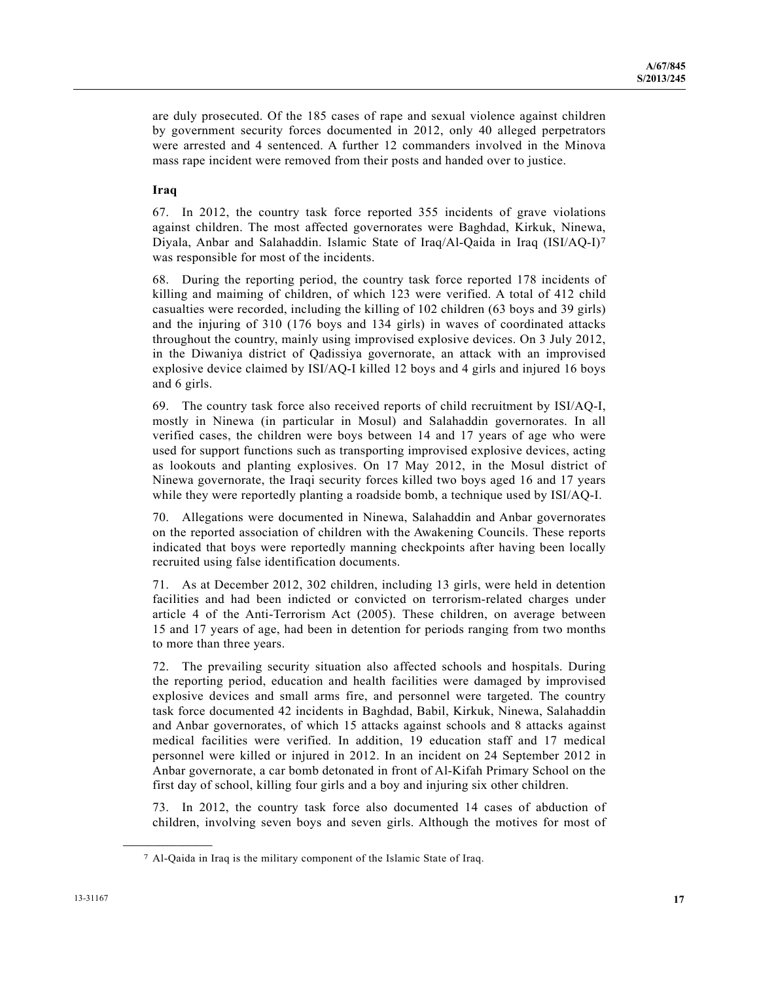are duly prosecuted. Of the 185 cases of rape and sexual violence against children by government security forces documented in 2012, only 40 alleged perpetrators were arrested and 4 sentenced. A further 12 commanders involved in the Minova mass rape incident were removed from their posts and handed over to justice.

## **Iraq**

67. In 2012, the country task force reported 355 incidents of grave violations against children. The most affected governorates were Baghdad, Kirkuk, Ninewa, Diyala, Anbar and Salahaddin. Islamic State of Iraq/Al-Qaida in Iraq (ISI/AQ-I)7 was responsible for most of the incidents.

68. During the reporting period, the country task force reported 178 incidents of killing and maiming of children, of which 123 were verified. A total of 412 child casualties were recorded, including the killing of 102 children (63 boys and 39 girls) and the injuring of 310 (176 boys and 134 girls) in waves of coordinated attacks throughout the country, mainly using improvised explosive devices. On 3 July 2012, in the Diwaniya district of Qadissiya governorate, an attack with an improvised explosive device claimed by ISI/AQ-I killed 12 boys and 4 girls and injured 16 boys and 6 girls.

69. The country task force also received reports of child recruitment by ISI/AQ-I, mostly in Ninewa (in particular in Mosul) and Salahaddin governorates. In all verified cases, the children were boys between 14 and 17 years of age who were used for support functions such as transporting improvised explosive devices, acting as lookouts and planting explosives. On 17 May 2012, in the Mosul district of Ninewa governorate, the Iraqi security forces killed two boys aged 16 and 17 years while they were reportedly planting a roadside bomb, a technique used by ISI/AQ-I.

70. Allegations were documented in Ninewa, Salahaddin and Anbar governorates on the reported association of children with the Awakening Councils. These reports indicated that boys were reportedly manning checkpoints after having been locally recruited using false identification documents.

71. As at December 2012, 302 children, including 13 girls, were held in detention facilities and had been indicted or convicted on terrorism-related charges under article 4 of the Anti-Terrorism Act (2005). These children, on average between 15 and 17 years of age, had been in detention for periods ranging from two months to more than three years.

72. The prevailing security situation also affected schools and hospitals. During the reporting period, education and health facilities were damaged by improvised explosive devices and small arms fire, and personnel were targeted. The country task force documented 42 incidents in Baghdad, Babil, Kirkuk, Ninewa, Salahaddin and Anbar governorates, of which 15 attacks against schools and 8 attacks against medical facilities were verified. In addition, 19 education staff and 17 medical personnel were killed or injured in 2012. In an incident on 24 September 2012 in Anbar governorate, a car bomb detonated in front of Al-Kifah Primary School on the first day of school, killing four girls and a boy and injuring six other children.

73. In 2012, the country task force also documented 14 cases of abduction of children, involving seven boys and seven girls. Although the motives for most of

**\_\_\_\_\_\_\_\_\_\_\_\_\_\_\_\_\_\_** 

<sup>7</sup> Al-Qaida in Iraq is the military component of the Islamic State of Iraq.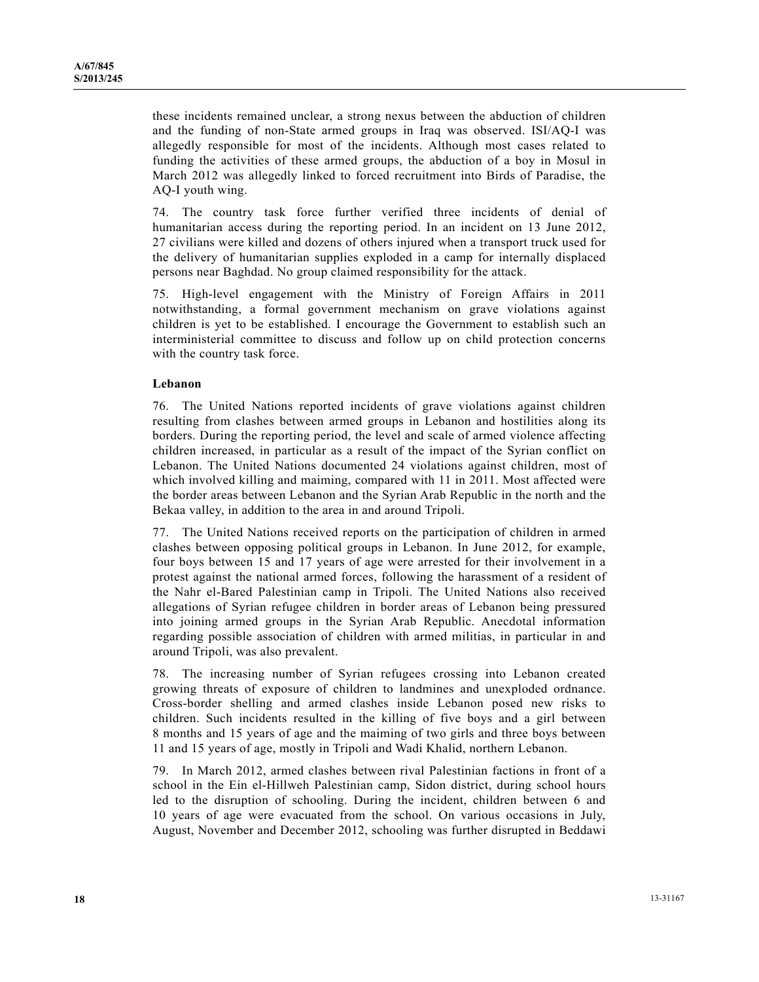these incidents remained unclear, a strong nexus between the abduction of children and the funding of non-State armed groups in Iraq was observed. ISI/AQ-I was allegedly responsible for most of the incidents. Although most cases related to funding the activities of these armed groups, the abduction of a boy in Mosul in March 2012 was allegedly linked to forced recruitment into Birds of Paradise, the AQ-I youth wing.

74. The country task force further verified three incidents of denial of humanitarian access during the reporting period. In an incident on 13 June 2012, 27 civilians were killed and dozens of others injured when a transport truck used for the delivery of humanitarian supplies exploded in a camp for internally displaced persons near Baghdad. No group claimed responsibility for the attack.

75. High-level engagement with the Ministry of Foreign Affairs in 2011 notwithstanding, a formal government mechanism on grave violations against children is yet to be established. I encourage the Government to establish such an interministerial committee to discuss and follow up on child protection concerns with the country task force.

#### **Lebanon**

76. The United Nations reported incidents of grave violations against children resulting from clashes between armed groups in Lebanon and hostilities along its borders. During the reporting period, the level and scale of armed violence affecting children increased, in particular as a result of the impact of the Syrian conflict on Lebanon. The United Nations documented 24 violations against children, most of which involved killing and maiming, compared with 11 in 2011. Most affected were the border areas between Lebanon and the Syrian Arab Republic in the north and the Bekaa valley, in addition to the area in and around Tripoli.

77. The United Nations received reports on the participation of children in armed clashes between opposing political groups in Lebanon. In June 2012, for example, four boys between 15 and 17 years of age were arrested for their involvement in a protest against the national armed forces, following the harassment of a resident of the Nahr el-Bared Palestinian camp in Tripoli. The United Nations also received allegations of Syrian refugee children in border areas of Lebanon being pressured into joining armed groups in the Syrian Arab Republic. Anecdotal information regarding possible association of children with armed militias, in particular in and around Tripoli, was also prevalent.

78. The increasing number of Syrian refugees crossing into Lebanon created growing threats of exposure of children to landmines and unexploded ordnance. Cross-border shelling and armed clashes inside Lebanon posed new risks to children. Such incidents resulted in the killing of five boys and a girl between 8 months and 15 years of age and the maiming of two girls and three boys between 11 and 15 years of age, mostly in Tripoli and Wadi Khalid, northern Lebanon.

79. In March 2012, armed clashes between rival Palestinian factions in front of a school in the Ein el-Hillweh Palestinian camp, Sidon district, during school hours led to the disruption of schooling. During the incident, children between 6 and 10 years of age were evacuated from the school. On various occasions in July, August, November and December 2012, schooling was further disrupted in Beddawi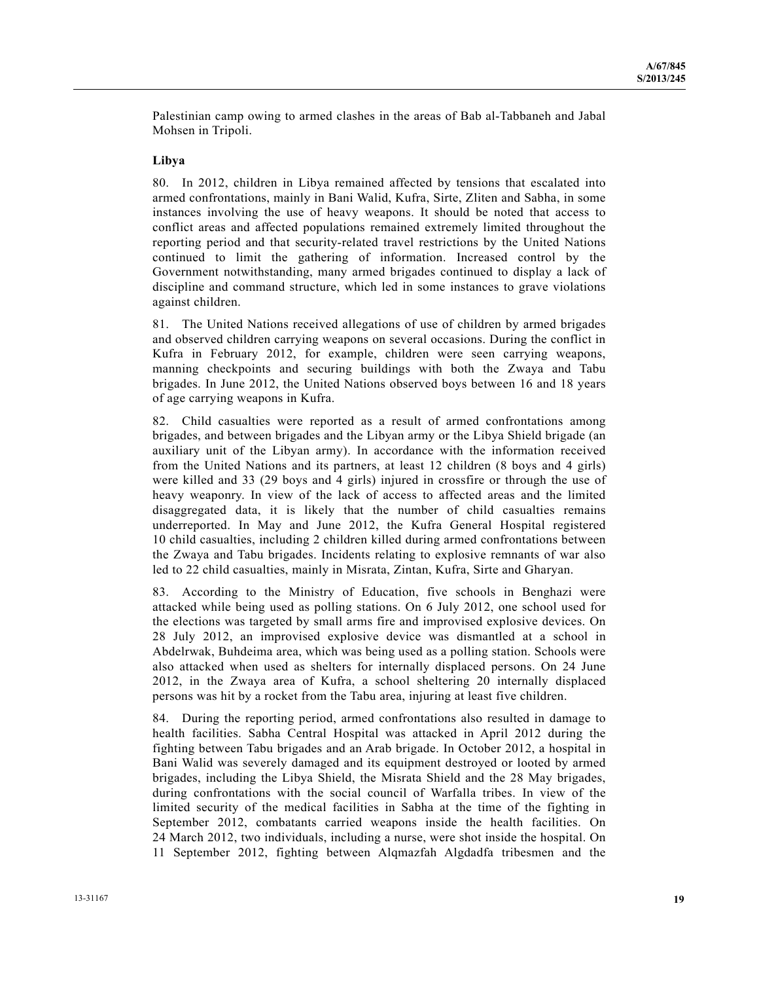Palestinian camp owing to armed clashes in the areas of Bab al-Tabbaneh and Jabal Mohsen in Tripoli.

### **Libya**

80. In 2012, children in Libya remained affected by tensions that escalated into armed confrontations, mainly in Bani Walid, Kufra, Sirte, Zliten and Sabha, in some instances involving the use of heavy weapons. It should be noted that access to conflict areas and affected populations remained extremely limited throughout the reporting period and that security-related travel restrictions by the United Nations continued to limit the gathering of information. Increased control by the Government notwithstanding, many armed brigades continued to display a lack of discipline and command structure, which led in some instances to grave violations against children.

81. The United Nations received allegations of use of children by armed brigades and observed children carrying weapons on several occasions. During the conflict in Kufra in February 2012, for example, children were seen carrying weapons, manning checkpoints and securing buildings with both the Zwaya and Tabu brigades. In June 2012, the United Nations observed boys between 16 and 18 years of age carrying weapons in Kufra.

82. Child casualties were reported as a result of armed confrontations among brigades, and between brigades and the Libyan army or the Libya Shield brigade (an auxiliary unit of the Libyan army). In accordance with the information received from the United Nations and its partners, at least 12 children (8 boys and 4 girls) were killed and 33 (29 boys and 4 girls) injured in crossfire or through the use of heavy weaponry. In view of the lack of access to affected areas and the limited disaggregated data, it is likely that the number of child casualties remains underreported. In May and June 2012, the Kufra General Hospital registered 10 child casualties, including 2 children killed during armed confrontations between the Zwaya and Tabu brigades. Incidents relating to explosive remnants of war also led to 22 child casualties, mainly in Misrata, Zintan, Kufra, Sirte and Gharyan.

83. According to the Ministry of Education, five schools in Benghazi were attacked while being used as polling stations. On 6 July 2012, one school used for the elections was targeted by small arms fire and improvised explosive devices. On 28 July 2012, an improvised explosive device was dismantled at a school in Abdelrwak, Buhdeima area, which was being used as a polling station. Schools were also attacked when used as shelters for internally displaced persons. On 24 June 2012, in the Zwaya area of Kufra, a school sheltering 20 internally displaced persons was hit by a rocket from the Tabu area, injuring at least five children.

84. During the reporting period, armed confrontations also resulted in damage to health facilities. Sabha Central Hospital was attacked in April 2012 during the fighting between Tabu brigades and an Arab brigade. In October 2012, a hospital in Bani Walid was severely damaged and its equipment destroyed or looted by armed brigades, including the Libya Shield, the Misrata Shield and the 28 May brigades, during confrontations with the social council of Warfalla tribes. In view of the limited security of the medical facilities in Sabha at the time of the fighting in September 2012, combatants carried weapons inside the health facilities. On 24 March 2012, two individuals, including a nurse, were shot inside the hospital. On 11 September 2012, fighting between Alqmazfah Algdadfa tribesmen and the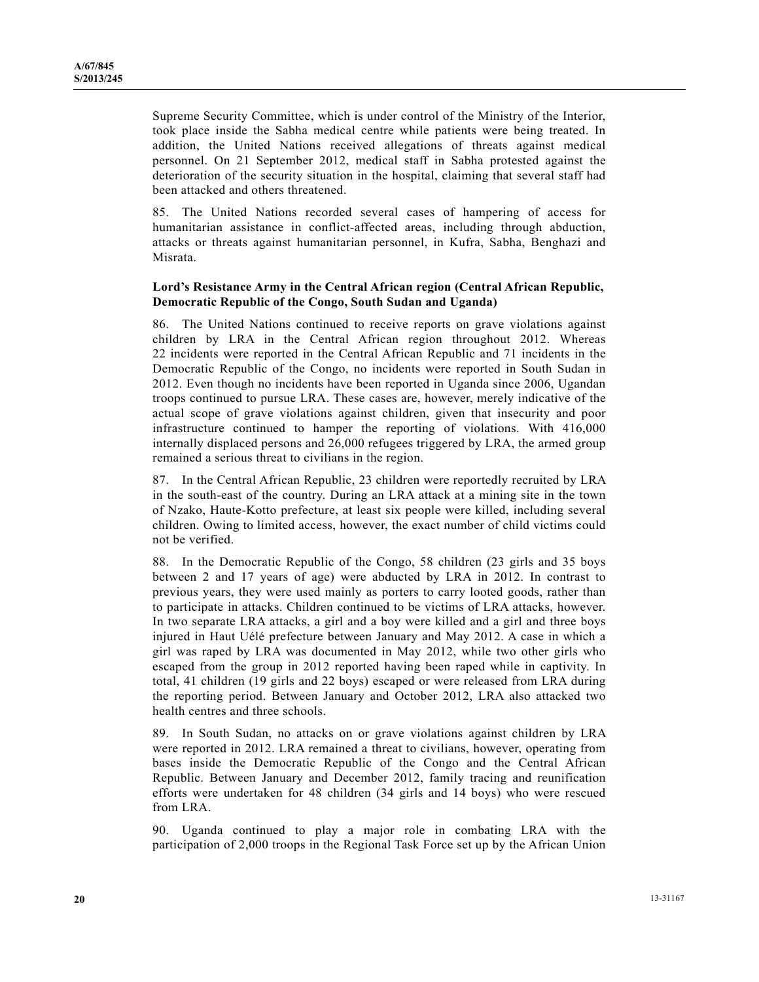Supreme Security Committee, which is under control of the Ministry of the Interior, took place inside the Sabha medical centre while patients were being treated. In addition, the United Nations received allegations of threats against medical personnel. On 21 September 2012, medical staff in Sabha protested against the deterioration of the security situation in the hospital, claiming that several staff had been attacked and others threatened.

85. The United Nations recorded several cases of hampering of access for humanitarian assistance in conflict-affected areas, including through abduction, attacks or threats against humanitarian personnel, in Kufra, Sabha, Benghazi and Misrata.

### **Lord's Resistance Army in the Central African region (Central African Republic, Democratic Republic of the Congo, South Sudan and Uganda)**

86. The United Nations continued to receive reports on grave violations against children by LRA in the Central African region throughout 2012. Whereas 22 incidents were reported in the Central African Republic and 71 incidents in the Democratic Republic of the Congo, no incidents were reported in South Sudan in 2012. Even though no incidents have been reported in Uganda since 2006, Ugandan troops continued to pursue LRA. These cases are, however, merely indicative of the actual scope of grave violations against children, given that insecurity and poor infrastructure continued to hamper the reporting of violations. With 416,000 internally displaced persons and 26,000 refugees triggered by LRA, the armed group remained a serious threat to civilians in the region.

87. In the Central African Republic, 23 children were reportedly recruited by LRA in the south-east of the country. During an LRA attack at a mining site in the town of Nzako, Haute-Kotto prefecture, at least six people were killed, including several children. Owing to limited access, however, the exact number of child victims could not be verified.

88. In the Democratic Republic of the Congo, 58 children (23 girls and 35 boys between 2 and 17 years of age) were abducted by LRA in 2012. In contrast to previous years, they were used mainly as porters to carry looted goods, rather than to participate in attacks. Children continued to be victims of LRA attacks, however. In two separate LRA attacks, a girl and a boy were killed and a girl and three boys injured in Haut Uélé prefecture between January and May 2012. A case in which a girl was raped by LRA was documented in May 2012, while two other girls who escaped from the group in 2012 reported having been raped while in captivity. In total, 41 children (19 girls and 22 boys) escaped or were released from LRA during the reporting period. Between January and October 2012, LRA also attacked two health centres and three schools.

89. In South Sudan, no attacks on or grave violations against children by LRA were reported in 2012. LRA remained a threat to civilians, however, operating from bases inside the Democratic Republic of the Congo and the Central African Republic. Between January and December 2012, family tracing and reunification efforts were undertaken for 48 children (34 girls and 14 boys) who were rescued from LRA.

90. Uganda continued to play a major role in combating LRA with the participation of 2,000 troops in the Regional Task Force set up by the African Union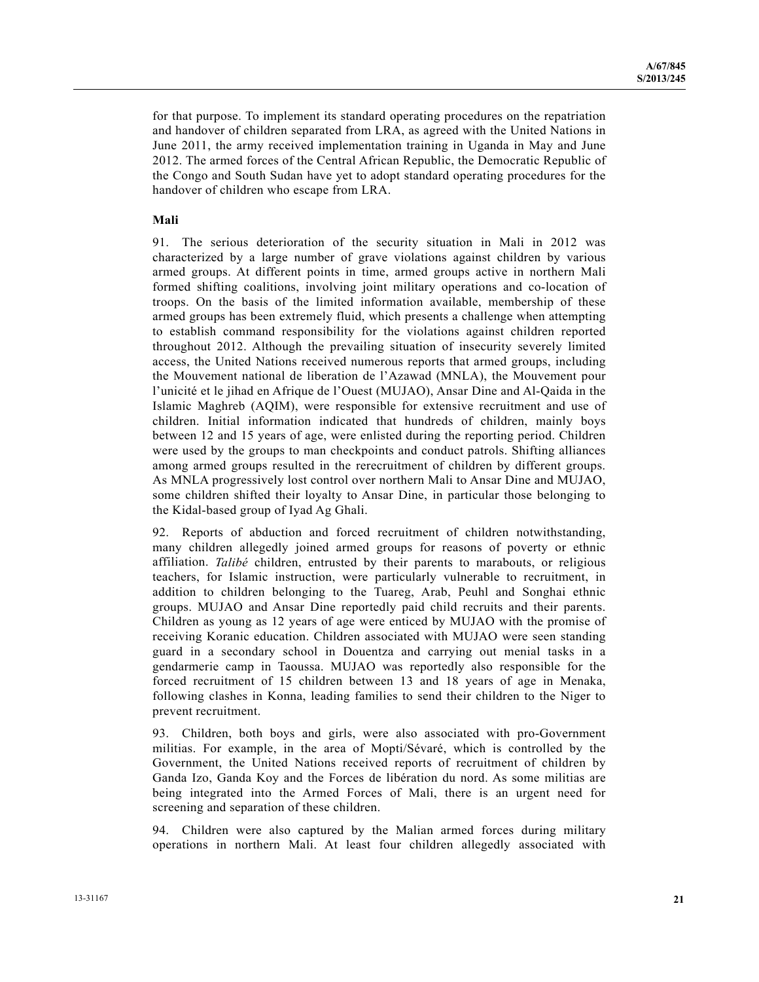for that purpose. To implement its standard operating procedures on the repatriation and handover of children separated from LRA, as agreed with the United Nations in June 2011, the army received implementation training in Uganda in May and June 2012. The armed forces of the Central African Republic, the Democratic Republic of the Congo and South Sudan have yet to adopt standard operating procedures for the handover of children who escape from LRA.

### **Mali**

91. The serious deterioration of the security situation in Mali in 2012 was characterized by a large number of grave violations against children by various armed groups. At different points in time, armed groups active in northern Mali formed shifting coalitions, involving joint military operations and co-location of troops. On the basis of the limited information available, membership of these armed groups has been extremely fluid, which presents a challenge when attempting to establish command responsibility for the violations against children reported throughout 2012. Although the prevailing situation of insecurity severely limited access, the United Nations received numerous reports that armed groups, including the Mouvement national de liberation de l'Azawad (MNLA), the Mouvement pour l'unicité et le jihad en Afrique de l'Ouest (MUJAO), Ansar Dine and Al-Qaida in the Islamic Maghreb (AQIM), were responsible for extensive recruitment and use of children. Initial information indicated that hundreds of children, mainly boys between 12 and 15 years of age, were enlisted during the reporting period. Children were used by the groups to man checkpoints and conduct patrols. Shifting alliances among armed groups resulted in the rerecruitment of children by different groups. As MNLA progressively lost control over northern Mali to Ansar Dine and MUJAO, some children shifted their loyalty to Ansar Dine, in particular those belonging to the Kidal-based group of Iyad Ag Ghali.

92. Reports of abduction and forced recruitment of children notwithstanding, many children allegedly joined armed groups for reasons of poverty or ethnic affiliation. *Talibé* children, entrusted by their parents to marabouts, or religious teachers, for Islamic instruction, were particularly vulnerable to recruitment, in addition to children belonging to the Tuareg, Arab, Peuhl and Songhai ethnic groups. MUJAO and Ansar Dine reportedly paid child recruits and their parents. Children as young as 12 years of age were enticed by MUJAO with the promise of receiving Koranic education. Children associated with MUJAO were seen standing guard in a secondary school in Douentza and carrying out menial tasks in a gendarmerie camp in Taoussa. MUJAO was reportedly also responsible for the forced recruitment of 15 children between 13 and 18 years of age in Menaka, following clashes in Konna, leading families to send their children to the Niger to prevent recruitment.

93. Children, both boys and girls, were also associated with pro-Government militias. For example, in the area of Mopti/Sévaré, which is controlled by the Government, the United Nations received reports of recruitment of children by Ganda Izo, Ganda Koy and the Forces de libération du nord. As some militias are being integrated into the Armed Forces of Mali, there is an urgent need for screening and separation of these children.

94. Children were also captured by the Malian armed forces during military operations in northern Mali. At least four children allegedly associated with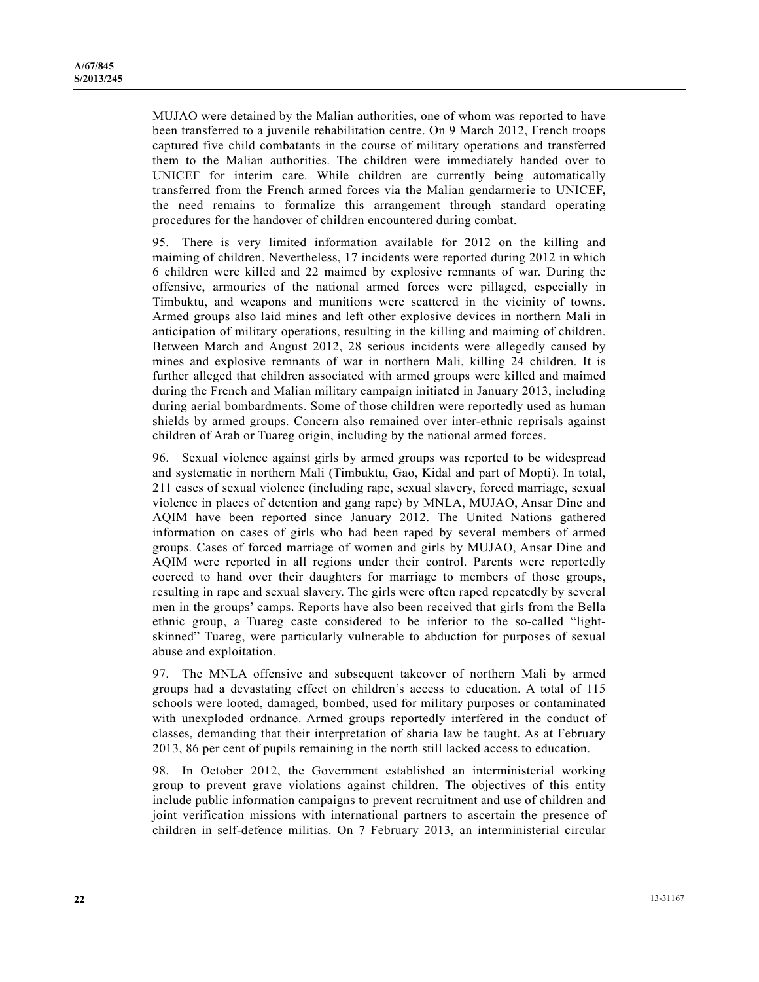MUJAO were detained by the Malian authorities, one of whom was reported to have been transferred to a juvenile rehabilitation centre. On 9 March 2012, French troops captured five child combatants in the course of military operations and transferred them to the Malian authorities. The children were immediately handed over to UNICEF for interim care. While children are currently being automatically transferred from the French armed forces via the Malian gendarmerie to UNICEF, the need remains to formalize this arrangement through standard operating procedures for the handover of children encountered during combat.

95. There is very limited information available for 2012 on the killing and maiming of children. Nevertheless, 17 incidents were reported during 2012 in which 6 children were killed and 22 maimed by explosive remnants of war. During the offensive, armouries of the national armed forces were pillaged, especially in Timbuktu, and weapons and munitions were scattered in the vicinity of towns. Armed groups also laid mines and left other explosive devices in northern Mali in anticipation of military operations, resulting in the killing and maiming of children. Between March and August 2012, 28 serious incidents were allegedly caused by mines and explosive remnants of war in northern Mali, killing 24 children. It is further alleged that children associated with armed groups were killed and maimed during the French and Malian military campaign initiated in January 2013, including during aerial bombardments. Some of those children were reportedly used as human shields by armed groups. Concern also remained over inter-ethnic reprisals against children of Arab or Tuareg origin, including by the national armed forces.

96. Sexual violence against girls by armed groups was reported to be widespread and systematic in northern Mali (Timbuktu, Gao, Kidal and part of Mopti). In total, 211 cases of sexual violence (including rape, sexual slavery, forced marriage, sexual violence in places of detention and gang rape) by MNLA, MUJAO, Ansar Dine and AQIM have been reported since January 2012. The United Nations gathered information on cases of girls who had been raped by several members of armed groups. Cases of forced marriage of women and girls by MUJAO, Ansar Dine and AQIM were reported in all regions under their control. Parents were reportedly coerced to hand over their daughters for marriage to members of those groups, resulting in rape and sexual slavery. The girls were often raped repeatedly by several men in the groups' camps. Reports have also been received that girls from the Bella ethnic group, a Tuareg caste considered to be inferior to the so-called "lightskinned" Tuareg, were particularly vulnerable to abduction for purposes of sexual abuse and exploitation.

97. The MNLA offensive and subsequent takeover of northern Mali by armed groups had a devastating effect on children's access to education. A total of 115 schools were looted, damaged, bombed, used for military purposes or contaminated with unexploded ordnance. Armed groups reportedly interfered in the conduct of classes, demanding that their interpretation of sharia law be taught. As at February 2013, 86 per cent of pupils remaining in the north still lacked access to education.

98. In October 2012, the Government established an interministerial working group to prevent grave violations against children. The objectives of this entity include public information campaigns to prevent recruitment and use of children and joint verification missions with international partners to ascertain the presence of children in self-defence militias. On 7 February 2013, an interministerial circular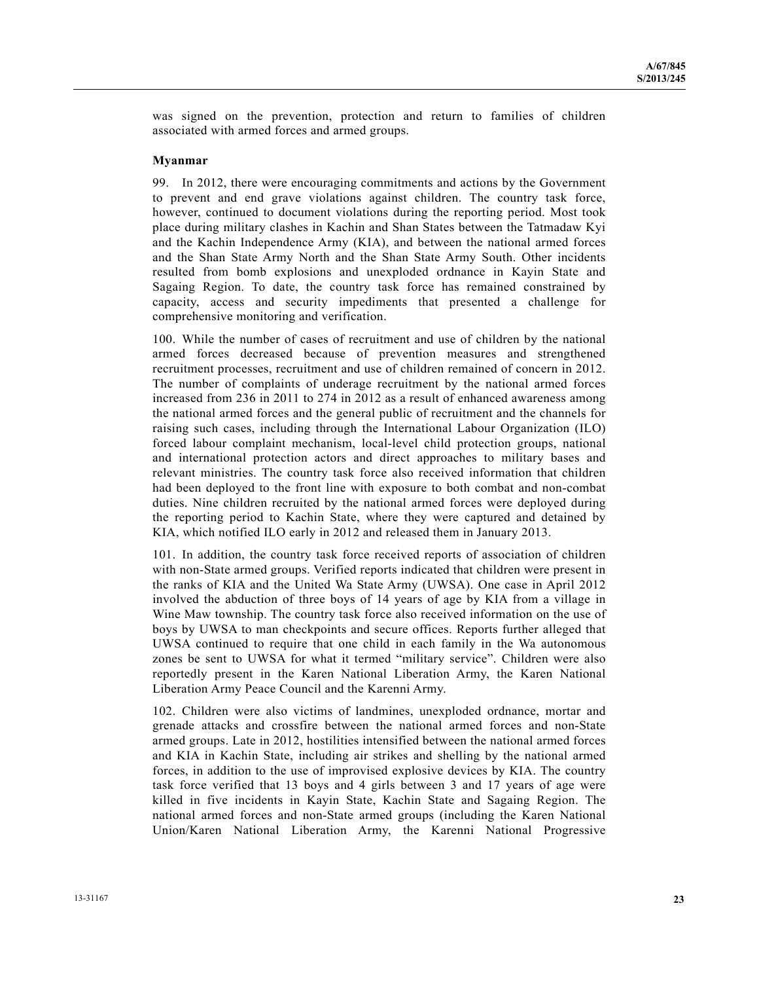was signed on the prevention, protection and return to families of children associated with armed forces and armed groups.

#### **Myanmar**

99. In 2012, there were encouraging commitments and actions by the Government to prevent and end grave violations against children. The country task force, however, continued to document violations during the reporting period. Most took place during military clashes in Kachin and Shan States between the Tatmadaw Kyi and the Kachin Independence Army (KIA), and between the national armed forces and the Shan State Army North and the Shan State Army South. Other incidents resulted from bomb explosions and unexploded ordnance in Kayin State and Sagaing Region. To date, the country task force has remained constrained by capacity, access and security impediments that presented a challenge for comprehensive monitoring and verification.

100. While the number of cases of recruitment and use of children by the national armed forces decreased because of prevention measures and strengthened recruitment processes, recruitment and use of children remained of concern in 2012. The number of complaints of underage recruitment by the national armed forces increased from 236 in 2011 to 274 in 2012 as a result of enhanced awareness among the national armed forces and the general public of recruitment and the channels for raising such cases, including through the International Labour Organization (ILO) forced labour complaint mechanism, local-level child protection groups, national and international protection actors and direct approaches to military bases and relevant ministries. The country task force also received information that children had been deployed to the front line with exposure to both combat and non-combat duties. Nine children recruited by the national armed forces were deployed during the reporting period to Kachin State, where they were captured and detained by KIA, which notified ILO early in 2012 and released them in January 2013.

101. In addition, the country task force received reports of association of children with non-State armed groups. Verified reports indicated that children were present in the ranks of KIA and the United Wa State Army (UWSA). One case in April 2012 involved the abduction of three boys of 14 years of age by KIA from a village in Wine Maw township. The country task force also received information on the use of boys by UWSA to man checkpoints and secure offices. Reports further alleged that UWSA continued to require that one child in each family in the Wa autonomous zones be sent to UWSA for what it termed "military service". Children were also reportedly present in the Karen National Liberation Army, the Karen National Liberation Army Peace Council and the Karenni Army.

102. Children were also victims of landmines, unexploded ordnance, mortar and grenade attacks and crossfire between the national armed forces and non-State armed groups. Late in 2012, hostilities intensified between the national armed forces and KIA in Kachin State, including air strikes and shelling by the national armed forces, in addition to the use of improvised explosive devices by KIA. The country task force verified that 13 boys and 4 girls between 3 and 17 years of age were killed in five incidents in Kayin State, Kachin State and Sagaing Region. The national armed forces and non-State armed groups (including the Karen National Union/Karen National Liberation Army, the Karenni National Progressive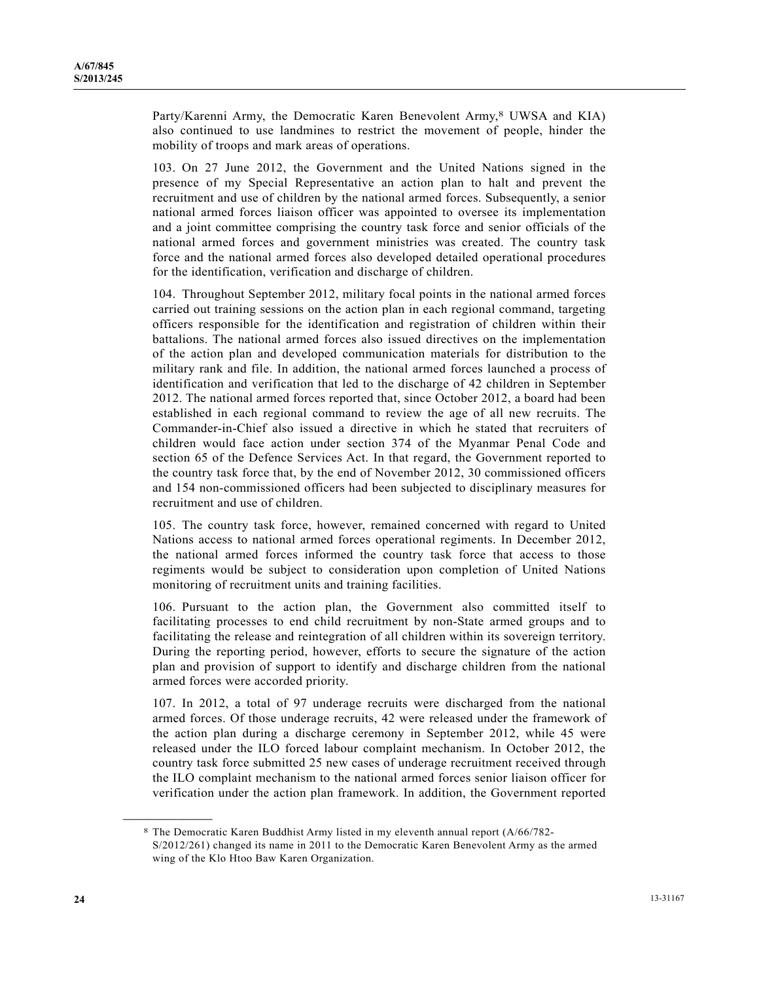Party/Karenni Army, the Democratic Karen Benevolent Army,<sup>8</sup> UWSA and KIA) also continued to use landmines to restrict the movement of people, hinder the mobility of troops and mark areas of operations.

103. On 27 June 2012, the Government and the United Nations signed in the presence of my Special Representative an action plan to halt and prevent the recruitment and use of children by the national armed forces. Subsequently, a senior national armed forces liaison officer was appointed to oversee its implementation and a joint committee comprising the country task force and senior officials of the national armed forces and government ministries was created. The country task force and the national armed forces also developed detailed operational procedures for the identification, verification and discharge of children.

104. Throughout September 2012, military focal points in the national armed forces carried out training sessions on the action plan in each regional command, targeting officers responsible for the identification and registration of children within their battalions. The national armed forces also issued directives on the implementation of the action plan and developed communication materials for distribution to the military rank and file. In addition, the national armed forces launched a process of identification and verification that led to the discharge of 42 children in September 2012. The national armed forces reported that, since October 2012, a board had been established in each regional command to review the age of all new recruits. The Commander-in-Chief also issued a directive in which he stated that recruiters of children would face action under section 374 of the Myanmar Penal Code and section 65 of the Defence Services Act. In that regard, the Government reported to the country task force that, by the end of November 2012, 30 commissioned officers and 154 non-commissioned officers had been subjected to disciplinary measures for recruitment and use of children.

105. The country task force, however, remained concerned with regard to United Nations access to national armed forces operational regiments. In December 2012, the national armed forces informed the country task force that access to those regiments would be subject to consideration upon completion of United Nations monitoring of recruitment units and training facilities.

106. Pursuant to the action plan, the Government also committed itself to facilitating processes to end child recruitment by non-State armed groups and to facilitating the release and reintegration of all children within its sovereign territory. During the reporting period, however, efforts to secure the signature of the action plan and provision of support to identify and discharge children from the national armed forces were accorded priority.

107. In 2012, a total of 97 underage recruits were discharged from the national armed forces. Of those underage recruits, 42 were released under the framework of the action plan during a discharge ceremony in September 2012, while 45 were released under the ILO forced labour complaint mechanism. In October 2012, the country task force submitted 25 new cases of underage recruitment received through the ILO complaint mechanism to the national armed forces senior liaison officer for verification under the action plan framework. In addition, the Government reported

**\_\_\_\_\_\_\_\_\_\_\_\_\_\_\_\_\_\_** 

<sup>8</sup> The Democratic Karen Buddhist Army listed in my eleventh annual report (A/66/782- S/2012/261) changed its name in 2011 to the Democratic Karen Benevolent Army as the armed wing of the Klo Htoo Baw Karen Organization.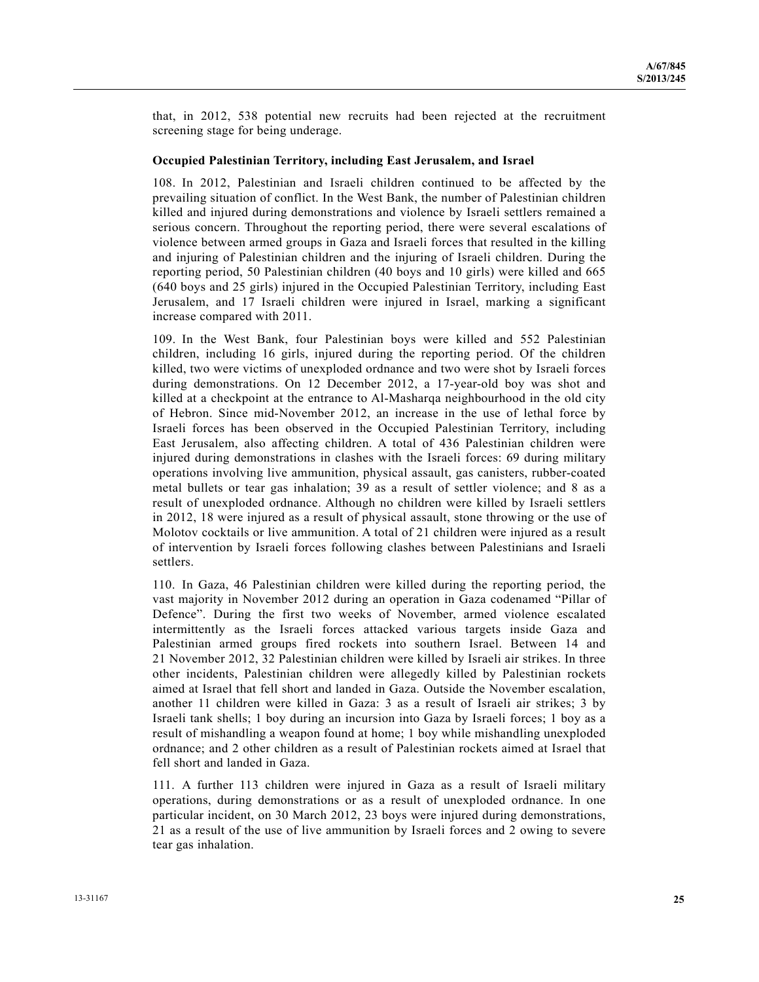that, in 2012, 538 potential new recruits had been rejected at the recruitment screening stage for being underage.

#### **Occupied Palestinian Territory, including East Jerusalem, and Israel**

108. In 2012, Palestinian and Israeli children continued to be affected by the prevailing situation of conflict. In the West Bank, the number of Palestinian children killed and injured during demonstrations and violence by Israeli settlers remained a serious concern. Throughout the reporting period, there were several escalations of violence between armed groups in Gaza and Israeli forces that resulted in the killing and injuring of Palestinian children and the injuring of Israeli children. During the reporting period, 50 Palestinian children (40 boys and 10 girls) were killed and 665 (640 boys and 25 girls) injured in the Occupied Palestinian Territory, including East Jerusalem, and 17 Israeli children were injured in Israel, marking a significant increase compared with 2011.

109. In the West Bank, four Palestinian boys were killed and 552 Palestinian children, including 16 girls, injured during the reporting period. Of the children killed, two were victims of unexploded ordnance and two were shot by Israeli forces during demonstrations. On 12 December 2012, a 17-year-old boy was shot and killed at a checkpoint at the entrance to Al-Masharqa neighbourhood in the old city of Hebron. Since mid-November 2012, an increase in the use of lethal force by Israeli forces has been observed in the Occupied Palestinian Territory, including East Jerusalem, also affecting children. A total of 436 Palestinian children were injured during demonstrations in clashes with the Israeli forces: 69 during military operations involving live ammunition, physical assault, gas canisters, rubber-coated metal bullets or tear gas inhalation; 39 as a result of settler violence; and 8 as a result of unexploded ordnance. Although no children were killed by Israeli settlers in 2012, 18 were injured as a result of physical assault, stone throwing or the use of Molotov cocktails or live ammunition. A total of 21 children were injured as a result of intervention by Israeli forces following clashes between Palestinians and Israeli settlers.

110. In Gaza, 46 Palestinian children were killed during the reporting period, the vast majority in November 2012 during an operation in Gaza codenamed "Pillar of Defence". During the first two weeks of November, armed violence escalated intermittently as the Israeli forces attacked various targets inside Gaza and Palestinian armed groups fired rockets into southern Israel. Between 14 and 21 November 2012, 32 Palestinian children were killed by Israeli air strikes. In three other incidents, Palestinian children were allegedly killed by Palestinian rockets aimed at Israel that fell short and landed in Gaza. Outside the November escalation, another 11 children were killed in Gaza: 3 as a result of Israeli air strikes; 3 by Israeli tank shells; 1 boy during an incursion into Gaza by Israeli forces; 1 boy as a result of mishandling a weapon found at home; 1 boy while mishandling unexploded ordnance; and 2 other children as a result of Palestinian rockets aimed at Israel that fell short and landed in Gaza.

111. A further 113 children were injured in Gaza as a result of Israeli military operations, during demonstrations or as a result of unexploded ordnance. In one particular incident, on 30 March 2012, 23 boys were injured during demonstrations, 21 as a result of the use of live ammunition by Israeli forces and 2 owing to severe tear gas inhalation.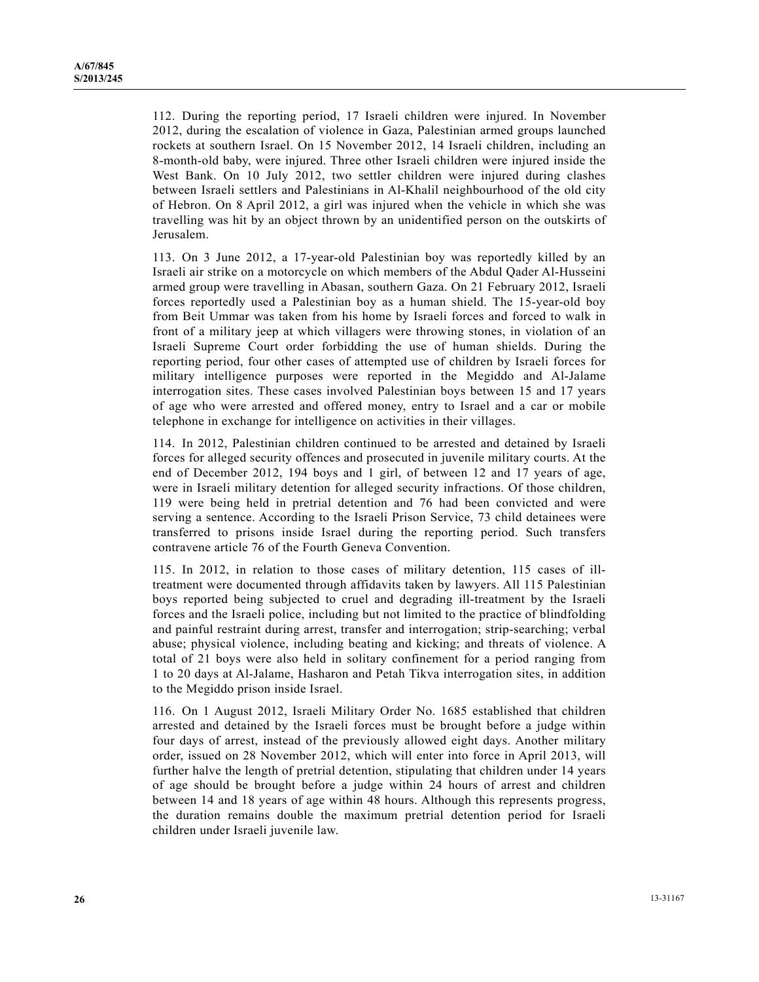112. During the reporting period, 17 Israeli children were injured. In November 2012, during the escalation of violence in Gaza, Palestinian armed groups launched rockets at southern Israel. On 15 November 2012, 14 Israeli children, including an 8-month-old baby, were injured. Three other Israeli children were injured inside the West Bank. On 10 July 2012, two settler children were injured during clashes between Israeli settlers and Palestinians in Al-Khalil neighbourhood of the old city of Hebron. On 8 April 2012, a girl was injured when the vehicle in which she was travelling was hit by an object thrown by an unidentified person on the outskirts of Jerusalem.

113. On 3 June 2012, a 17-year-old Palestinian boy was reportedly killed by an Israeli air strike on a motorcycle on which members of the Abdul Qader Al-Husseini armed group were travelling in Abasan, southern Gaza. On 21 February 2012, Israeli forces reportedly used a Palestinian boy as a human shield. The 15-year-old boy from Beit Ummar was taken from his home by Israeli forces and forced to walk in front of a military jeep at which villagers were throwing stones, in violation of an Israeli Supreme Court order forbidding the use of human shields. During the reporting period, four other cases of attempted use of children by Israeli forces for military intelligence purposes were reported in the Megiddo and Al-Jalame interrogation sites. These cases involved Palestinian boys between 15 and 17 years of age who were arrested and offered money, entry to Israel and a car or mobile telephone in exchange for intelligence on activities in their villages.

114. In 2012, Palestinian children continued to be arrested and detained by Israeli forces for alleged security offences and prosecuted in juvenile military courts. At the end of December 2012, 194 boys and 1 girl, of between 12 and 17 years of age, were in Israeli military detention for alleged security infractions. Of those children, 119 were being held in pretrial detention and 76 had been convicted and were serving a sentence. According to the Israeli Prison Service, 73 child detainees were transferred to prisons inside Israel during the reporting period. Such transfers contravene article 76 of the Fourth Geneva Convention.

115. In 2012, in relation to those cases of military detention, 115 cases of illtreatment were documented through affidavits taken by lawyers. All 115 Palestinian boys reported being subjected to cruel and degrading ill-treatment by the Israeli forces and the Israeli police, including but not limited to the practice of blindfolding and painful restraint during arrest, transfer and interrogation; strip-searching; verbal abuse; physical violence, including beating and kicking; and threats of violence. A total of 21 boys were also held in solitary confinement for a period ranging from 1 to 20 days at Al-Jalame, Hasharon and Petah Tikva interrogation sites, in addition to the Megiddo prison inside Israel.

116. On 1 August 2012, Israeli Military Order No. 1685 established that children arrested and detained by the Israeli forces must be brought before a judge within four days of arrest, instead of the previously allowed eight days. Another military order, issued on 28 November 2012, which will enter into force in April 2013, will further halve the length of pretrial detention, stipulating that children under 14 years of age should be brought before a judge within 24 hours of arrest and children between 14 and 18 years of age within 48 hours. Although this represents progress, the duration remains double the maximum pretrial detention period for Israeli children under Israeli juvenile law.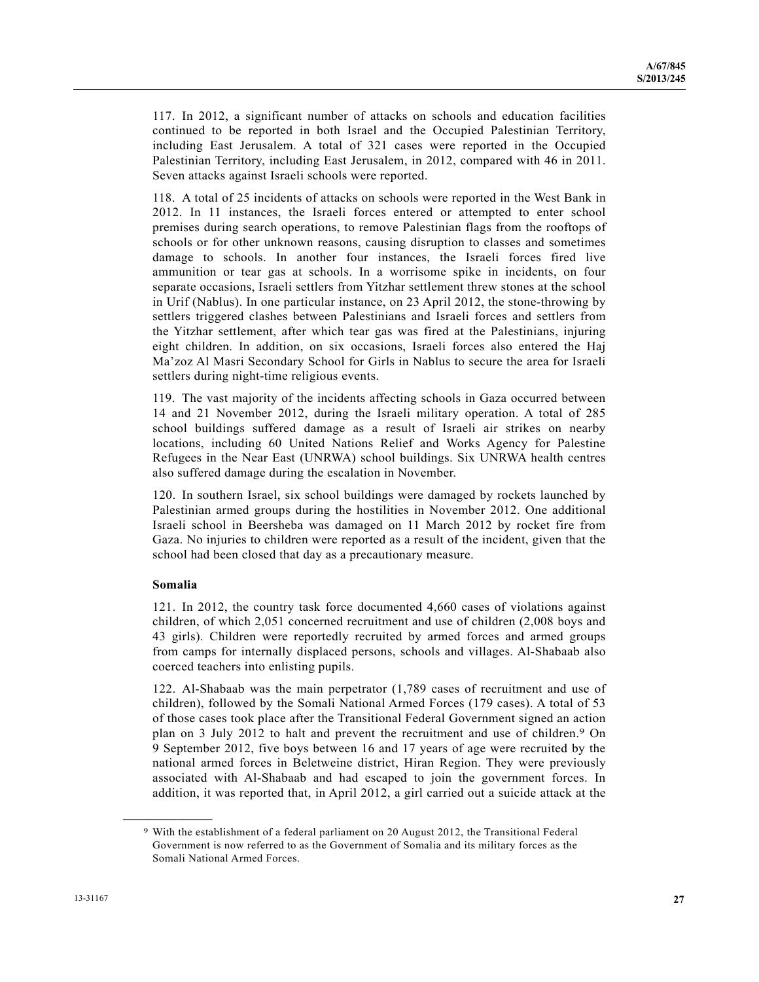117. In 2012, a significant number of attacks on schools and education facilities continued to be reported in both Israel and the Occupied Palestinian Territory, including East Jerusalem. A total of 321 cases were reported in the Occupied Palestinian Territory, including East Jerusalem, in 2012, compared with 46 in 2011. Seven attacks against Israeli schools were reported.

118. A total of 25 incidents of attacks on schools were reported in the West Bank in 2012. In 11 instances, the Israeli forces entered or attempted to enter school premises during search operations, to remove Palestinian flags from the rooftops of schools or for other unknown reasons, causing disruption to classes and sometimes damage to schools. In another four instances, the Israeli forces fired live ammunition or tear gas at schools. In a worrisome spike in incidents, on four separate occasions, Israeli settlers from Yitzhar settlement threw stones at the school in Urif (Nablus). In one particular instance, on 23 April 2012, the stone-throwing by settlers triggered clashes between Palestinians and Israeli forces and settlers from the Yitzhar settlement, after which tear gas was fired at the Palestinians, injuring eight children. In addition, on six occasions, Israeli forces also entered the Haj Ma'zoz Al Masri Secondary School for Girls in Nablus to secure the area for Israeli settlers during night-time religious events.

119. The vast majority of the incidents affecting schools in Gaza occurred between 14 and 21 November 2012, during the Israeli military operation. A total of 285 school buildings suffered damage as a result of Israeli air strikes on nearby locations, including 60 United Nations Relief and Works Agency for Palestine Refugees in the Near East (UNRWA) school buildings. Six UNRWA health centres also suffered damage during the escalation in November.

120. In southern Israel, six school buildings were damaged by rockets launched by Palestinian armed groups during the hostilities in November 2012. One additional Israeli school in Beersheba was damaged on 11 March 2012 by rocket fire from Gaza. No injuries to children were reported as a result of the incident, given that the school had been closed that day as a precautionary measure.

## **Somalia**

**\_\_\_\_\_\_\_\_\_\_\_\_\_\_\_\_\_\_** 

121. In 2012, the country task force documented 4,660 cases of violations against children, of which 2,051 concerned recruitment and use of children (2,008 boys and 43 girls). Children were reportedly recruited by armed forces and armed groups from camps for internally displaced persons, schools and villages. Al-Shabaab also coerced teachers into enlisting pupils.

122. Al-Shabaab was the main perpetrator (1,789 cases of recruitment and use of children), followed by the Somali National Armed Forces (179 cases). A total of 53 of those cases took place after the Transitional Federal Government signed an action plan on 3 July 2012 to halt and prevent the recruitment and use of children.9 On 9 September 2012, five boys between 16 and 17 years of age were recruited by the national armed forces in Beletweine district, Hiran Region. They were previously associated with Al-Shabaab and had escaped to join the government forces. In addition, it was reported that, in April 2012, a girl carried out a suicide attack at the

<sup>9</sup> With the establishment of a federal parliament on 20 August 2012, the Transitional Federal Government is now referred to as the Government of Somalia and its military forces as the Somali National Armed Forces.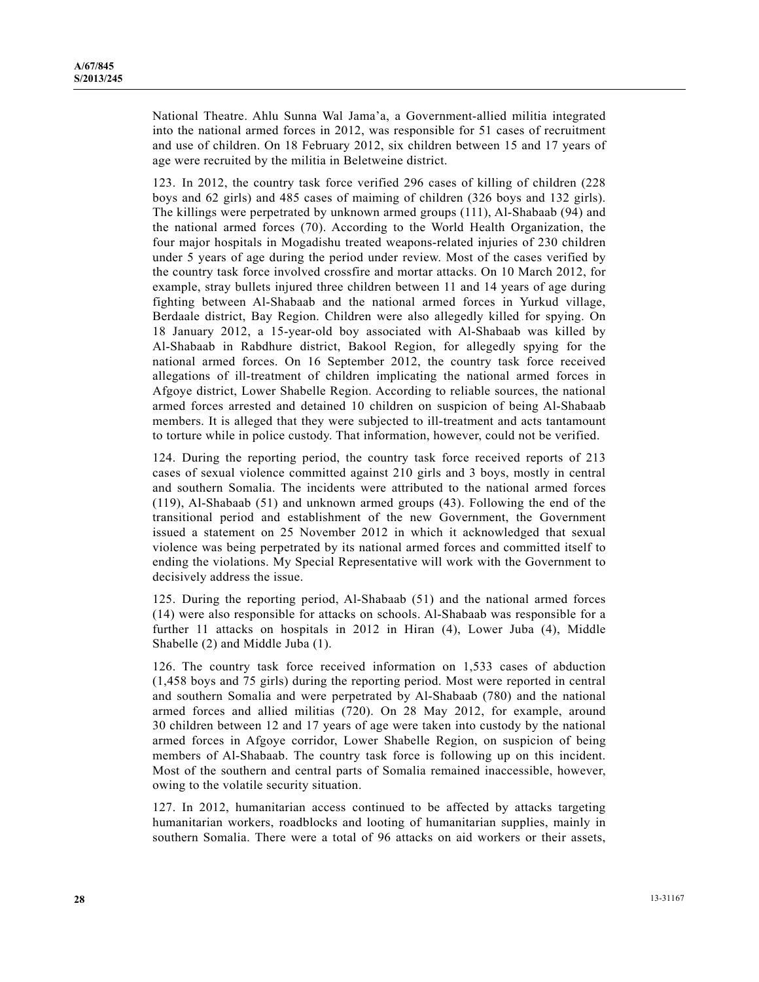National Theatre. Ahlu Sunna Wal Jama'a, a Government-allied militia integrated into the national armed forces in 2012, was responsible for 51 cases of recruitment and use of children. On 18 February 2012, six children between 15 and 17 years of age were recruited by the militia in Beletweine district.

123. In 2012, the country task force verified 296 cases of killing of children (228 boys and 62 girls) and 485 cases of maiming of children (326 boys and 132 girls). The killings were perpetrated by unknown armed groups (111), Al-Shabaab (94) and the national armed forces (70). According to the World Health Organization, the four major hospitals in Mogadishu treated weapons-related injuries of 230 children under 5 years of age during the period under review. Most of the cases verified by the country task force involved crossfire and mortar attacks. On 10 March 2012, for example, stray bullets injured three children between 11 and 14 years of age during fighting between Al-Shabaab and the national armed forces in Yurkud village, Berdaale district, Bay Region. Children were also allegedly killed for spying. On 18 January 2012, a 15-year-old boy associated with Al-Shabaab was killed by Al-Shabaab in Rabdhure district, Bakool Region, for allegedly spying for the national armed forces. On 16 September 2012, the country task force received allegations of ill-treatment of children implicating the national armed forces in Afgoye district, Lower Shabelle Region. According to reliable sources, the national armed forces arrested and detained 10 children on suspicion of being Al-Shabaab members. It is alleged that they were subjected to ill-treatment and acts tantamount to torture while in police custody. That information, however, could not be verified.

124. During the reporting period, the country task force received reports of 213 cases of sexual violence committed against 210 girls and 3 boys, mostly in central and southern Somalia. The incidents were attributed to the national armed forces (119), Al-Shabaab (51) and unknown armed groups (43). Following the end of the transitional period and establishment of the new Government, the Government issued a statement on 25 November 2012 in which it acknowledged that sexual violence was being perpetrated by its national armed forces and committed itself to ending the violations. My Special Representative will work with the Government to decisively address the issue.

125. During the reporting period, Al-Shabaab (51) and the national armed forces (14) were also responsible for attacks on schools. Al-Shabaab was responsible for a further 11 attacks on hospitals in 2012 in Hiran (4), Lower Juba (4), Middle Shabelle (2) and Middle Juba (1).

126. The country task force received information on 1,533 cases of abduction (1,458 boys and 75 girls) during the reporting period. Most were reported in central and southern Somalia and were perpetrated by Al-Shabaab (780) and the national armed forces and allied militias (720). On 28 May 2012, for example, around 30 children between 12 and 17 years of age were taken into custody by the national armed forces in Afgoye corridor, Lower Shabelle Region, on suspicion of being members of Al-Shabaab. The country task force is following up on this incident. Most of the southern and central parts of Somalia remained inaccessible, however, owing to the volatile security situation.

127. In 2012, humanitarian access continued to be affected by attacks targeting humanitarian workers, roadblocks and looting of humanitarian supplies, mainly in southern Somalia. There were a total of 96 attacks on aid workers or their assets,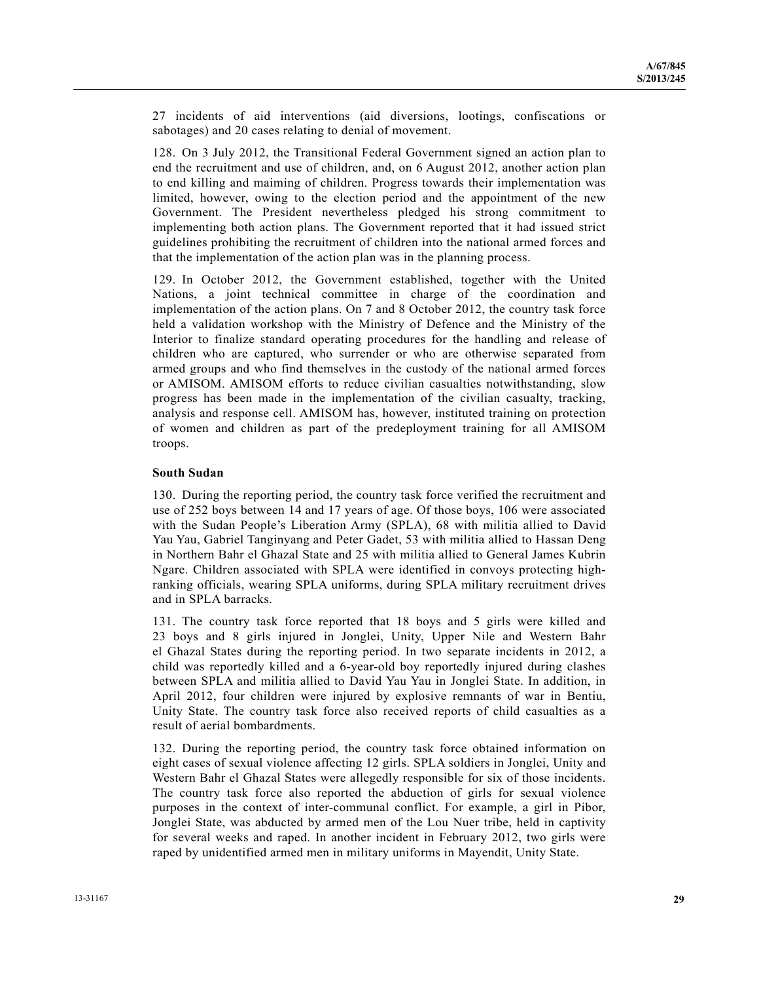27 incidents of aid interventions (aid diversions, lootings, confiscations or sabotages) and 20 cases relating to denial of movement.

128. On 3 July 2012, the Transitional Federal Government signed an action plan to end the recruitment and use of children, and, on 6 August 2012, another action plan to end killing and maiming of children. Progress towards their implementation was limited, however, owing to the election period and the appointment of the new Government. The President nevertheless pledged his strong commitment to implementing both action plans. The Government reported that it had issued strict guidelines prohibiting the recruitment of children into the national armed forces and that the implementation of the action plan was in the planning process.

129. In October 2012, the Government established, together with the United Nations, a joint technical committee in charge of the coordination and implementation of the action plans. On 7 and 8 October 2012, the country task force held a validation workshop with the Ministry of Defence and the Ministry of the Interior to finalize standard operating procedures for the handling and release of children who are captured, who surrender or who are otherwise separated from armed groups and who find themselves in the custody of the national armed forces or AMISOM. AMISOM efforts to reduce civilian casualties notwithstanding, slow progress has been made in the implementation of the civilian casualty, tracking, analysis and response cell. AMISOM has, however, instituted training on protection of women and children as part of the predeployment training for all AMISOM troops.

### **South Sudan**

130. During the reporting period, the country task force verified the recruitment and use of 252 boys between 14 and 17 years of age. Of those boys, 106 were associated with the Sudan People's Liberation Army (SPLA), 68 with militia allied to David Yau Yau, Gabriel Tanginyang and Peter Gadet, 53 with militia allied to Hassan Deng in Northern Bahr el Ghazal State and 25 with militia allied to General James Kubrin Ngare. Children associated with SPLA were identified in convoys protecting highranking officials, wearing SPLA uniforms, during SPLA military recruitment drives and in SPLA barracks.

131. The country task force reported that 18 boys and 5 girls were killed and 23 boys and 8 girls injured in Jonglei, Unity, Upper Nile and Western Bahr el Ghazal States during the reporting period. In two separate incidents in 2012, a child was reportedly killed and a 6-year-old boy reportedly injured during clashes between SPLA and militia allied to David Yau Yau in Jonglei State. In addition, in April 2012, four children were injured by explosive remnants of war in Bentiu, Unity State. The country task force also received reports of child casualties as a result of aerial bombardments.

132. During the reporting period, the country task force obtained information on eight cases of sexual violence affecting 12 girls. SPLA soldiers in Jonglei, Unity and Western Bahr el Ghazal States were allegedly responsible for six of those incidents. The country task force also reported the abduction of girls for sexual violence purposes in the context of inter-communal conflict. For example, a girl in Pibor, Jonglei State, was abducted by armed men of the Lou Nuer tribe, held in captivity for several weeks and raped. In another incident in February 2012, two girls were raped by unidentified armed men in military uniforms in Mayendit, Unity State.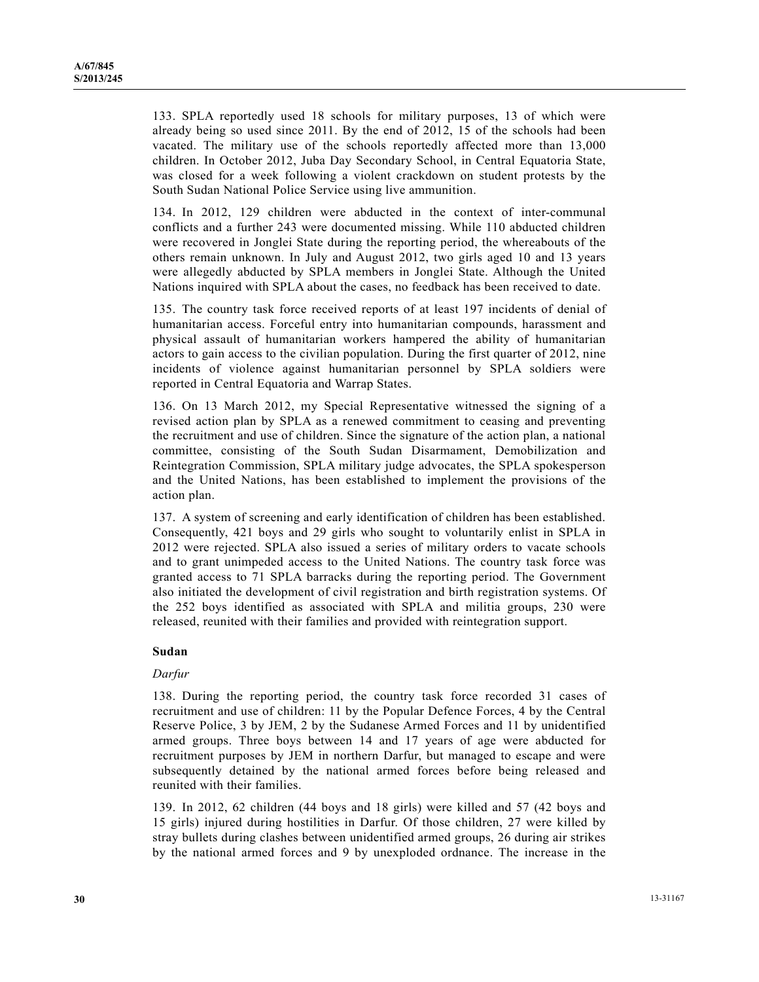133. SPLA reportedly used 18 schools for military purposes, 13 of which were already being so used since 2011. By the end of 2012, 15 of the schools had been vacated. The military use of the schools reportedly affected more than 13,000 children. In October 2012, Juba Day Secondary School, in Central Equatoria State, was closed for a week following a violent crackdown on student protests by the South Sudan National Police Service using live ammunition.

134. In 2012, 129 children were abducted in the context of inter-communal conflicts and a further 243 were documented missing. While 110 abducted children were recovered in Jonglei State during the reporting period, the whereabouts of the others remain unknown. In July and August 2012, two girls aged 10 and 13 years were allegedly abducted by SPLA members in Jonglei State. Although the United Nations inquired with SPLA about the cases, no feedback has been received to date.

135. The country task force received reports of at least 197 incidents of denial of humanitarian access. Forceful entry into humanitarian compounds, harassment and physical assault of humanitarian workers hampered the ability of humanitarian actors to gain access to the civilian population. During the first quarter of 2012, nine incidents of violence against humanitarian personnel by SPLA soldiers were reported in Central Equatoria and Warrap States.

136. On 13 March 2012, my Special Representative witnessed the signing of a revised action plan by SPLA as a renewed commitment to ceasing and preventing the recruitment and use of children. Since the signature of the action plan, a national committee, consisting of the South Sudan Disarmament, Demobilization and Reintegration Commission, SPLA military judge advocates, the SPLA spokesperson and the United Nations, has been established to implement the provisions of the action plan.

137. A system of screening and early identification of children has been established. Consequently, 421 boys and 29 girls who sought to voluntarily enlist in SPLA in 2012 were rejected. SPLA also issued a series of military orders to vacate schools and to grant unimpeded access to the United Nations. The country task force was granted access to 71 SPLA barracks during the reporting period. The Government also initiated the development of civil registration and birth registration systems. Of the 252 boys identified as associated with SPLA and militia groups, 230 were released, reunited with their families and provided with reintegration support.

## **Sudan**

#### *Darfur*

138. During the reporting period, the country task force recorded 31 cases of recruitment and use of children: 11 by the Popular Defence Forces, 4 by the Central Reserve Police, 3 by JEM, 2 by the Sudanese Armed Forces and 11 by unidentified armed groups. Three boys between 14 and 17 years of age were abducted for recruitment purposes by JEM in northern Darfur, but managed to escape and were subsequently detained by the national armed forces before being released and reunited with their families.

139. In 2012, 62 children (44 boys and 18 girls) were killed and 57 (42 boys and 15 girls) injured during hostilities in Darfur. Of those children, 27 were killed by stray bullets during clashes between unidentified armed groups, 26 during air strikes by the national armed forces and 9 by unexploded ordnance. The increase in the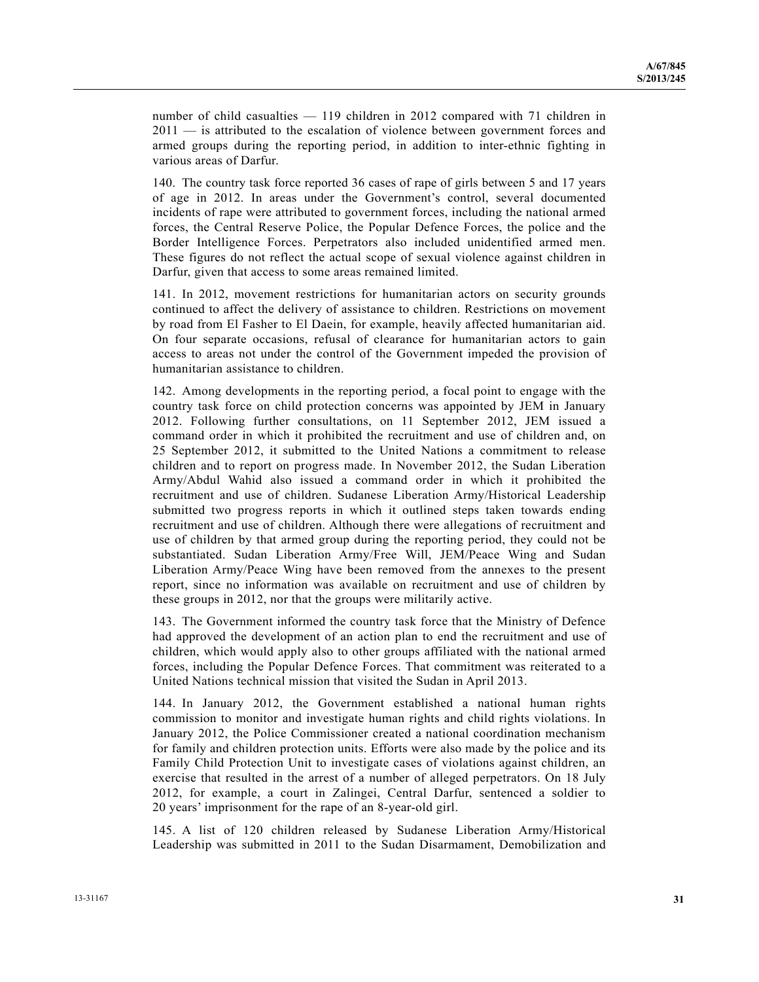number of child casualties — 119 children in 2012 compared with 71 children in 2011 — is attributed to the escalation of violence between government forces and armed groups during the reporting period, in addition to inter-ethnic fighting in various areas of Darfur.

140. The country task force reported 36 cases of rape of girls between 5 and 17 years of age in 2012. In areas under the Government's control, several documented incidents of rape were attributed to government forces, including the national armed forces, the Central Reserve Police, the Popular Defence Forces, the police and the Border Intelligence Forces. Perpetrators also included unidentified armed men. These figures do not reflect the actual scope of sexual violence against children in Darfur, given that access to some areas remained limited.

141. In 2012, movement restrictions for humanitarian actors on security grounds continued to affect the delivery of assistance to children. Restrictions on movement by road from El Fasher to El Daein, for example, heavily affected humanitarian aid. On four separate occasions, refusal of clearance for humanitarian actors to gain access to areas not under the control of the Government impeded the provision of humanitarian assistance to children.

142. Among developments in the reporting period, a focal point to engage with the country task force on child protection concerns was appointed by JEM in January 2012. Following further consultations, on 11 September 2012, JEM issued a command order in which it prohibited the recruitment and use of children and, on 25 September 2012, it submitted to the United Nations a commitment to release children and to report on progress made. In November 2012, the Sudan Liberation Army/Abdul Wahid also issued a command order in which it prohibited the recruitment and use of children. Sudanese Liberation Army/Historical Leadership submitted two progress reports in which it outlined steps taken towards ending recruitment and use of children. Although there were allegations of recruitment and use of children by that armed group during the reporting period, they could not be substantiated. Sudan Liberation Army/Free Will, JEM/Peace Wing and Sudan Liberation Army/Peace Wing have been removed from the annexes to the present report, since no information was available on recruitment and use of children by these groups in 2012, nor that the groups were militarily active.

143. The Government informed the country task force that the Ministry of Defence had approved the development of an action plan to end the recruitment and use of children, which would apply also to other groups affiliated with the national armed forces, including the Popular Defence Forces. That commitment was reiterated to a United Nations technical mission that visited the Sudan in April 2013.

144. In January 2012, the Government established a national human rights commission to monitor and investigate human rights and child rights violations. In January 2012, the Police Commissioner created a national coordination mechanism for family and children protection units. Efforts were also made by the police and its Family Child Protection Unit to investigate cases of violations against children, an exercise that resulted in the arrest of a number of alleged perpetrators. On 18 July 2012, for example, a court in Zalingei, Central Darfur, sentenced a soldier to 20 years' imprisonment for the rape of an 8-year-old girl.

145. A list of 120 children released by Sudanese Liberation Army/Historical Leadership was submitted in 2011 to the Sudan Disarmament, Demobilization and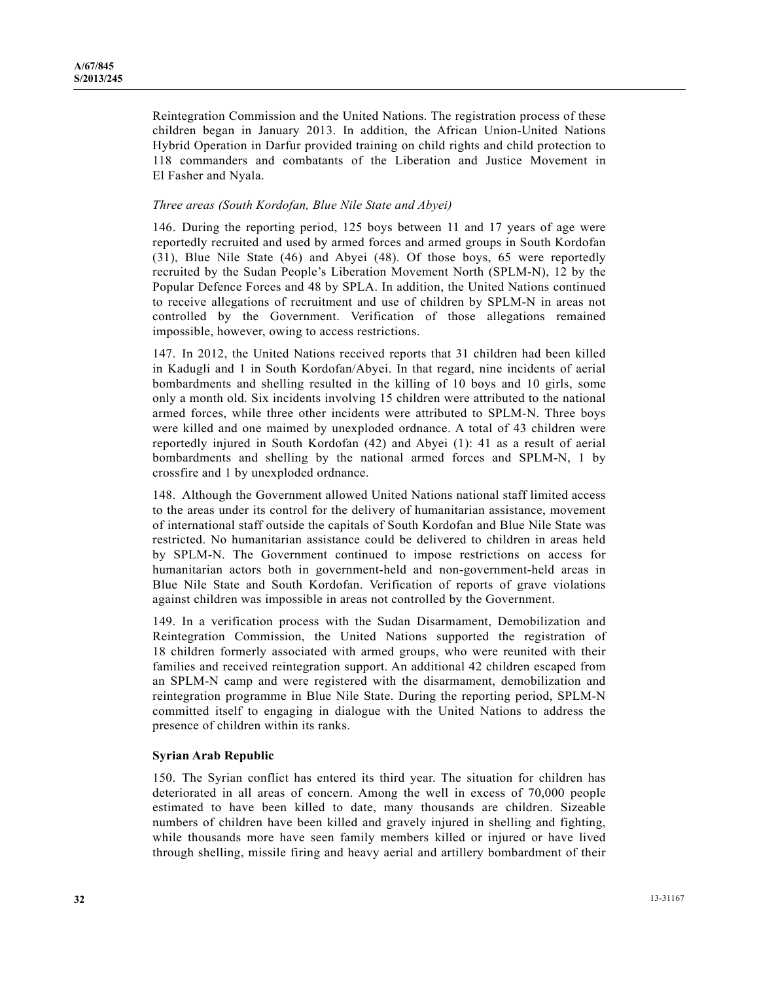Reintegration Commission and the United Nations. The registration process of these children began in January 2013. In addition, the African Union-United Nations Hybrid Operation in Darfur provided training on child rights and child protection to 118 commanders and combatants of the Liberation and Justice Movement in El Fasher and Nyala.

### *Three areas (South Kordofan, Blue Nile State and Abyei)*

146. During the reporting period, 125 boys between 11 and 17 years of age were reportedly recruited and used by armed forces and armed groups in South Kordofan (31), Blue Nile State (46) and Abyei (48). Of those boys, 65 were reportedly recruited by the Sudan People's Liberation Movement North (SPLM-N), 12 by the Popular Defence Forces and 48 by SPLA. In addition, the United Nations continued to receive allegations of recruitment and use of children by SPLM-N in areas not controlled by the Government. Verification of those allegations remained impossible, however, owing to access restrictions.

147. In 2012, the United Nations received reports that 31 children had been killed in Kadugli and 1 in South Kordofan/Abyei. In that regard, nine incidents of aerial bombardments and shelling resulted in the killing of 10 boys and 10 girls, some only a month old. Six incidents involving 15 children were attributed to the national armed forces, while three other incidents were attributed to SPLM-N. Three boys were killed and one maimed by unexploded ordnance. A total of 43 children were reportedly injured in South Kordofan (42) and Abyei (1): 41 as a result of aerial bombardments and shelling by the national armed forces and SPLM-N, 1 by crossfire and 1 by unexploded ordnance.

148. Although the Government allowed United Nations national staff limited access to the areas under its control for the delivery of humanitarian assistance, movement of international staff outside the capitals of South Kordofan and Blue Nile State was restricted. No humanitarian assistance could be delivered to children in areas held by SPLM-N. The Government continued to impose restrictions on access for humanitarian actors both in government-held and non-government-held areas in Blue Nile State and South Kordofan. Verification of reports of grave violations against children was impossible in areas not controlled by the Government.

149. In a verification process with the Sudan Disarmament, Demobilization and Reintegration Commission, the United Nations supported the registration of 18 children formerly associated with armed groups, who were reunited with their families and received reintegration support. An additional 42 children escaped from an SPLM-N camp and were registered with the disarmament, demobilization and reintegration programme in Blue Nile State. During the reporting period, SPLM-N committed itself to engaging in dialogue with the United Nations to address the presence of children within its ranks.

#### **Syrian Arab Republic**

150. The Syrian conflict has entered its third year. The situation for children has deteriorated in all areas of concern. Among the well in excess of 70,000 people estimated to have been killed to date, many thousands are children. Sizeable numbers of children have been killed and gravely injured in shelling and fighting, while thousands more have seen family members killed or injured or have lived through shelling, missile firing and heavy aerial and artillery bombardment of their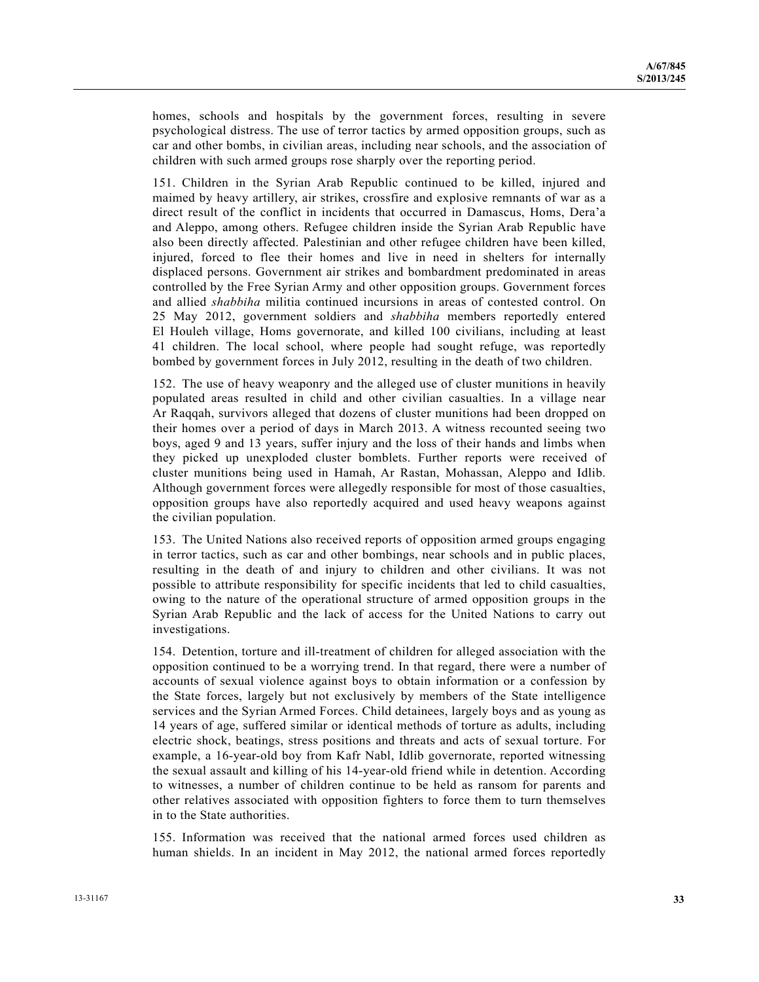homes, schools and hospitals by the government forces, resulting in severe psychological distress. The use of terror tactics by armed opposition groups, such as car and other bombs, in civilian areas, including near schools, and the association of children with such armed groups rose sharply over the reporting period.

151. Children in the Syrian Arab Republic continued to be killed, injured and maimed by heavy artillery, air strikes, crossfire and explosive remnants of war as a direct result of the conflict in incidents that occurred in Damascus, Homs, Dera'a and Aleppo, among others. Refugee children inside the Syrian Arab Republic have also been directly affected. Palestinian and other refugee children have been killed, injured, forced to flee their homes and live in need in shelters for internally displaced persons. Government air strikes and bombardment predominated in areas controlled by the Free Syrian Army and other opposition groups. Government forces and allied *shabbiha* militia continued incursions in areas of contested control. On 25 May 2012, government soldiers and *shabbiha* members reportedly entered El Houleh village, Homs governorate, and killed 100 civilians, including at least 41 children. The local school, where people had sought refuge, was reportedly bombed by government forces in July 2012, resulting in the death of two children.

152. The use of heavy weaponry and the alleged use of cluster munitions in heavily populated areas resulted in child and other civilian casualties. In a village near Ar Raqqah, survivors alleged that dozens of cluster munitions had been dropped on their homes over a period of days in March 2013. A witness recounted seeing two boys, aged 9 and 13 years, suffer injury and the loss of their hands and limbs when they picked up unexploded cluster bomblets. Further reports were received of cluster munitions being used in Hamah, Ar Rastan, Mohassan, Aleppo and Idlib. Although government forces were allegedly responsible for most of those casualties, opposition groups have also reportedly acquired and used heavy weapons against the civilian population.

153. The United Nations also received reports of opposition armed groups engaging in terror tactics, such as car and other bombings, near schools and in public places, resulting in the death of and injury to children and other civilians. It was not possible to attribute responsibility for specific incidents that led to child casualties, owing to the nature of the operational structure of armed opposition groups in the Syrian Arab Republic and the lack of access for the United Nations to carry out investigations.

154. Detention, torture and ill-treatment of children for alleged association with the opposition continued to be a worrying trend. In that regard, there were a number of accounts of sexual violence against boys to obtain information or a confession by the State forces, largely but not exclusively by members of the State intelligence services and the Syrian Armed Forces. Child detainees, largely boys and as young as 14 years of age, suffered similar or identical methods of torture as adults, including electric shock, beatings, stress positions and threats and acts of sexual torture. For example, a 16-year-old boy from Kafr Nabl, Idlib governorate, reported witnessing the sexual assault and killing of his 14-year-old friend while in detention. According to witnesses, a number of children continue to be held as ransom for parents and other relatives associated with opposition fighters to force them to turn themselves in to the State authorities.

155. Information was received that the national armed forces used children as human shields. In an incident in May 2012, the national armed forces reportedly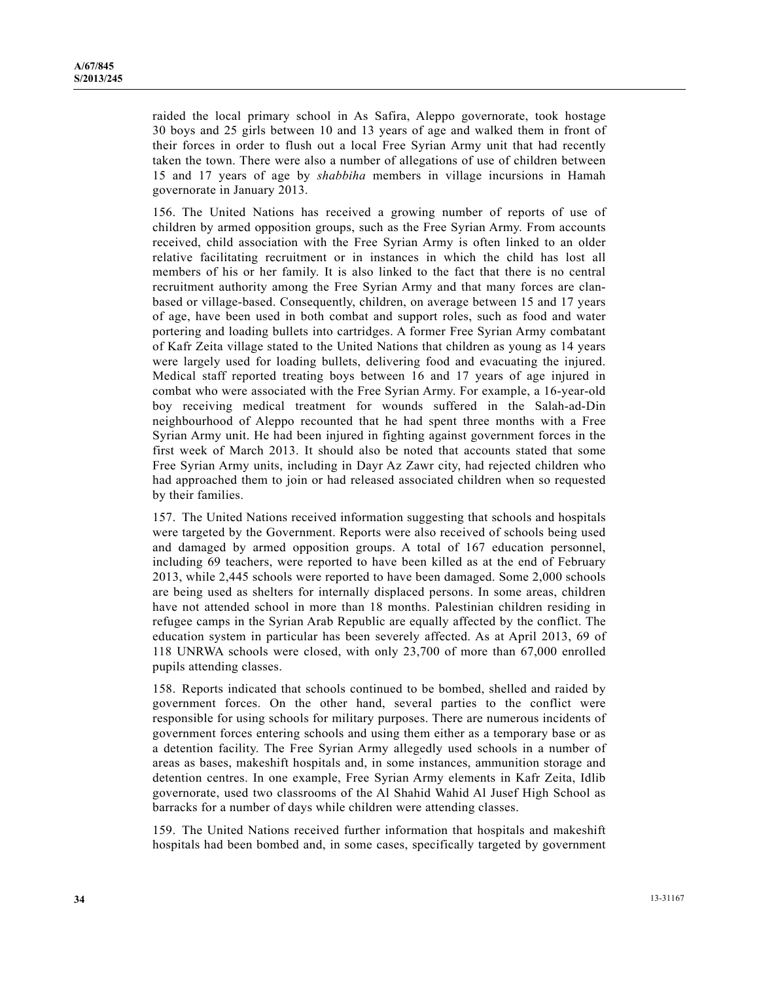raided the local primary school in As Safira, Aleppo governorate, took hostage 30 boys and 25 girls between 10 and 13 years of age and walked them in front of their forces in order to flush out a local Free Syrian Army unit that had recently taken the town. There were also a number of allegations of use of children between 15 and 17 years of age by *shabbiha* members in village incursions in Hamah governorate in January 2013.

156. The United Nations has received a growing number of reports of use of children by armed opposition groups, such as the Free Syrian Army. From accounts received, child association with the Free Syrian Army is often linked to an older relative facilitating recruitment or in instances in which the child has lost all members of his or her family. It is also linked to the fact that there is no central recruitment authority among the Free Syrian Army and that many forces are clanbased or village-based. Consequently, children, on average between 15 and 17 years of age, have been used in both combat and support roles, such as food and water portering and loading bullets into cartridges. A former Free Syrian Army combatant of Kafr Zeita village stated to the United Nations that children as young as 14 years were largely used for loading bullets, delivering food and evacuating the injured. Medical staff reported treating boys between 16 and 17 years of age injured in combat who were associated with the Free Syrian Army. For example, a 16-year-old boy receiving medical treatment for wounds suffered in the Salah-ad-Din neighbourhood of Aleppo recounted that he had spent three months with a Free Syrian Army unit. He had been injured in fighting against government forces in the first week of March 2013. It should also be noted that accounts stated that some Free Syrian Army units, including in Dayr Az Zawr city, had rejected children who had approached them to join or had released associated children when so requested by their families.

157. The United Nations received information suggesting that schools and hospitals were targeted by the Government. Reports were also received of schools being used and damaged by armed opposition groups. A total of 167 education personnel, including 69 teachers, were reported to have been killed as at the end of February 2013, while 2,445 schools were reported to have been damaged. Some 2,000 schools are being used as shelters for internally displaced persons. In some areas, children have not attended school in more than 18 months. Palestinian children residing in refugee camps in the Syrian Arab Republic are equally affected by the conflict. The education system in particular has been severely affected. As at April 2013, 69 of 118 UNRWA schools were closed, with only 23,700 of more than 67,000 enrolled pupils attending classes.

158. Reports indicated that schools continued to be bombed, shelled and raided by government forces. On the other hand, several parties to the conflict were responsible for using schools for military purposes. There are numerous incidents of government forces entering schools and using them either as a temporary base or as a detention facility. The Free Syrian Army allegedly used schools in a number of areas as bases, makeshift hospitals and, in some instances, ammunition storage and detention centres. In one example, Free Syrian Army elements in Kafr Zeita, Idlib governorate, used two classrooms of the Al Shahid Wahid Al Jusef High School as barracks for a number of days while children were attending classes.

159. The United Nations received further information that hospitals and makeshift hospitals had been bombed and, in some cases, specifically targeted by government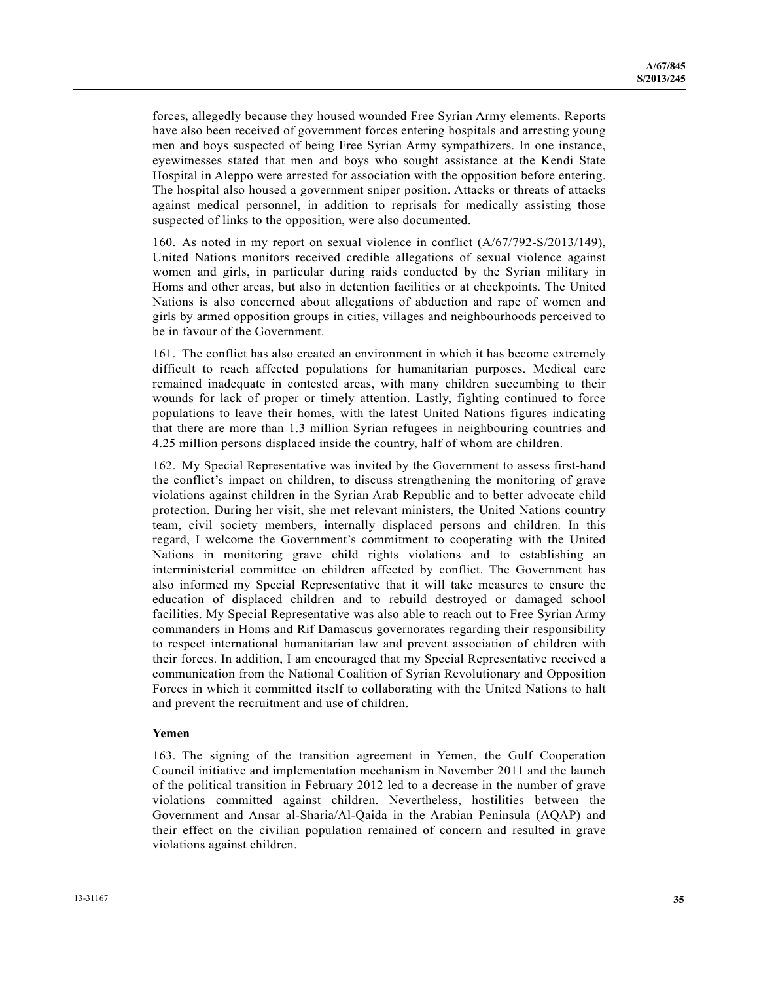forces, allegedly because they housed wounded Free Syrian Army elements. Reports have also been received of government forces entering hospitals and arresting young men and boys suspected of being Free Syrian Army sympathizers. In one instance, eyewitnesses stated that men and boys who sought assistance at the Kendi State Hospital in Aleppo were arrested for association with the opposition before entering. The hospital also housed a government sniper position. Attacks or threats of attacks against medical personnel, in addition to reprisals for medically assisting those suspected of links to the opposition, were also documented.

160. As noted in my report on sexual violence in conflict (A/67/792-S/2013/149), United Nations monitors received credible allegations of sexual violence against women and girls, in particular during raids conducted by the Syrian military in Homs and other areas, but also in detention facilities or at checkpoints. The United Nations is also concerned about allegations of abduction and rape of women and girls by armed opposition groups in cities, villages and neighbourhoods perceived to be in favour of the Government.

161. The conflict has also created an environment in which it has become extremely difficult to reach affected populations for humanitarian purposes. Medical care remained inadequate in contested areas, with many children succumbing to their wounds for lack of proper or timely attention. Lastly, fighting continued to force populations to leave their homes, with the latest United Nations figures indicating that there are more than 1.3 million Syrian refugees in neighbouring countries and 4.25 million persons displaced inside the country, half of whom are children.

162. My Special Representative was invited by the Government to assess first-hand the conflict's impact on children, to discuss strengthening the monitoring of grave violations against children in the Syrian Arab Republic and to better advocate child protection. During her visit, she met relevant ministers, the United Nations country team, civil society members, internally displaced persons and children. In this regard, I welcome the Government's commitment to cooperating with the United Nations in monitoring grave child rights violations and to establishing an interministerial committee on children affected by conflict. The Government has also informed my Special Representative that it will take measures to ensure the education of displaced children and to rebuild destroyed or damaged school facilities. My Special Representative was also able to reach out to Free Syrian Army commanders in Homs and Rif Damascus governorates regarding their responsibility to respect international humanitarian law and prevent association of children with their forces. In addition, I am encouraged that my Special Representative received a communication from the National Coalition of Syrian Revolutionary and Opposition Forces in which it committed itself to collaborating with the United Nations to halt and prevent the recruitment and use of children.

#### **Yemen**

163. The signing of the transition agreement in Yemen, the Gulf Cooperation Council initiative and implementation mechanism in November 2011 and the launch of the political transition in February 2012 led to a decrease in the number of grave violations committed against children. Nevertheless, hostilities between the Government and Ansar al-Sharia/Al-Qaida in the Arabian Peninsula (AQAP) and their effect on the civilian population remained of concern and resulted in grave violations against children.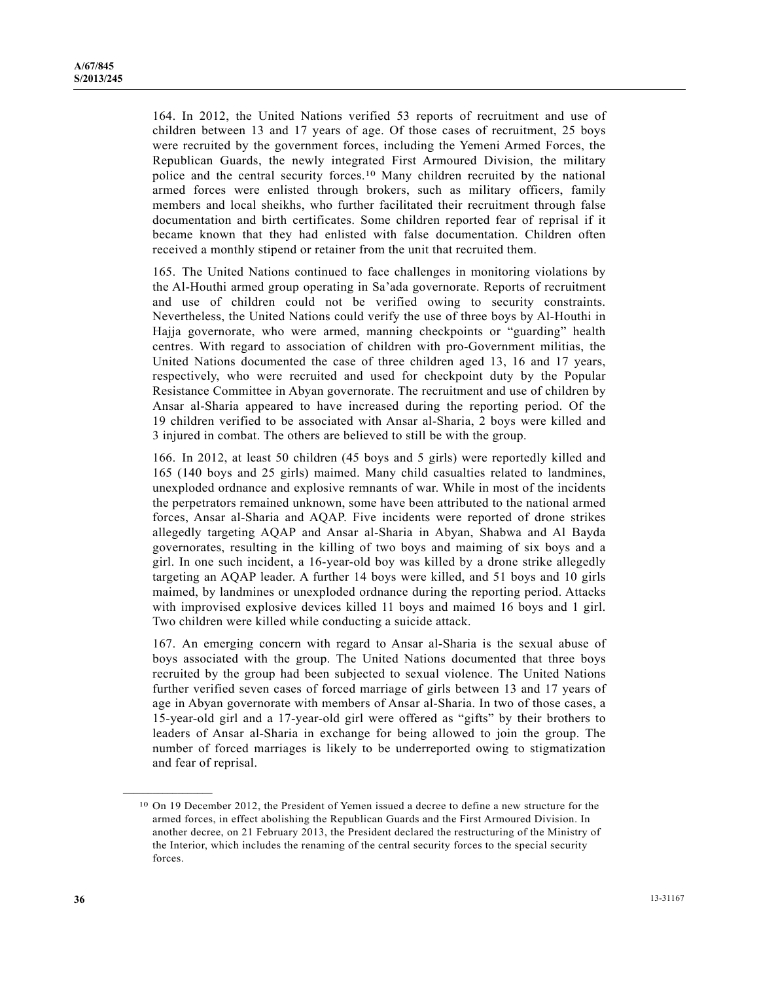164. In 2012, the United Nations verified 53 reports of recruitment and use of children between 13 and 17 years of age. Of those cases of recruitment, 25 boys were recruited by the government forces, including the Yemeni Armed Forces, the Republican Guards, the newly integrated First Armoured Division, the military police and the central security forces.10 Many children recruited by the national armed forces were enlisted through brokers, such as military officers, family members and local sheikhs, who further facilitated their recruitment through false documentation and birth certificates. Some children reported fear of reprisal if it became known that they had enlisted with false documentation. Children often received a monthly stipend or retainer from the unit that recruited them.

165. The United Nations continued to face challenges in monitoring violations by the Al-Houthi armed group operating in Sa'ada governorate. Reports of recruitment and use of children could not be verified owing to security constraints. Nevertheless, the United Nations could verify the use of three boys by Al-Houthi in Hajja governorate, who were armed, manning checkpoints or "guarding" health centres. With regard to association of children with pro-Government militias, the United Nations documented the case of three children aged 13, 16 and 17 years, respectively, who were recruited and used for checkpoint duty by the Popular Resistance Committee in Abyan governorate. The recruitment and use of children by Ansar al-Sharia appeared to have increased during the reporting period. Of the 19 children verified to be associated with Ansar al-Sharia, 2 boys were killed and 3 injured in combat. The others are believed to still be with the group.

166. In 2012, at least 50 children (45 boys and 5 girls) were reportedly killed and 165 (140 boys and 25 girls) maimed. Many child casualties related to landmines, unexploded ordnance and explosive remnants of war. While in most of the incidents the perpetrators remained unknown, some have been attributed to the national armed forces, Ansar al-Sharia and AQAP. Five incidents were reported of drone strikes allegedly targeting AQAP and Ansar al-Sharia in Abyan, Shabwa and Al Bayda governorates, resulting in the killing of two boys and maiming of six boys and a girl. In one such incident, a 16-year-old boy was killed by a drone strike allegedly targeting an AQAP leader. A further 14 boys were killed, and 51 boys and 10 girls maimed, by landmines or unexploded ordnance during the reporting period. Attacks with improvised explosive devices killed 11 boys and maimed 16 boys and 1 girl. Two children were killed while conducting a suicide attack.

167. An emerging concern with regard to Ansar al-Sharia is the sexual abuse of boys associated with the group. The United Nations documented that three boys recruited by the group had been subjected to sexual violence. The United Nations further verified seven cases of forced marriage of girls between 13 and 17 years of age in Abyan governorate with members of Ansar al-Sharia. In two of those cases, a 15-year-old girl and a 17-year-old girl were offered as "gifts" by their brothers to leaders of Ansar al-Sharia in exchange for being allowed to join the group. The number of forced marriages is likely to be underreported owing to stigmatization and fear of reprisal.

**\_\_\_\_\_\_\_\_\_\_\_\_\_\_\_\_\_\_** 

<sup>10</sup> On 19 December 2012, the President of Yemen issued a decree to define a new structure for the armed forces, in effect abolishing the Republican Guards and the First Armoured Division. In another decree, on 21 February 2013, the President declared the restructuring of the Ministry of the Interior, which includes the renaming of the central security forces to the special security forces.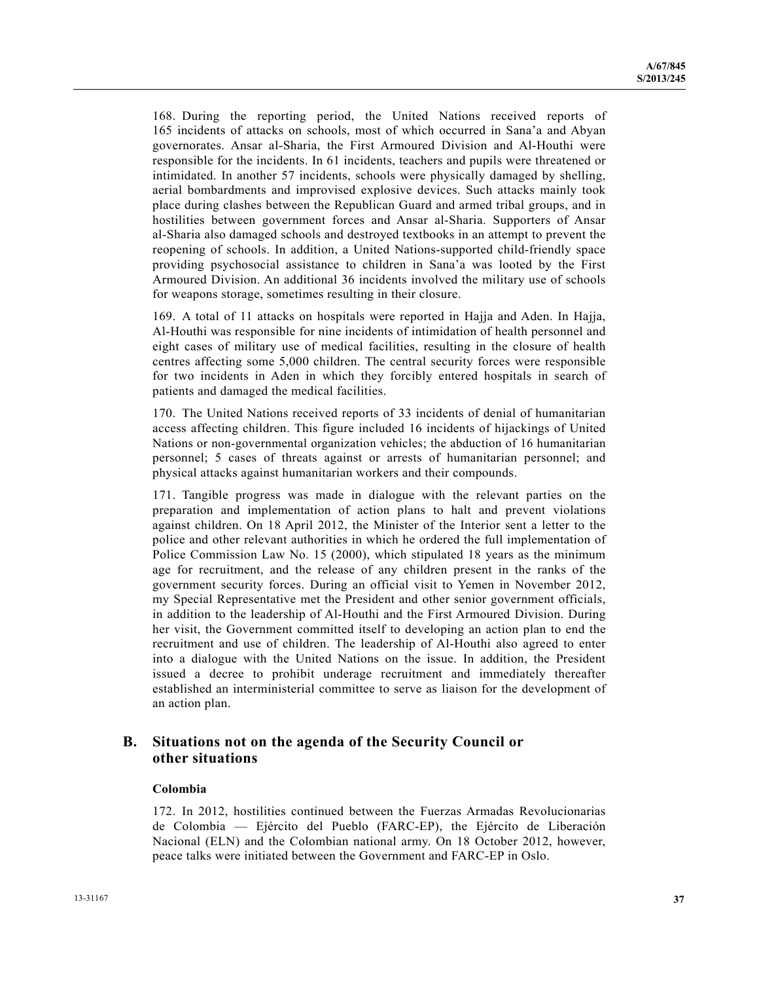168. During the reporting period, the United Nations received reports of 165 incidents of attacks on schools, most of which occurred in Sana'a and Abyan governorates. Ansar al-Sharia, the First Armoured Division and Al-Houthi were responsible for the incidents. In 61 incidents, teachers and pupils were threatened or intimidated. In another 57 incidents, schools were physically damaged by shelling, aerial bombardments and improvised explosive devices. Such attacks mainly took place during clashes between the Republican Guard and armed tribal groups, and in hostilities between government forces and Ansar al-Sharia. Supporters of Ansar al-Sharia also damaged schools and destroyed textbooks in an attempt to prevent the reopening of schools. In addition, a United Nations-supported child-friendly space providing psychosocial assistance to children in Sana'a was looted by the First Armoured Division. An additional 36 incidents involved the military use of schools for weapons storage, sometimes resulting in their closure.

169. A total of 11 attacks on hospitals were reported in Hajja and Aden. In Hajja, Al-Houthi was responsible for nine incidents of intimidation of health personnel and eight cases of military use of medical facilities, resulting in the closure of health centres affecting some 5,000 children. The central security forces were responsible for two incidents in Aden in which they forcibly entered hospitals in search of patients and damaged the medical facilities.

170. The United Nations received reports of 33 incidents of denial of humanitarian access affecting children. This figure included 16 incidents of hijackings of United Nations or non-governmental organization vehicles; the abduction of 16 humanitarian personnel; 5 cases of threats against or arrests of humanitarian personnel; and physical attacks against humanitarian workers and their compounds.

171. Tangible progress was made in dialogue with the relevant parties on the preparation and implementation of action plans to halt and prevent violations against children. On 18 April 2012, the Minister of the Interior sent a letter to the police and other relevant authorities in which he ordered the full implementation of Police Commission Law No. 15 (2000), which stipulated 18 years as the minimum age for recruitment, and the release of any children present in the ranks of the government security forces. During an official visit to Yemen in November 2012, my Special Representative met the President and other senior government officials, in addition to the leadership of Al-Houthi and the First Armoured Division. During her visit, the Government committed itself to developing an action plan to end the recruitment and use of children. The leadership of Al-Houthi also agreed to enter into a dialogue with the United Nations on the issue. In addition, the President issued a decree to prohibit underage recruitment and immediately thereafter established an interministerial committee to serve as liaison for the development of an action plan.

## **B. Situations not on the agenda of the Security Council or other situations**

## **Colombia**

172. In 2012, hostilities continued between the Fuerzas Armadas Revolucionarias de Colombia — Ejército del Pueblo (FARC-EP), the Ejército de Liberación Nacional (ELN) and the Colombian national army. On 18 October 2012, however, peace talks were initiated between the Government and FARC-EP in Oslo.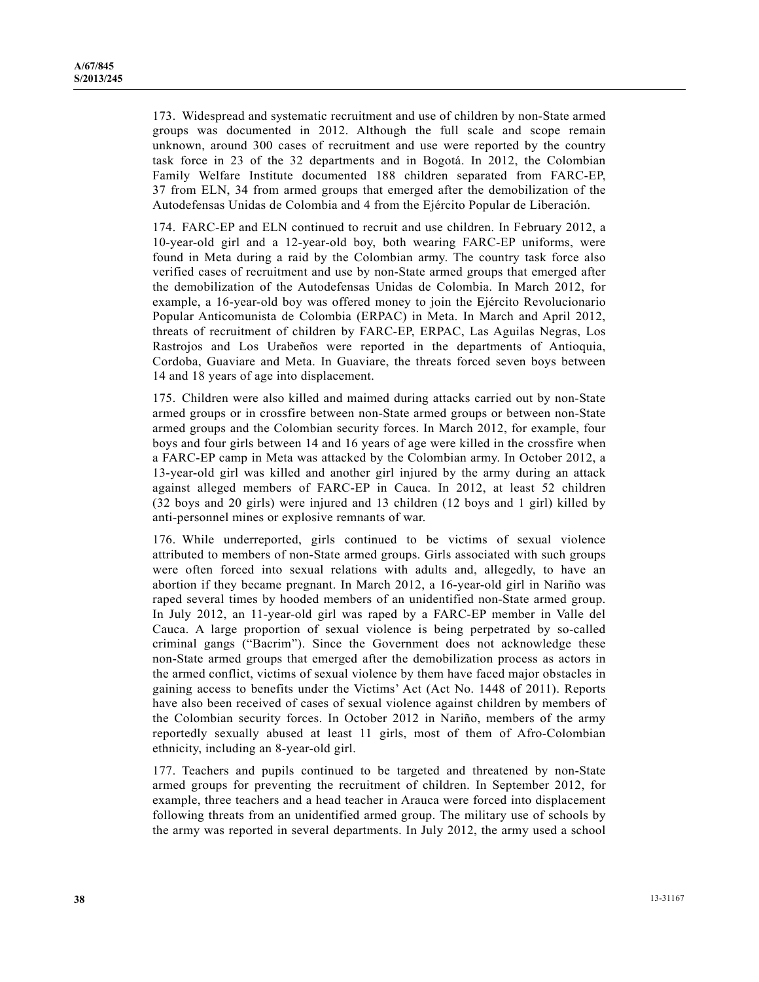173. Widespread and systematic recruitment and use of children by non-State armed groups was documented in 2012. Although the full scale and scope remain unknown, around 300 cases of recruitment and use were reported by the country task force in 23 of the 32 departments and in Bogotá. In 2012, the Colombian Family Welfare Institute documented 188 children separated from FARC-EP, 37 from ELN, 34 from armed groups that emerged after the demobilization of the Autodefensas Unidas de Colombia and 4 from the Ejército Popular de Liberación.

174. FARC-EP and ELN continued to recruit and use children. In February 2012, a 10-year-old girl and a 12-year-old boy, both wearing FARC-EP uniforms, were found in Meta during a raid by the Colombian army. The country task force also verified cases of recruitment and use by non-State armed groups that emerged after the demobilization of the Autodefensas Unidas de Colombia. In March 2012, for example, a 16-year-old boy was offered money to join the Ejército Revolucionario Popular Anticomunista de Colombia (ERPAC) in Meta. In March and April 2012, threats of recruitment of children by FARC-EP, ERPAC, Las Aguilas Negras, Los Rastrojos and Los Urabeños were reported in the departments of Antioquia, Cordoba, Guaviare and Meta. In Guaviare, the threats forced seven boys between 14 and 18 years of age into displacement.

175. Children were also killed and maimed during attacks carried out by non-State armed groups or in crossfire between non-State armed groups or between non-State armed groups and the Colombian security forces. In March 2012, for example, four boys and four girls between 14 and 16 years of age were killed in the crossfire when a FARC-EP camp in Meta was attacked by the Colombian army. In October 2012, a 13-year-old girl was killed and another girl injured by the army during an attack against alleged members of FARC-EP in Cauca. In 2012, at least 52 children (32 boys and 20 girls) were injured and 13 children (12 boys and 1 girl) killed by anti-personnel mines or explosive remnants of war.

176. While underreported, girls continued to be victims of sexual violence attributed to members of non-State armed groups. Girls associated with such groups were often forced into sexual relations with adults and, allegedly, to have an abortion if they became pregnant. In March 2012, a 16-year-old girl in Nariño was raped several times by hooded members of an unidentified non-State armed group. In July 2012, an 11-year-old girl was raped by a FARC-EP member in Valle del Cauca. A large proportion of sexual violence is being perpetrated by so-called criminal gangs ("Bacrim"). Since the Government does not acknowledge these non-State armed groups that emerged after the demobilization process as actors in the armed conflict, victims of sexual violence by them have faced major obstacles in gaining access to benefits under the Victims' Act (Act No. 1448 of 2011). Reports have also been received of cases of sexual violence against children by members of the Colombian security forces. In October 2012 in Nariño, members of the army reportedly sexually abused at least 11 girls, most of them of Afro-Colombian ethnicity, including an 8-year-old girl.

177. Teachers and pupils continued to be targeted and threatened by non-State armed groups for preventing the recruitment of children. In September 2012, for example, three teachers and a head teacher in Arauca were forced into displacement following threats from an unidentified armed group. The military use of schools by the army was reported in several departments. In July 2012, the army used a school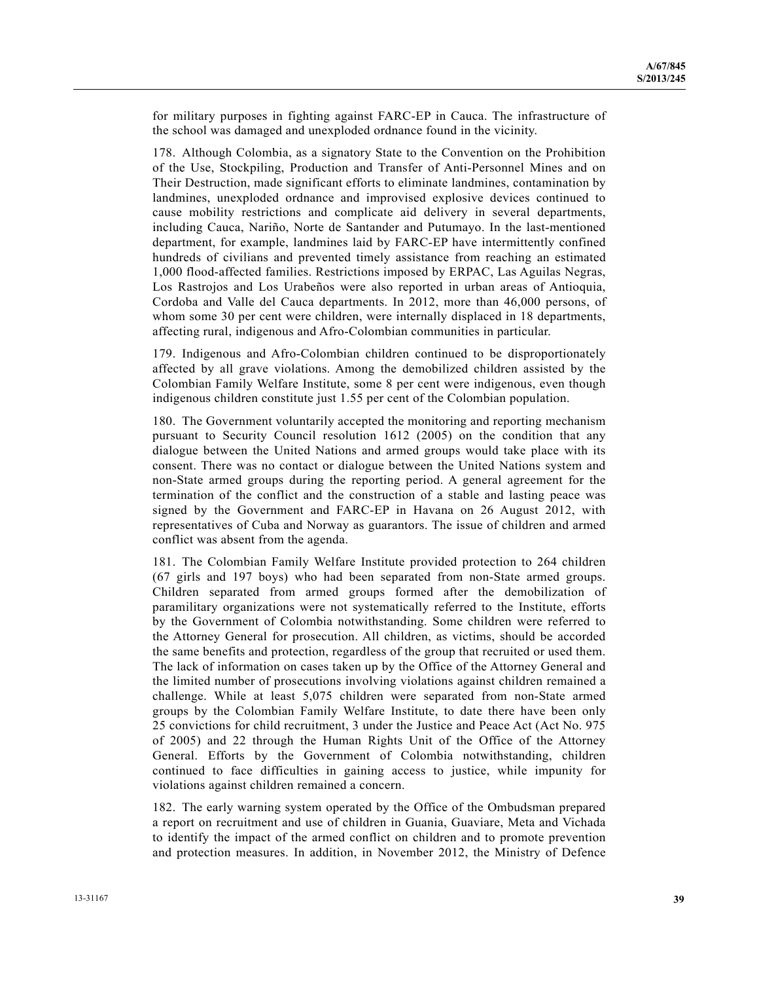for military purposes in fighting against FARC-EP in Cauca. The infrastructure of the school was damaged and unexploded ordnance found in the vicinity.

178. Although Colombia, as a signatory State to the Convention on the Prohibition of the Use, Stockpiling, Production and Transfer of Anti-Personnel Mines and on Their Destruction, made significant efforts to eliminate landmines, contamination by landmines, unexploded ordnance and improvised explosive devices continued to cause mobility restrictions and complicate aid delivery in several departments, including Cauca, Nariño, Norte de Santander and Putumayo. In the last-mentioned department, for example, landmines laid by FARC-EP have intermittently confined hundreds of civilians and prevented timely assistance from reaching an estimated 1,000 flood-affected families. Restrictions imposed by ERPAC, Las Aguilas Negras, Los Rastrojos and Los Urabeños were also reported in urban areas of Antioquia, Cordoba and Valle del Cauca departments. In 2012, more than 46,000 persons, of whom some 30 per cent were children, were internally displaced in 18 departments, affecting rural, indigenous and Afro-Colombian communities in particular.

179. Indigenous and Afro-Colombian children continued to be disproportionately affected by all grave violations. Among the demobilized children assisted by the Colombian Family Welfare Institute, some 8 per cent were indigenous, even though indigenous children constitute just 1.55 per cent of the Colombian population.

180. The Government voluntarily accepted the monitoring and reporting mechanism pursuant to Security Council resolution 1612 (2005) on the condition that any dialogue between the United Nations and armed groups would take place with its consent. There was no contact or dialogue between the United Nations system and non-State armed groups during the reporting period. A general agreement for the termination of the conflict and the construction of a stable and lasting peace was signed by the Government and FARC-EP in Havana on 26 August 2012, with representatives of Cuba and Norway as guarantors. The issue of children and armed conflict was absent from the agenda.

181. The Colombian Family Welfare Institute provided protection to 264 children (67 girls and 197 boys) who had been separated from non-State armed groups. Children separated from armed groups formed after the demobilization of paramilitary organizations were not systematically referred to the Institute, efforts by the Government of Colombia notwithstanding. Some children were referred to the Attorney General for prosecution. All children, as victims, should be accorded the same benefits and protection, regardless of the group that recruited or used them. The lack of information on cases taken up by the Office of the Attorney General and the limited number of prosecutions involving violations against children remained a challenge. While at least 5,075 children were separated from non-State armed groups by the Colombian Family Welfare Institute, to date there have been only 25 convictions for child recruitment, 3 under the Justice and Peace Act (Act No. 975 of 2005) and 22 through the Human Rights Unit of the Office of the Attorney General. Efforts by the Government of Colombia notwithstanding, children continued to face difficulties in gaining access to justice, while impunity for violations against children remained a concern.

182. The early warning system operated by the Office of the Ombudsman prepared a report on recruitment and use of children in Guania, Guaviare, Meta and Vichada to identify the impact of the armed conflict on children and to promote prevention and protection measures. In addition, in November 2012, the Ministry of Defence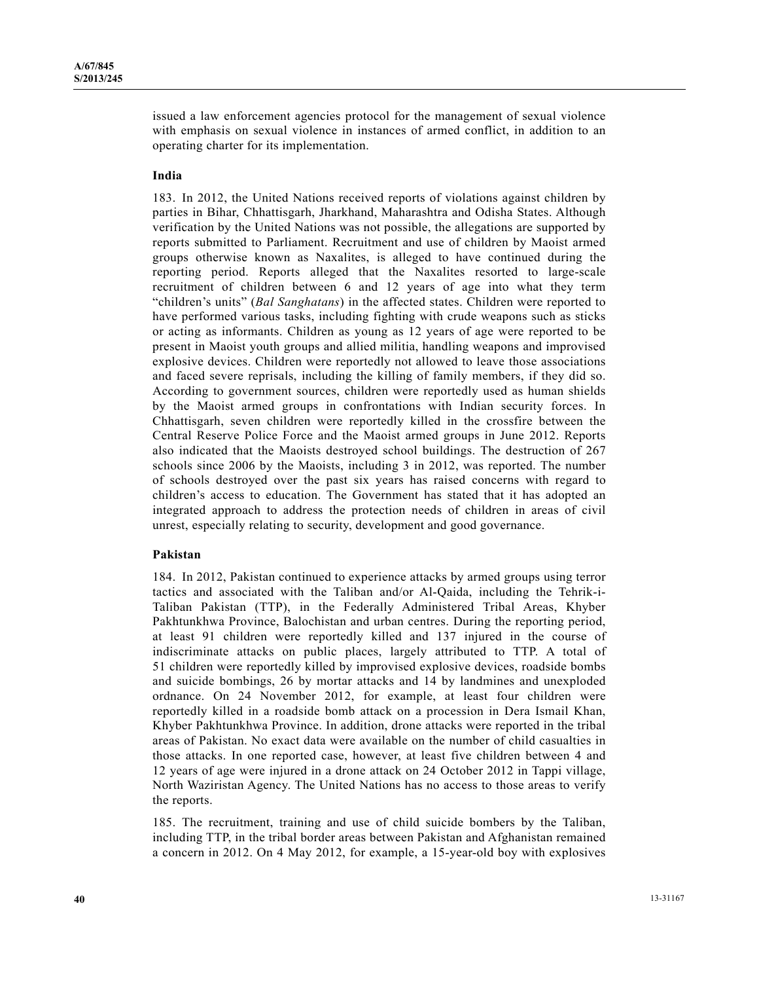issued a law enforcement agencies protocol for the management of sexual violence with emphasis on sexual violence in instances of armed conflict, in addition to an operating charter for its implementation.

### **India**

183. In 2012, the United Nations received reports of violations against children by parties in Bihar, Chhattisgarh, Jharkhand, Maharashtra and Odisha States. Although verification by the United Nations was not possible, the allegations are supported by reports submitted to Parliament. Recruitment and use of children by Maoist armed groups otherwise known as Naxalites, is alleged to have continued during the reporting period. Reports alleged that the Naxalites resorted to large-scale recruitment of children between 6 and 12 years of age into what they term "children's units" (*Bal Sanghatans*) in the affected states. Children were reported to have performed various tasks, including fighting with crude weapons such as sticks or acting as informants. Children as young as 12 years of age were reported to be present in Maoist youth groups and allied militia, handling weapons and improvised explosive devices. Children were reportedly not allowed to leave those associations and faced severe reprisals, including the killing of family members, if they did so. According to government sources, children were reportedly used as human shields by the Maoist armed groups in confrontations with Indian security forces. In Chhattisgarh, seven children were reportedly killed in the crossfire between the Central Reserve Police Force and the Maoist armed groups in June 2012. Reports also indicated that the Maoists destroyed school buildings. The destruction of 267 schools since 2006 by the Maoists, including 3 in 2012, was reported. The number of schools destroyed over the past six years has raised concerns with regard to children's access to education. The Government has stated that it has adopted an integrated approach to address the protection needs of children in areas of civil unrest, especially relating to security, development and good governance.

#### **Pakistan**

184. In 2012, Pakistan continued to experience attacks by armed groups using terror tactics and associated with the Taliban and/or Al-Qaida, including the Tehrik-i-Taliban Pakistan (TTP), in the Federally Administered Tribal Areas, Khyber Pakhtunkhwa Province, Balochistan and urban centres. During the reporting period, at least 91 children were reportedly killed and 137 injured in the course of indiscriminate attacks on public places, largely attributed to TTP. A total of 51 children were reportedly killed by improvised explosive devices, roadside bombs and suicide bombings, 26 by mortar attacks and 14 by landmines and unexploded ordnance. On 24 November 2012, for example, at least four children were reportedly killed in a roadside bomb attack on a procession in Dera Ismail Khan, Khyber Pakhtunkhwa Province. In addition, drone attacks were reported in the tribal areas of Pakistan. No exact data were available on the number of child casualties in those attacks. In one reported case, however, at least five children between 4 and 12 years of age were injured in a drone attack on 24 October 2012 in Tappi village, North Waziristan Agency. The United Nations has no access to those areas to verify the reports.

185. The recruitment, training and use of child suicide bombers by the Taliban, including TTP, in the tribal border areas between Pakistan and Afghanistan remained a concern in 2012. On 4 May 2012, for example, a 15-year-old boy with explosives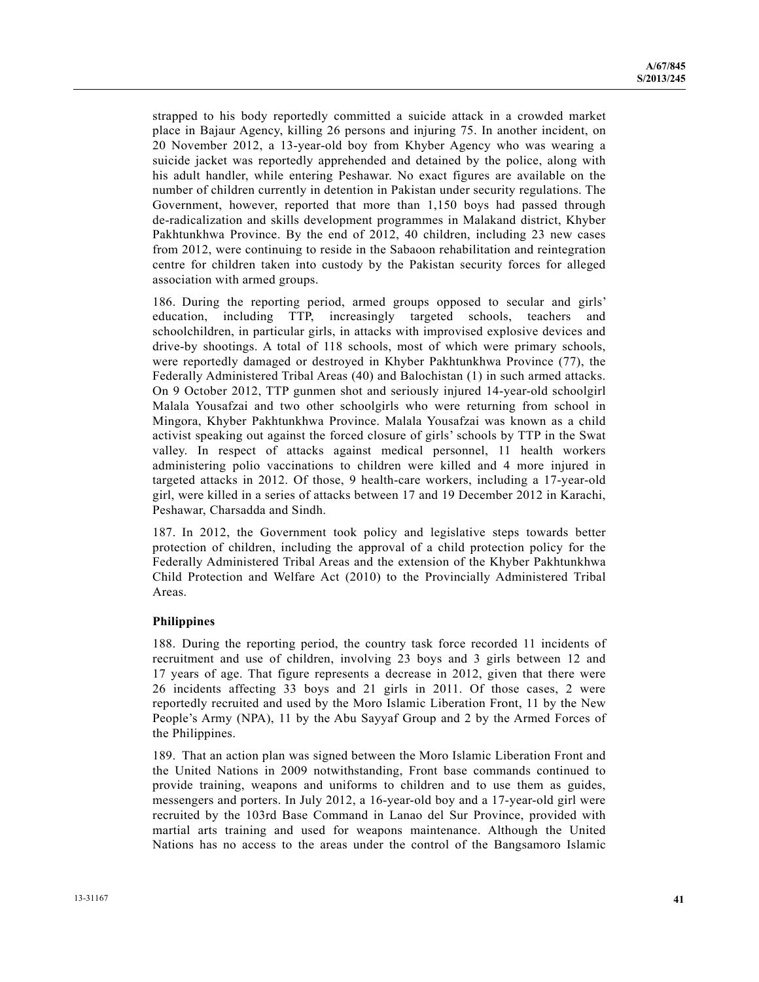strapped to his body reportedly committed a suicide attack in a crowded market place in Bajaur Agency, killing 26 persons and injuring 75. In another incident, on 20 November 2012, a 13-year-old boy from Khyber Agency who was wearing a suicide jacket was reportedly apprehended and detained by the police, along with his adult handler, while entering Peshawar. No exact figures are available on the number of children currently in detention in Pakistan under security regulations. The Government, however, reported that more than 1,150 boys had passed through de-radicalization and skills development programmes in Malakand district, Khyber Pakhtunkhwa Province. By the end of 2012, 40 children, including 23 new cases from 2012, were continuing to reside in the Sabaoon rehabilitation and reintegration centre for children taken into custody by the Pakistan security forces for alleged association with armed groups.

186. During the reporting period, armed groups opposed to secular and girls' education, including TTP, increasingly targeted schools, teachers and schoolchildren, in particular girls, in attacks with improvised explosive devices and drive-by shootings. A total of 118 schools, most of which were primary schools, were reportedly damaged or destroyed in Khyber Pakhtunkhwa Province (77), the Federally Administered Tribal Areas (40) and Balochistan (1) in such armed attacks. On 9 October 2012, TTP gunmen shot and seriously injured 14-year-old schoolgirl Malala Yousafzai and two other schoolgirls who were returning from school in Mingora, Khyber Pakhtunkhwa Province. Malala Yousafzai was known as a child activist speaking out against the forced closure of girls' schools by TTP in the Swat valley. In respect of attacks against medical personnel, 11 health workers administering polio vaccinations to children were killed and 4 more injured in targeted attacks in 2012. Of those, 9 health-care workers, including a 17-year-old girl, were killed in a series of attacks between 17 and 19 December 2012 in Karachi, Peshawar, Charsadda and Sindh.

187. In 2012, the Government took policy and legislative steps towards better protection of children, including the approval of a child protection policy for the Federally Administered Tribal Areas and the extension of the Khyber Pakhtunkhwa Child Protection and Welfare Act (2010) to the Provincially Administered Tribal Areas.

## **Philippines**

188. During the reporting period, the country task force recorded 11 incidents of recruitment and use of children, involving 23 boys and 3 girls between 12 and 17 years of age. That figure represents a decrease in 2012, given that there were 26 incidents affecting 33 boys and 21 girls in 2011. Of those cases, 2 were reportedly recruited and used by the Moro Islamic Liberation Front, 11 by the New People's Army (NPA), 11 by the Abu Sayyaf Group and 2 by the Armed Forces of the Philippines.

189. That an action plan was signed between the Moro Islamic Liberation Front and the United Nations in 2009 notwithstanding, Front base commands continued to provide training, weapons and uniforms to children and to use them as guides, messengers and porters. In July 2012, a 16-year-old boy and a 17-year-old girl were recruited by the 103rd Base Command in Lanao del Sur Province, provided with martial arts training and used for weapons maintenance. Although the United Nations has no access to the areas under the control of the Bangsamoro Islamic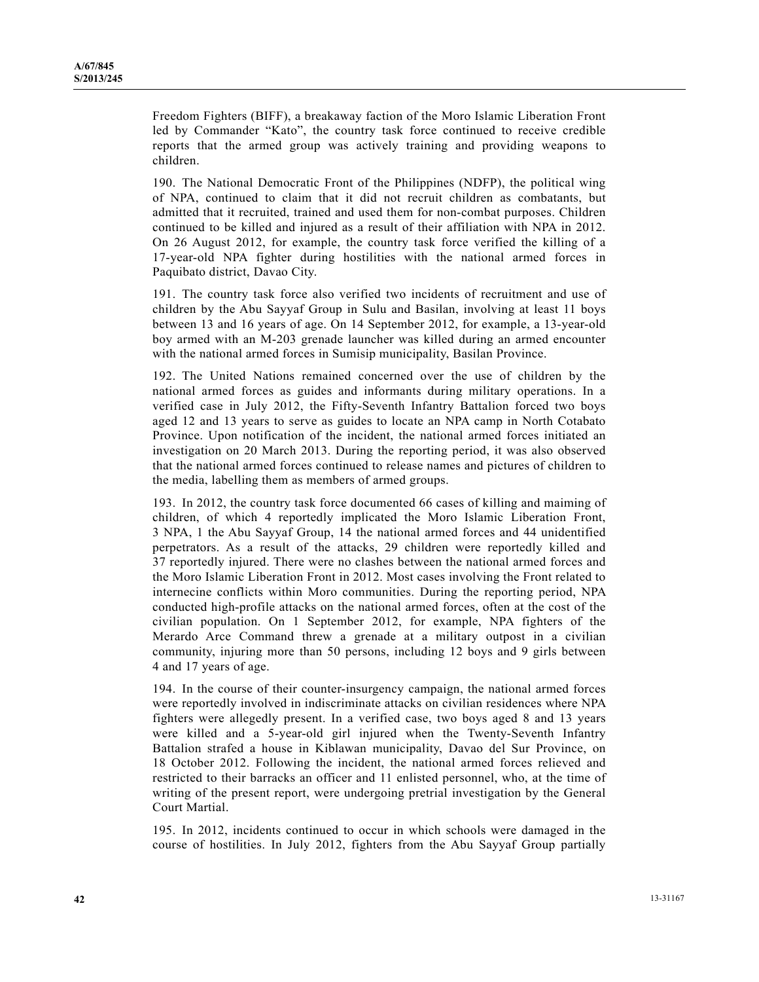Freedom Fighters (BIFF), a breakaway faction of the Moro Islamic Liberation Front led by Commander "Kato", the country task force continued to receive credible reports that the armed group was actively training and providing weapons to children.

190. The National Democratic Front of the Philippines (NDFP), the political wing of NPA, continued to claim that it did not recruit children as combatants, but admitted that it recruited, trained and used them for non-combat purposes. Children continued to be killed and injured as a result of their affiliation with NPA in 2012. On 26 August 2012, for example, the country task force verified the killing of a 17-year-old NPA fighter during hostilities with the national armed forces in Paquibato district, Davao City.

191. The country task force also verified two incidents of recruitment and use of children by the Abu Sayyaf Group in Sulu and Basilan, involving at least 11 boys between 13 and 16 years of age. On 14 September 2012, for example, a 13-year-old boy armed with an M-203 grenade launcher was killed during an armed encounter with the national armed forces in Sumisip municipality, Basilan Province.

192. The United Nations remained concerned over the use of children by the national armed forces as guides and informants during military operations. In a verified case in July 2012, the Fifty-Seventh Infantry Battalion forced two boys aged 12 and 13 years to serve as guides to locate an NPA camp in North Cotabato Province. Upon notification of the incident, the national armed forces initiated an investigation on 20 March 2013. During the reporting period, it was also observed that the national armed forces continued to release names and pictures of children to the media, labelling them as members of armed groups.

193. In 2012, the country task force documented 66 cases of killing and maiming of children, of which 4 reportedly implicated the Moro Islamic Liberation Front, 3 NPA, 1 the Abu Sayyaf Group, 14 the national armed forces and 44 unidentified perpetrators. As a result of the attacks, 29 children were reportedly killed and 37 reportedly injured. There were no clashes between the national armed forces and the Moro Islamic Liberation Front in 2012. Most cases involving the Front related to internecine conflicts within Moro communities. During the reporting period, NPA conducted high-profile attacks on the national armed forces, often at the cost of the civilian population. On 1 September 2012, for example, NPA fighters of the Merardo Arce Command threw a grenade at a military outpost in a civilian community, injuring more than 50 persons, including 12 boys and 9 girls between 4 and 17 years of age.

194. In the course of their counter-insurgency campaign, the national armed forces were reportedly involved in indiscriminate attacks on civilian residences where NPA fighters were allegedly present. In a verified case, two boys aged 8 and 13 years were killed and a 5-year-old girl injured when the Twenty-Seventh Infantry Battalion strafed a house in Kiblawan municipality, Davao del Sur Province, on 18 October 2012. Following the incident, the national armed forces relieved and restricted to their barracks an officer and 11 enlisted personnel, who, at the time of writing of the present report, were undergoing pretrial investigation by the General Court Martial.

195. In 2012, incidents continued to occur in which schools were damaged in the course of hostilities. In July 2012, fighters from the Abu Sayyaf Group partially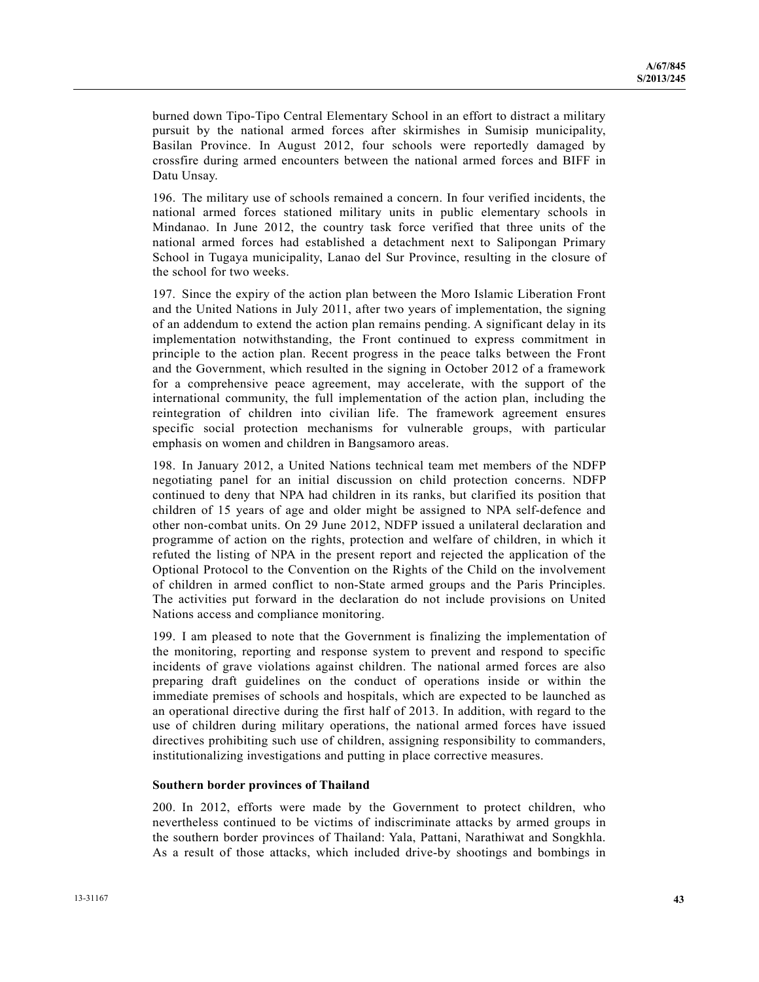burned down Tipo-Tipo Central Elementary School in an effort to distract a military pursuit by the national armed forces after skirmishes in Sumisip municipality, Basilan Province. In August 2012, four schools were reportedly damaged by crossfire during armed encounters between the national armed forces and BIFF in Datu Unsay.

196. The military use of schools remained a concern. In four verified incidents, the national armed forces stationed military units in public elementary schools in Mindanao. In June 2012, the country task force verified that three units of the national armed forces had established a detachment next to Salipongan Primary School in Tugaya municipality, Lanao del Sur Province, resulting in the closure of the school for two weeks.

197. Since the expiry of the action plan between the Moro Islamic Liberation Front and the United Nations in July 2011, after two years of implementation, the signing of an addendum to extend the action plan remains pending. A significant delay in its implementation notwithstanding, the Front continued to express commitment in principle to the action plan. Recent progress in the peace talks between the Front and the Government, which resulted in the signing in October 2012 of a framework for a comprehensive peace agreement, may accelerate, with the support of the international community, the full implementation of the action plan, including the reintegration of children into civilian life. The framework agreement ensures specific social protection mechanisms for vulnerable groups, with particular emphasis on women and children in Bangsamoro areas.

198. In January 2012, a United Nations technical team met members of the NDFP negotiating panel for an initial discussion on child protection concerns. NDFP continued to deny that NPA had children in its ranks, but clarified its position that children of 15 years of age and older might be assigned to NPA self-defence and other non-combat units. On 29 June 2012, NDFP issued a unilateral declaration and programme of action on the rights, protection and welfare of children, in which it refuted the listing of NPA in the present report and rejected the application of the Optional Protocol to the Convention on the Rights of the Child on the involvement of children in armed conflict to non-State armed groups and the Paris Principles. The activities put forward in the declaration do not include provisions on United Nations access and compliance monitoring.

199. I am pleased to note that the Government is finalizing the implementation of the monitoring, reporting and response system to prevent and respond to specific incidents of grave violations against children. The national armed forces are also preparing draft guidelines on the conduct of operations inside or within the immediate premises of schools and hospitals, which are expected to be launched as an operational directive during the first half of 2013. In addition, with regard to the use of children during military operations, the national armed forces have issued directives prohibiting such use of children, assigning responsibility to commanders, institutionalizing investigations and putting in place corrective measures.

#### **Southern border provinces of Thailand**

200. In 2012, efforts were made by the Government to protect children, who nevertheless continued to be victims of indiscriminate attacks by armed groups in the southern border provinces of Thailand: Yala, Pattani, Narathiwat and Songkhla. As a result of those attacks, which included drive-by shootings and bombings in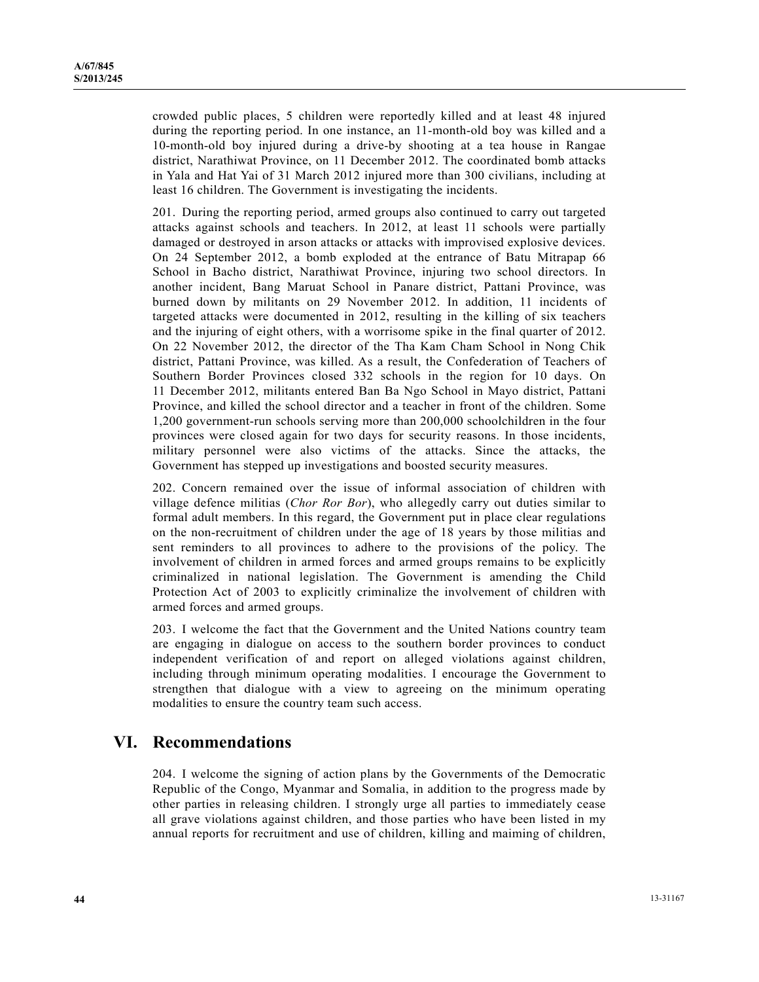crowded public places, 5 children were reportedly killed and at least 48 injured during the reporting period. In one instance, an 11-month-old boy was killed and a 10-month-old boy injured during a drive-by shooting at a tea house in Rangae district, Narathiwat Province, on 11 December 2012. The coordinated bomb attacks in Yala and Hat Yai of 31 March 2012 injured more than 300 civilians, including at least 16 children. The Government is investigating the incidents.

201. During the reporting period, armed groups also continued to carry out targeted attacks against schools and teachers. In 2012, at least 11 schools were partially damaged or destroyed in arson attacks or attacks with improvised explosive devices. On 24 September 2012, a bomb exploded at the entrance of Batu Mitrapap 66 School in Bacho district, Narathiwat Province, injuring two school directors. In another incident, Bang Maruat School in Panare district, Pattani Province, was burned down by militants on 29 November 2012. In addition, 11 incidents of targeted attacks were documented in 2012, resulting in the killing of six teachers and the injuring of eight others, with a worrisome spike in the final quarter of 2012. On 22 November 2012, the director of the Tha Kam Cham School in Nong Chik district, Pattani Province, was killed. As a result, the Confederation of Teachers of Southern Border Provinces closed 332 schools in the region for 10 days. On 11 December 2012, militants entered Ban Ba Ngo School in Mayo district, Pattani Province, and killed the school director and a teacher in front of the children. Some 1,200 government-run schools serving more than 200,000 schoolchildren in the four provinces were closed again for two days for security reasons. In those incidents, military personnel were also victims of the attacks. Since the attacks, the Government has stepped up investigations and boosted security measures.

202. Concern remained over the issue of informal association of children with village defence militias (*Chor Ror Bor*), who allegedly carry out duties similar to formal adult members. In this regard, the Government put in place clear regulations on the non-recruitment of children under the age of 18 years by those militias and sent reminders to all provinces to adhere to the provisions of the policy. The involvement of children in armed forces and armed groups remains to be explicitly criminalized in national legislation. The Government is amending the Child Protection Act of 2003 to explicitly criminalize the involvement of children with armed forces and armed groups.

203. I welcome the fact that the Government and the United Nations country team are engaging in dialogue on access to the southern border provinces to conduct independent verification of and report on alleged violations against children, including through minimum operating modalities. I encourage the Government to strengthen that dialogue with a view to agreeing on the minimum operating modalities to ensure the country team such access.

## **VI. Recommendations**

204. I welcome the signing of action plans by the Governments of the Democratic Republic of the Congo, Myanmar and Somalia, in addition to the progress made by other parties in releasing children. I strongly urge all parties to immediately cease all grave violations against children, and those parties who have been listed in my annual reports for recruitment and use of children, killing and maiming of children,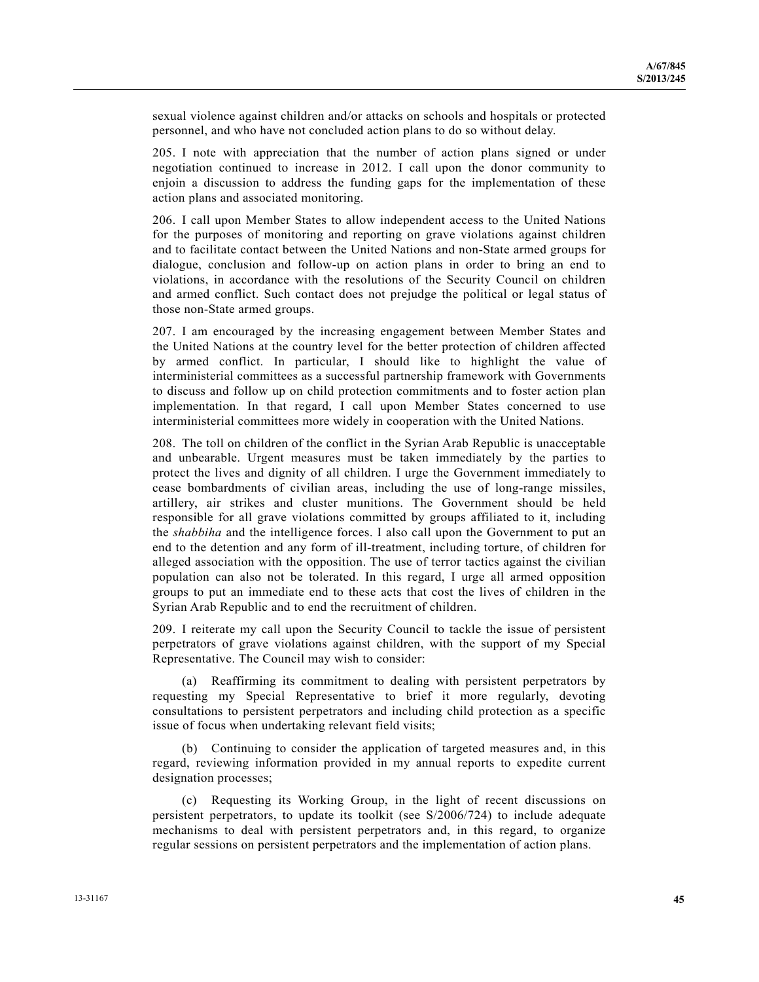sexual violence against children and/or attacks on schools and hospitals or protected personnel, and who have not concluded action plans to do so without delay.

205. I note with appreciation that the number of action plans signed or under negotiation continued to increase in 2012. I call upon the donor community to enjoin a discussion to address the funding gaps for the implementation of these action plans and associated monitoring.

206. I call upon Member States to allow independent access to the United Nations for the purposes of monitoring and reporting on grave violations against children and to facilitate contact between the United Nations and non-State armed groups for dialogue, conclusion and follow-up on action plans in order to bring an end to violations, in accordance with the resolutions of the Security Council on children and armed conflict. Such contact does not prejudge the political or legal status of those non-State armed groups.

207. I am encouraged by the increasing engagement between Member States and the United Nations at the country level for the better protection of children affected by armed conflict. In particular, I should like to highlight the value of interministerial committees as a successful partnership framework with Governments to discuss and follow up on child protection commitments and to foster action plan implementation. In that regard, I call upon Member States concerned to use interministerial committees more widely in cooperation with the United Nations.

208. The toll on children of the conflict in the Syrian Arab Republic is unacceptable and unbearable. Urgent measures must be taken immediately by the parties to protect the lives and dignity of all children. I urge the Government immediately to cease bombardments of civilian areas, including the use of long-range missiles, artillery, air strikes and cluster munitions. The Government should be held responsible for all grave violations committed by groups affiliated to it, including the *shabbiha* and the intelligence forces. I also call upon the Government to put an end to the detention and any form of ill-treatment, including torture, of children for alleged association with the opposition. The use of terror tactics against the civilian population can also not be tolerated. In this regard, I urge all armed opposition groups to put an immediate end to these acts that cost the lives of children in the Syrian Arab Republic and to end the recruitment of children.

209. I reiterate my call upon the Security Council to tackle the issue of persistent perpetrators of grave violations against children, with the support of my Special Representative. The Council may wish to consider:

 (a) Reaffirming its commitment to dealing with persistent perpetrators by requesting my Special Representative to brief it more regularly, devoting consultations to persistent perpetrators and including child protection as a specific issue of focus when undertaking relevant field visits;

 (b) Continuing to consider the application of targeted measures and, in this regard, reviewing information provided in my annual reports to expedite current designation processes;

 (c) Requesting its Working Group, in the light of recent discussions on persistent perpetrators, to update its toolkit (see S/2006/724) to include adequate mechanisms to deal with persistent perpetrators and, in this regard, to organize regular sessions on persistent perpetrators and the implementation of action plans.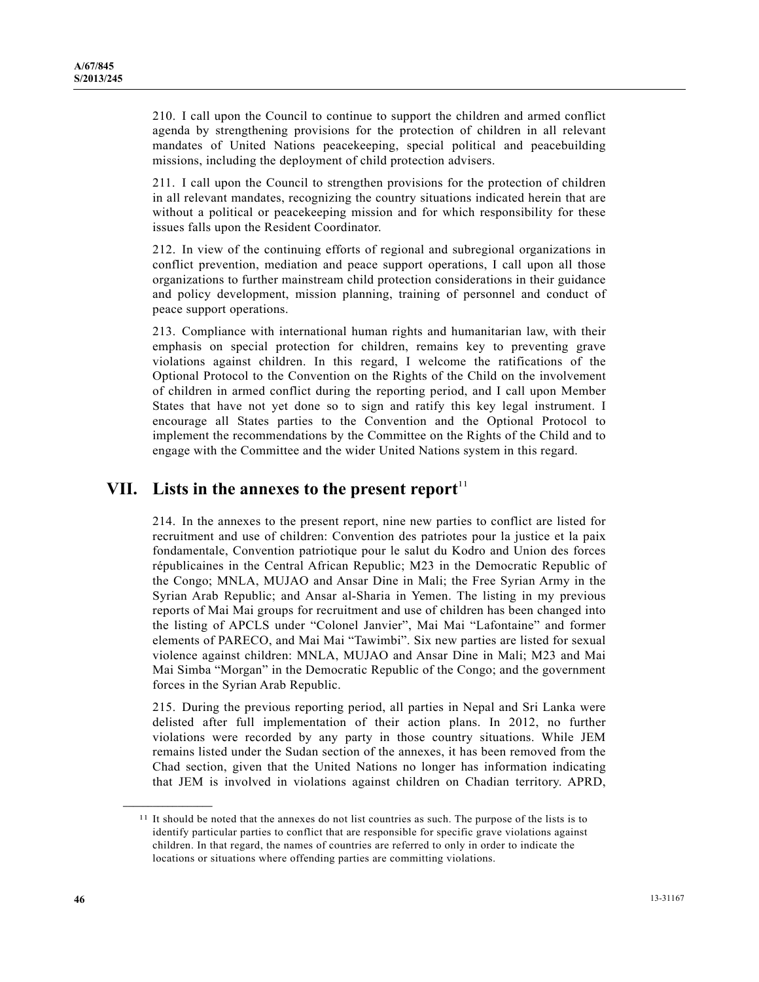210. I call upon the Council to continue to support the children and armed conflict agenda by strengthening provisions for the protection of children in all relevant mandates of United Nations peacekeeping, special political and peacebuilding missions, including the deployment of child protection advisers.

211. I call upon the Council to strengthen provisions for the protection of children in all relevant mandates, recognizing the country situations indicated herein that are without a political or peacekeeping mission and for which responsibility for these issues falls upon the Resident Coordinator.

212. In view of the continuing efforts of regional and subregional organizations in conflict prevention, mediation and peace support operations, I call upon all those organizations to further mainstream child protection considerations in their guidance and policy development, mission planning, training of personnel and conduct of peace support operations.

213. Compliance with international human rights and humanitarian law, with their emphasis on special protection for children, remains key to preventing grave violations against children. In this regard, I welcome the ratifications of the Optional Protocol to the Convention on the Rights of the Child on the involvement of children in armed conflict during the reporting period, and I call upon Member States that have not yet done so to sign and ratify this key legal instrument. I encourage all States parties to the Convention and the Optional Protocol to implement the recommendations by the Committee on the Rights of the Child and to engage with the Committee and the wider United Nations system in this regard.

## **VII.** Lists in the annexes to the present report<sup>11</sup>

214. In the annexes to the present report, nine new parties to conflict are listed for recruitment and use of children: Convention des patriotes pour la justice et la paix fondamentale, Convention patriotique pour le salut du Kodro and Union des forces républicaines in the Central African Republic; M23 in the Democratic Republic of the Congo; MNLA, MUJAO and Ansar Dine in Mali; the Free Syrian Army in the Syrian Arab Republic; and Ansar al-Sharia in Yemen. The listing in my previous reports of Mai Mai groups for recruitment and use of children has been changed into the listing of APCLS under "Colonel Janvier", Mai Mai "Lafontaine" and former elements of PARECO, and Mai Mai "Tawimbi". Six new parties are listed for sexual violence against children: MNLA, MUJAO and Ansar Dine in Mali; M23 and Mai Mai Simba "Morgan" in the Democratic Republic of the Congo; and the government forces in the Syrian Arab Republic.

215. During the previous reporting period, all parties in Nepal and Sri Lanka were delisted after full implementation of their action plans. In 2012, no further violations were recorded by any party in those country situations. While JEM remains listed under the Sudan section of the annexes, it has been removed from the Chad section, given that the United Nations no longer has information indicating that JEM is involved in violations against children on Chadian territory. APRD,

**\_\_\_\_\_\_\_\_\_\_\_\_\_\_\_\_\_\_** 

<sup>&</sup>lt;sup>11</sup> It should be noted that the annexes do not list countries as such. The purpose of the lists is to identify particular parties to conflict that are responsible for specific grave violations against children. In that regard, the names of countries are referred to only in order to indicate the locations or situations where offending parties are committing violations.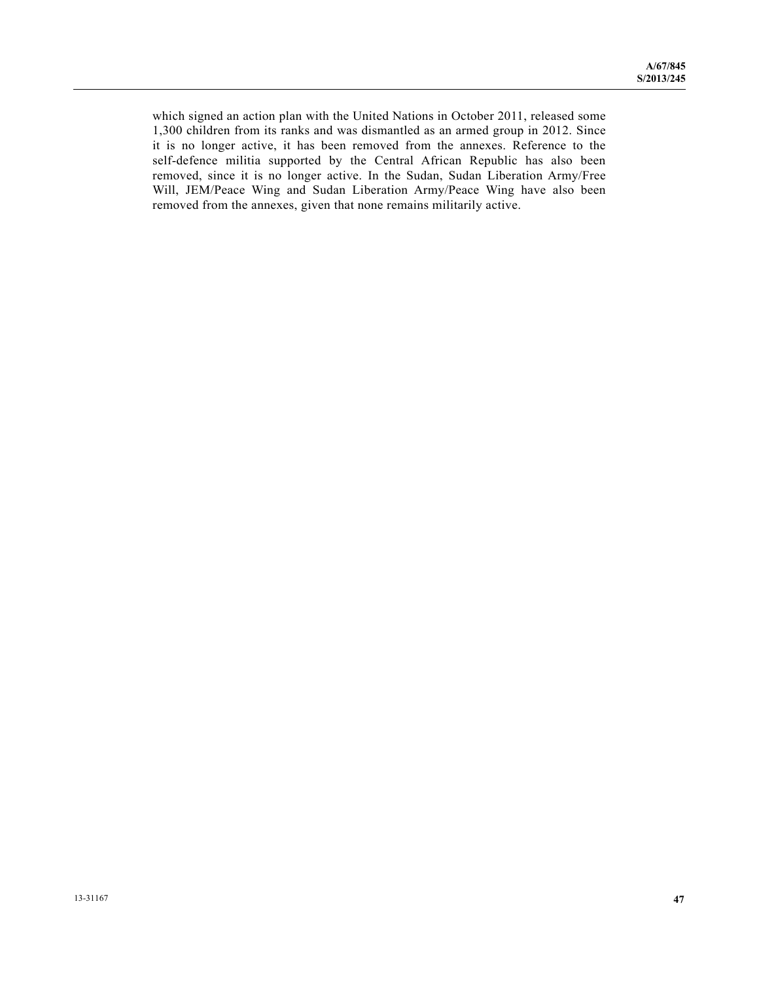which signed an action plan with the United Nations in October 2011, released some 1,300 children from its ranks and was dismantled as an armed group in 2012. Since it is no longer active, it has been removed from the annexes. Reference to the self-defence militia supported by the Central African Republic has also been removed, since it is no longer active. In the Sudan, Sudan Liberation Army/Free Will, JEM/Peace Wing and Sudan Liberation Army/Peace Wing have also been removed from the annexes, given that none remains militarily active.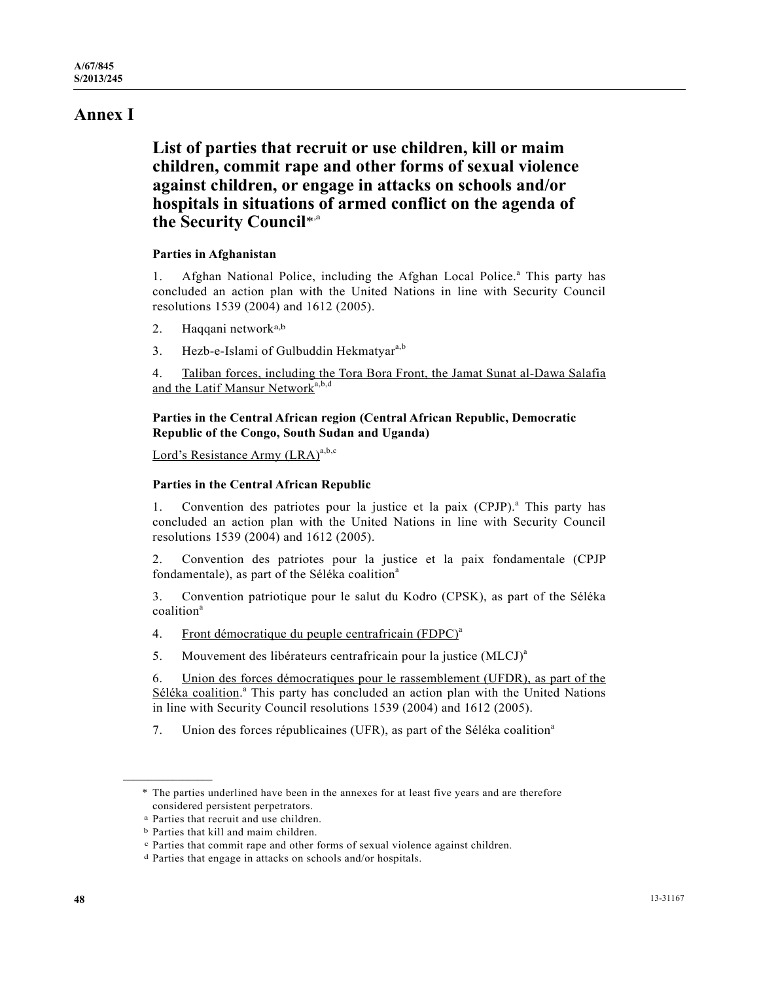# **Annex I**

 **List of parties that recruit or use children, kill or maim children, commit rape and other forms of sexual violence against children, or engage in attacks on schools and/or hospitals in situations of armed conflict on the agenda of the Security Council**\*,a

## **Parties in Afghanistan**

1. Afghan National Police, including the Afghan Local Police.<sup>a</sup> This party has concluded an action plan with the United Nations in line with Security Council resolutions 1539 (2004) and 1612 (2005).

- 2. Haqqani networka,b
- 3. Hezb-e-Islami of Gulbuddin Hekmatyar<sup>a,b</sup>

4. Taliban forces, including the Tora Bora Front, the Jamat Sunat al-Dawa Salafia and the Latif Mansur Network<sup>a,b,d</sup>

## **Parties in the Central African region (Central African Republic, Democratic Republic of the Congo, South Sudan and Uganda)**

Lord's Resistance Army  $(LRA)^{a,b,c}$ 

## **Parties in the Central African Republic**

1. Convention des patriotes pour la justice et la paix (CPJP).<sup>a</sup> This party has concluded an action plan with the United Nations in line with Security Council resolutions 1539 (2004) and 1612 (2005).

2. Convention des patriotes pour la justice et la paix fondamentale (CPJP fondamentale), as part of the Séléka coalition<sup>a</sup>

3. Convention patriotique pour le salut du Kodro (CPSK), as part of the Séléka coalition<sup>a</sup>

- 4. Front démocratique du peuple centrafricain (FDPC)<sup>a</sup>
- 5. Mouvement des libérateurs centrafricain pour la justice (MLCJ)<sup>a</sup>

6. Union des forces démocratiques pour le rassemblement (UFDR), as part of the Séléka coalition.<sup>a</sup> This party has concluded an action plan with the United Nations in line with Security Council resolutions 1539 (2004) and 1612 (2005).

7. Union des forces républicaines (UFR), as part of the Séléka coalition<sup>a</sup>

**\_\_\_\_\_\_\_\_\_\_\_\_\_\_\_\_\_\_** 

 <sup>\*</sup> The parties underlined have been in the annexes for at least five years and are therefore considered persistent perpetrators. a Parties that recruit and use children.

b Parties that kill and maim children.

c Parties that commit rape and other forms of sexual violence against children. d Parties that engage in attacks on schools and/or hospitals.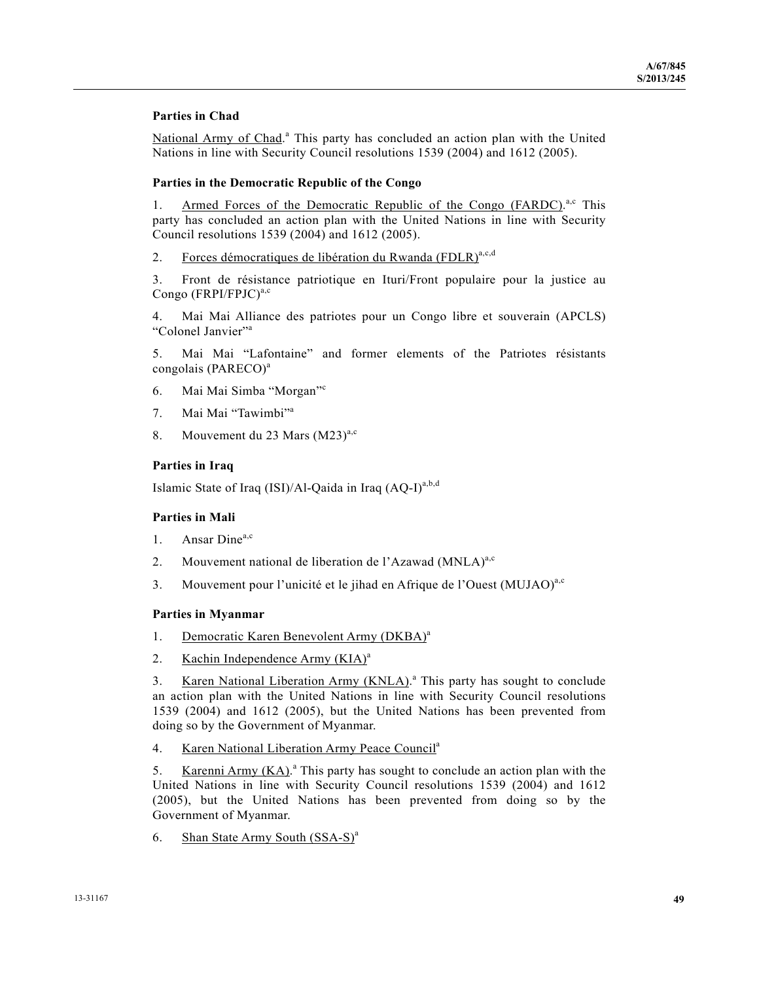## **Parties in Chad**

National Army of Chad.<sup>a</sup> This party has concluded an action plan with the United Nations in line with Security Council resolutions 1539 (2004) and 1612 (2005).

#### **Parties in the Democratic Republic of the Congo**

1. Armed Forces of the Democratic Republic of the Congo (FARDC).<sup>a,c</sup> This party has concluded an action plan with the United Nations in line with Security Council resolutions 1539 (2004) and 1612 (2005).

2. Forces démocratiques de libération du Rwanda (FDLR)<sup>a,c,d</sup>

3. Front de résistance patriotique en Ituri/Front populaire pour la justice au Congo  $(FRPI/FPJC)^{a,c}$ 

4. Mai Mai Alliance des patriotes pour un Congo libre et souverain (APCLS) "Colonel Janvier"<sup>a</sup>

5. Mai Mai "Lafontaine" and former elements of the Patriotes résistants congolais (PARECO)<sup>a</sup>

- 6. Mai Mai Simba "Morgan"<sup>c</sup>
- 7. Mai Mai "Tawimbi"<sup>a</sup>
- 8. Mouvement du 23 Mars  $(M23)^{a,c}$

#### **Parties in Iraq**

Islamic State of Iraq (ISI)/Al-Qaida in Iraq  $(AQ-I)^{a,b,d}$ 

#### **Parties in Mali**

- 1. Ansar Dine<sup>a,c</sup>
- 2. Mouvement national de liberation de l'Azawad (MNLA)<sup>a,c</sup>
- 3. Mouvement pour l'unicité et le jihad en Afrique de l'Ouest (MUJAO)<sup>a,c</sup>

#### **Parties in Myanmar**

- 1. Democratic Karen Benevolent Army (DKBA)<sup>a</sup>
- 2. Kachin Independence Army  $(KIA)^a$

3. Karen National Liberation Army (KNLA).<sup>a</sup> This party has sought to conclude an action plan with the United Nations in line with Security Council resolutions 1539 (2004) and 1612 (2005), but the United Nations has been prevented from doing so by the Government of Myanmar.

4. Karen National Liberation Army Peace Council<sup>a</sup>

5. Karenni Army  $(KA)$ .<sup>a</sup> This party has sought to conclude an action plan with the United Nations in line with Security Council resolutions 1539 (2004) and 1612 (2005), but the United Nations has been prevented from doing so by the Government of Myanmar.

6. Shan State Army South  $(SSA-S)^a$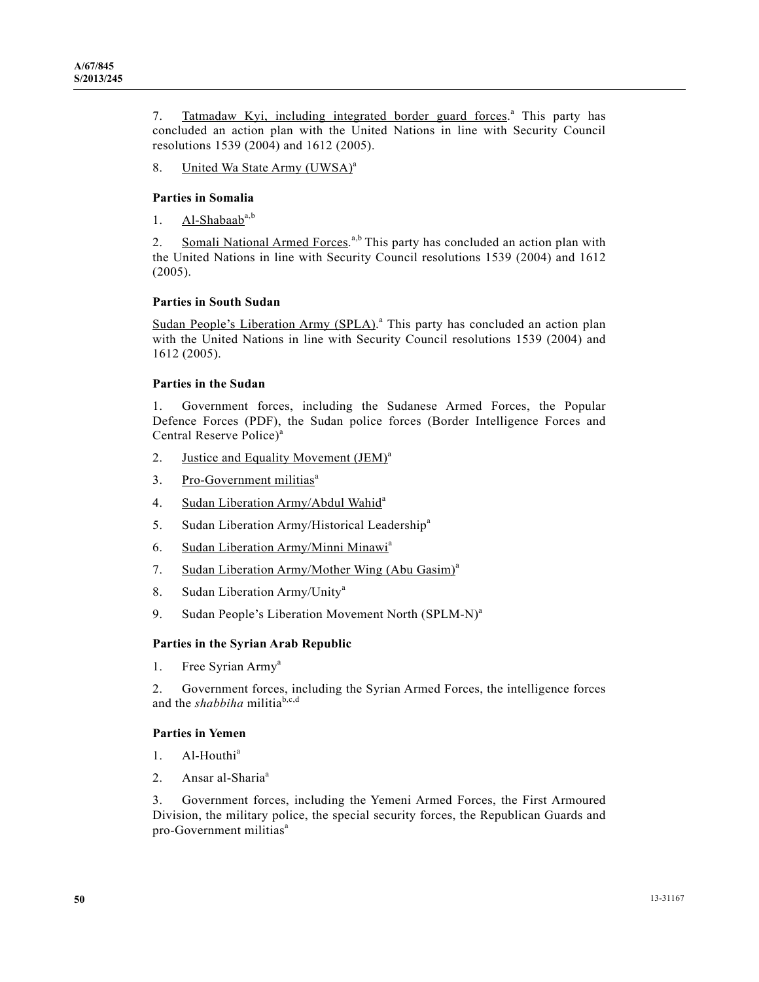7. Tatmadaw Kyi, including integrated border guard forces.<sup>a</sup> This party has concluded an action plan with the United Nations in line with Security Council resolutions 1539 (2004) and 1612 (2005).

8. United Wa State Army (UWSA)<sup>a</sup>

### **Parties in Somalia**

1. Al-Shabaab $a,b$ 

2. Somali National Armed Forces.<sup>a,b</sup> This party has concluded an action plan with the United Nations in line with Security Council resolutions 1539 (2004) and 1612 (2005).

### **Parties in South Sudan**

Sudan People's Liberation Army (SPLA).<sup>a</sup> This party has concluded an action plan with the United Nations in line with Security Council resolutions 1539 (2004) and 1612 (2005).

#### **Parties in the Sudan**

1. Government forces, including the Sudanese Armed Forces, the Popular Defence Forces (PDF), the Sudan police forces (Border Intelligence Forces and Central Reserve Police)<sup>a</sup>

- 2. Justice and Equality Movement (JEM)<sup>a</sup>
- 3. Pro-Government militias<sup>a</sup>
- 4. Sudan Liberation Army/Abdul Wahid<sup>a</sup>
- 5. Sudan Liberation Army/Historical Leadership<sup>a</sup>
- 6. Sudan Liberation Army/Minni Minawi<sup>a</sup>
- 7. Sudan Liberation Army/Mother Wing (Abu Gasim)<sup>a</sup>
- 8. Sudan Liberation Army/Unity<sup>a</sup>
- 9. Sudan People's Liberation Movement North (SPLM-N)<sup>a</sup>

#### **Parties in the Syrian Arab Republic**

1. Free Syrian Army<sup>a</sup>

2. Government forces, including the Syrian Armed Forces, the intelligence forces and the *shabbiha* militia<sup>b,c,d</sup>

#### **Parties in Yemen**

- 1. Al-Houthi<sup>a</sup>
- 2. Ansar al-Sharia<sup>a</sup>

3. Government forces, including the Yemeni Armed Forces, the First Armoured Division, the military police, the special security forces, the Republican Guards and pro-Government militias<sup>a</sup>